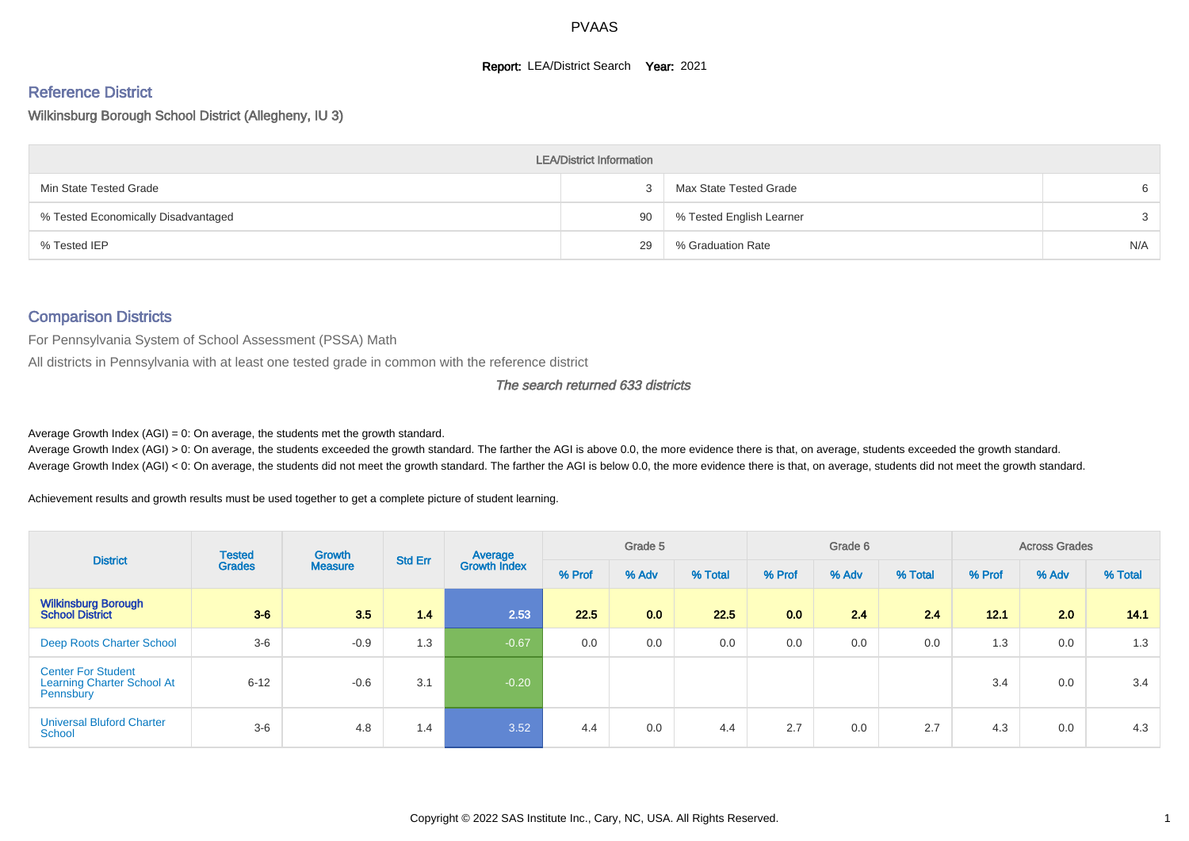#### **Report: LEA/District Search Year: 2021**

# Reference District

#### Wilkinsburg Borough School District (Allegheny, IU 3)

|                                     | <b>LEA/District Information</b> |                          |     |
|-------------------------------------|---------------------------------|--------------------------|-----|
| Min State Tested Grade              |                                 | Max State Tested Grade   | -6  |
| % Tested Economically Disadvantaged | 90                              | % Tested English Learner | 3   |
| % Tested IEP                        | 29                              | % Graduation Rate        | N/A |

#### Comparison Districts

For Pennsylvania System of School Assessment (PSSA) Math

All districts in Pennsylvania with at least one tested grade in common with the reference district

#### The search returned 633 districts

Average Growth Index  $(AGI) = 0$ : On average, the students met the growth standard.

Average Growth Index (AGI) > 0: On average, the students exceeded the growth standard. The farther the AGI is above 0.0, the more evidence there is that, on average, students exceeded the growth standard. Average Growth Index (AGI) < 0: On average, the students did not meet the growth standard. The farther the AGI is below 0.0, the more evidence there is that, on average, students did not meet the growth standard.

Achievement results and growth results must be used together to get a complete picture of student learning.

| <b>District</b>                                                             | <b>Tested</b> | <b>Growth</b>  | <b>Std Err</b> | Average             |        | Grade 5 |         |        | Grade 6 |         |        | <b>Across Grades</b> |         |
|-----------------------------------------------------------------------------|---------------|----------------|----------------|---------------------|--------|---------|---------|--------|---------|---------|--------|----------------------|---------|
|                                                                             | <b>Grades</b> | <b>Measure</b> |                | <b>Growth Index</b> | % Prof | % Adv   | % Total | % Prof | % Adv   | % Total | % Prof | % Adv                | % Total |
| <b>Wilkinsburg Borough</b><br><b>School District</b>                        | $3-6$         | 3.5            | 1.4            | 2.53                | 22.5   | 0.0     | 22.5    | 0.0    | 2.4     | 24      | 12.1   | 2.0                  | 14.1    |
| Deep Roots Charter School                                                   | $3-6$         | $-0.9$         | 1.3            | $-0.67$             | 0.0    | 0.0     | 0.0     | 0.0    | 0.0     | 0.0     | 1.3    | 0.0                  | 1.3     |
| <b>Center For Student</b><br><b>Learning Charter School At</b><br>Pennsbury | $6 - 12$      | $-0.6$         | 3.1            | $-0.20$             |        |         |         |        |         |         | 3.4    | 0.0                  | 3.4     |
| <b>Universal Bluford Charter</b><br>School                                  | $3-6$         | 4.8            | 1.4            | 3.52                | 4.4    | 0.0     | 4.4     | 2.7    | 0.0     | 2.7     | 4.3    | 0.0                  | 4.3     |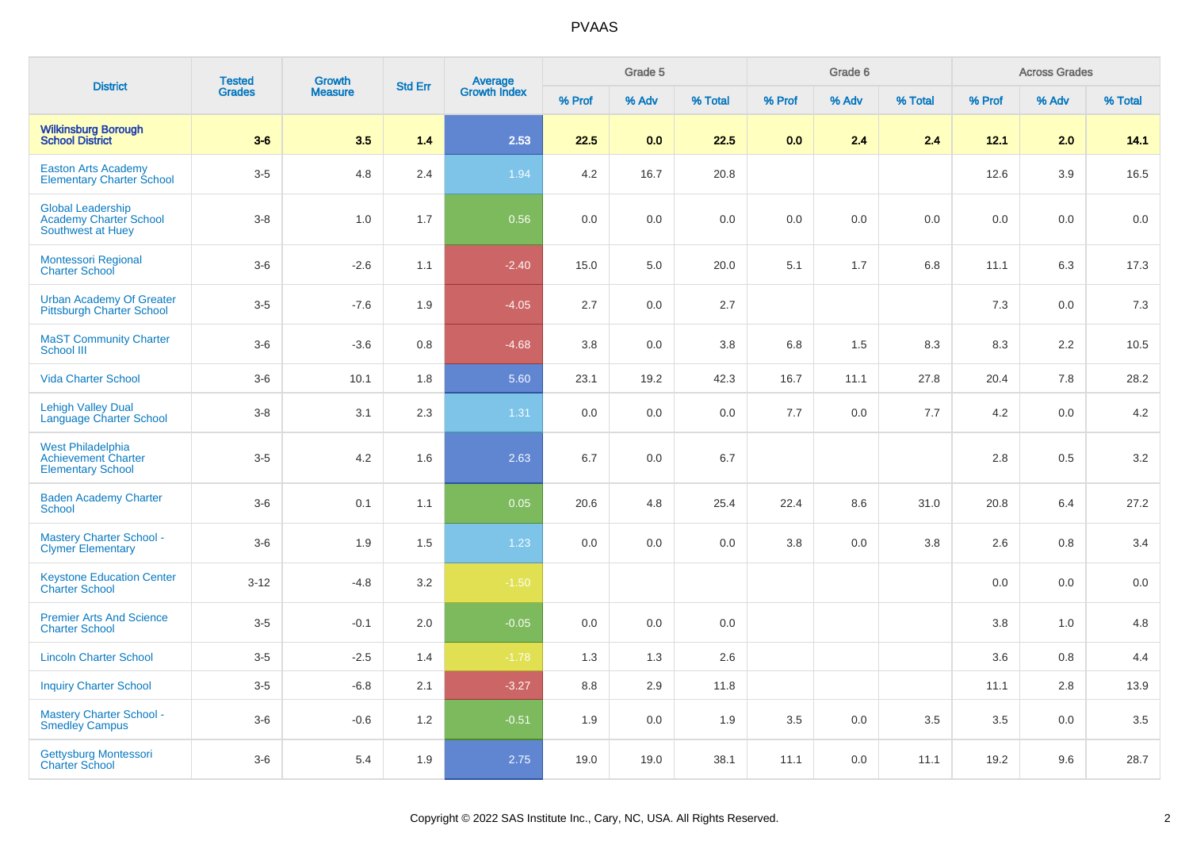|                                                                                    | <b>Tested</b> | <b>Growth</b>  |                |                                |        | Grade 5 |         |         | Grade 6 |         |        | <b>Across Grades</b> |         |
|------------------------------------------------------------------------------------|---------------|----------------|----------------|--------------------------------|--------|---------|---------|---------|---------|---------|--------|----------------------|---------|
| <b>District</b>                                                                    | <b>Grades</b> | <b>Measure</b> | <b>Std Err</b> | <b>Average</b><br>Growth Index | % Prof | % Adv   | % Total | % Prof  | % Adv   | % Total | % Prof | % Adv                | % Total |
| <b>Wilkinsburg Borough</b><br>School District                                      | $3-6$         | 3.5            | 1.4            | 2.53                           | 22.5   | 0.0     | 22.5    | 0.0     | 2.4     | 2.4     | 12.1   | 2.0                  | 14.1    |
| <b>Easton Arts Academy</b><br><b>Elementary Charter School</b>                     | $3-5$         | 4.8            | 2.4            | 1.94                           | 4.2    | 16.7    | 20.8    |         |         |         | 12.6   | 3.9                  | 16.5    |
| <b>Global Leadership</b><br><b>Academy Charter School</b><br>Southwest at Huey     | $3-8$         | 1.0            | 1.7            | 0.56                           | 0.0    | 0.0     | 0.0     | $0.0\,$ | 0.0     | 0.0     | 0.0    | 0.0                  | 0.0     |
| <b>Montessori Regional</b><br><b>Charter School</b>                                | $3-6$         | $-2.6$         | 1.1            | $-2.40$                        | 15.0   | 5.0     | 20.0    | 5.1     | 1.7     | 6.8     | 11.1   | 6.3                  | 17.3    |
| <b>Urban Academy Of Greater</b><br><b>Pittsburgh Charter School</b>                | $3-5$         | $-7.6$         | 1.9            | $-4.05$                        | 2.7    | 0.0     | 2.7     |         |         |         | 7.3    | 0.0                  | 7.3     |
| <b>MaST Community Charter</b><br><b>School III</b>                                 | $3-6$         | $-3.6$         | 0.8            | $-4.68$                        | 3.8    | 0.0     | 3.8     | 6.8     | 1.5     | 8.3     | 8.3    | 2.2                  | 10.5    |
| <b>Vida Charter School</b>                                                         | $3-6$         | 10.1           | 1.8            | 5.60                           | 23.1   | 19.2    | 42.3    | 16.7    | 11.1    | 27.8    | 20.4   | 7.8                  | 28.2    |
| <b>Lehigh Valley Dual</b><br>Language Charter School                               | $3-8$         | 3.1            | 2.3            | 1.31                           | 0.0    | 0.0     | 0.0     | 7.7     | 0.0     | 7.7     | 4.2    | 0.0                  | 4.2     |
| <b>West Philadelphia</b><br><b>Achievement Charter</b><br><b>Elementary School</b> | $3-5$         | 4.2            | 1.6            | 2.63                           | 6.7    | 0.0     | 6.7     |         |         |         | 2.8    | 0.5                  | 3.2     |
| <b>Baden Academy Charter</b><br><b>School</b>                                      | $3-6$         | 0.1            | 1.1            | 0.05                           | 20.6   | 4.8     | 25.4    | 22.4    | 8.6     | 31.0    | 20.8   | 6.4                  | 27.2    |
| <b>Mastery Charter School -</b><br><b>Clymer Elementary</b>                        | $3-6$         | 1.9            | 1.5            | 1.23                           | 0.0    | 0.0     | 0.0     | 3.8     | 0.0     | 3.8     | 2.6    | 0.8                  | $3.4\,$ |
| <b>Keystone Education Center</b><br><b>Charter School</b>                          | $3 - 12$      | $-4.8$         | 3.2            | $-1.50$                        |        |         |         |         |         |         | 0.0    | 0.0                  | $0.0\,$ |
| <b>Premier Arts And Science</b><br><b>Charter School</b>                           | $3-5$         | $-0.1$         | 2.0            | $-0.05$                        | 0.0    | 0.0     | 0.0     |         |         |         | 3.8    | 1.0                  | 4.8     |
| <b>Lincoln Charter School</b>                                                      | $3-5$         | $-2.5$         | 1.4            | $-1.78$                        | 1.3    | 1.3     | 2.6     |         |         |         | 3.6    | 0.8                  | 4.4     |
| <b>Inquiry Charter School</b>                                                      | $3-5$         | $-6.8$         | 2.1            | $-3.27$                        | 8.8    | 2.9     | 11.8    |         |         |         | 11.1   | 2.8                  | 13.9    |
| <b>Mastery Charter School -</b><br><b>Smedley Campus</b>                           | $3-6$         | $-0.6$         | 1.2            | $-0.51$                        | 1.9    | 0.0     | 1.9     | 3.5     | 0.0     | 3.5     | 3.5    | 0.0                  | 3.5     |
| Gettysburg Montessori<br><b>Charter School</b>                                     | $3-6$         | 5.4            | 1.9            | 2.75                           | 19.0   | 19.0    | 38.1    | 11.1    | 0.0     | 11.1    | 19.2   | 9.6                  | 28.7    |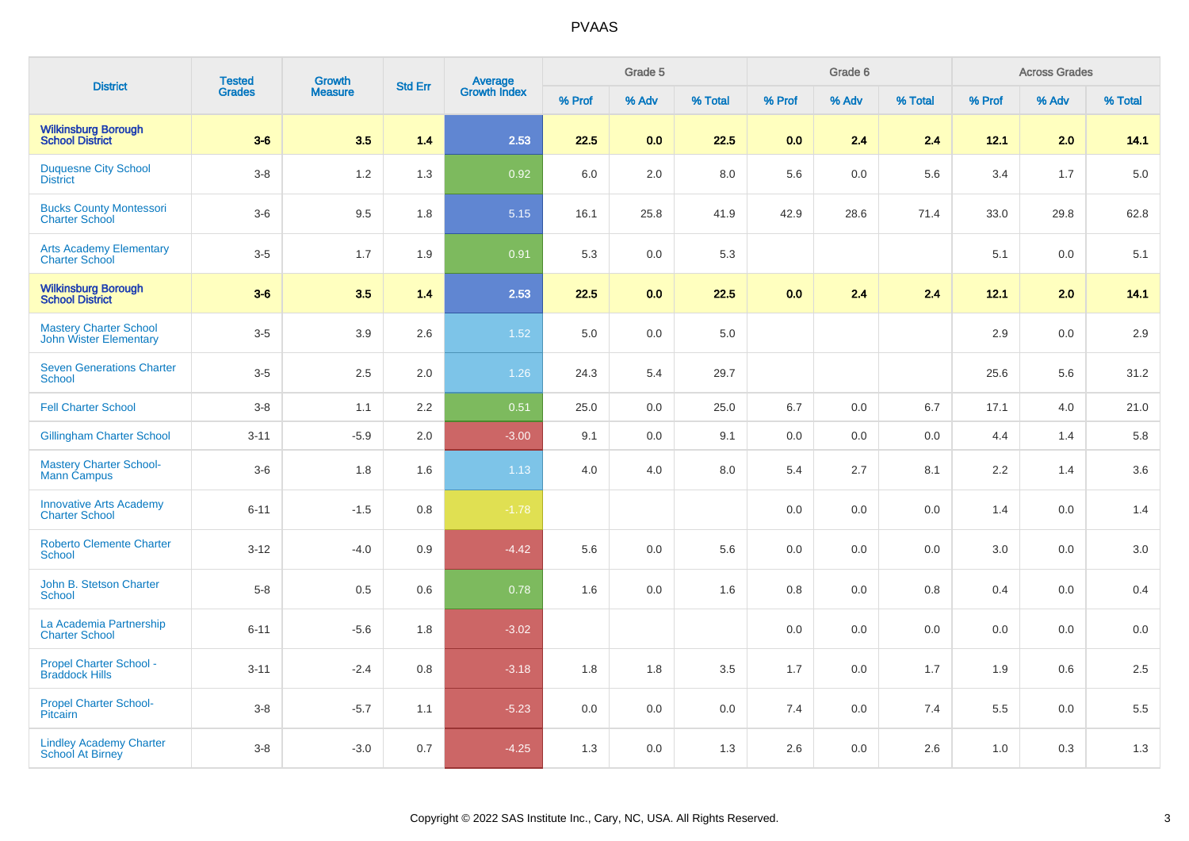| <b>District</b>                                                | <b>Tested</b> | Growth  | <b>Std Err</b> |                                |        | Grade 5 |         |         | Grade 6 |         |        | <b>Across Grades</b> |         |
|----------------------------------------------------------------|---------------|---------|----------------|--------------------------------|--------|---------|---------|---------|---------|---------|--------|----------------------|---------|
|                                                                | <b>Grades</b> | Measure |                | <b>Average</b><br>Growth Index | % Prof | % Adv   | % Total | % Prof  | % Adv   | % Total | % Prof | % Adv                | % Total |
| <b>Wilkinsburg Borough</b><br><b>School District</b>           | $3-6$         | 3.5     | 1.4            | 2.53                           | 22.5   | 0.0     | 22.5    | 0.0     | 2.4     | 2.4     | 12.1   | 2.0                  | 14.1    |
| <b>Duquesne City School</b><br><b>District</b>                 | $3-8$         | $1.2$   | 1.3            | 0.92                           | 6.0    | 2.0     | 8.0     | 5.6     | 0.0     | 5.6     | 3.4    | 1.7                  | 5.0     |
| <b>Bucks County Montessori</b><br><b>Charter School</b>        | $3-6$         | 9.5     | 1.8            | 5.15                           | 16.1   | 25.8    | 41.9    | 42.9    | 28.6    | 71.4    | 33.0   | 29.8                 | 62.8    |
| <b>Arts Academy Elementary</b><br><b>Charter School</b>        | $3-5$         | 1.7     | 1.9            | 0.91                           | 5.3    | 0.0     | 5.3     |         |         |         | 5.1    | 0.0                  | $5.1$   |
| <b>Wilkinsburg Borough<br/>School District</b>                 | $3-6$         | 3.5     | 1.4            | 2.53                           | 22.5   | 0.0     | 22.5    | 0.0     | 2.4     | 2.4     | 12.1   | 2.0                  | 14.1    |
| <b>Mastery Charter School</b><br><b>John Wister Elementary</b> | $3-5$         | 3.9     | 2.6            | 1.52                           | 5.0    | 0.0     | 5.0     |         |         |         | 2.9    | $0.0\,$              | 2.9     |
| <b>Seven Generations Charter</b><br><b>School</b>              | $3-5$         | 2.5     | 2.0            | 1.26                           | 24.3   | 5.4     | 29.7    |         |         |         | 25.6   | 5.6                  | 31.2    |
| <b>Fell Charter School</b>                                     | $3-8$         | 1.1     | 2.2            | 0.51                           | 25.0   | 0.0     | 25.0    | 6.7     | 0.0     | 6.7     | 17.1   | 4.0                  | 21.0    |
| <b>Gillingham Charter School</b>                               | $3 - 11$      | $-5.9$  | 2.0            | $-3.00$                        | 9.1    | 0.0     | 9.1     | 0.0     | 0.0     | 0.0     | 4.4    | 1.4                  | 5.8     |
| <b>Mastery Charter School-</b><br>Mann Campus                  | $3-6$         | 1.8     | 1.6            | 1.13                           | 4.0    | 4.0     | 8.0     | 5.4     | 2.7     | 8.1     | 2.2    | 1.4                  | 3.6     |
| <b>Innovative Arts Academy</b><br><b>Charter School</b>        | $6 - 11$      | $-1.5$  | 0.8            | $-1.78$                        |        |         |         | $0.0\,$ | 0.0     | 0.0     | 1.4    | 0.0                  | 1.4     |
| <b>Roberto Clemente Charter</b><br><b>School</b>               | $3 - 12$      | $-4.0$  | 0.9            | $-4.42$                        | 5.6    | 0.0     | 5.6     | 0.0     | 0.0     | 0.0     | 3.0    | 0.0                  | $3.0\,$ |
| John B. Stetson Charter<br><b>School</b>                       | $5-8$         | 0.5     | 0.6            | 0.78                           | 1.6    | 0.0     | 1.6     | 0.8     | 0.0     | 0.8     | 0.4    | 0.0                  | 0.4     |
| La Academia Partnership<br><b>Charter School</b>               | $6 - 11$      | $-5.6$  | 1.8            | $-3.02$                        |        |         |         | 0.0     | 0.0     | 0.0     | 0.0    | 0.0                  | 0.0     |
| <b>Propel Charter School -</b><br><b>Braddock Hills</b>        | $3 - 11$      | $-2.4$  | 0.8            | $-3.18$                        | 1.8    | 1.8     | 3.5     | 1.7     | 0.0     | 1.7     | 1.9    | 0.6                  | 2.5     |
| <b>Propel Charter School-</b><br>Pitcairn                      | $3-8$         | $-5.7$  | 1.1            | $-5.23$                        | 0.0    | 0.0     | 0.0     | 7.4     | 0.0     | 7.4     | 5.5    | 0.0                  | 5.5     |
| <b>Lindley Academy Charter</b><br>School At Birney             | $3-8$         | $-3.0$  | 0.7            | $-4.25$                        | 1.3    | 0.0     | 1.3     | 2.6     | 0.0     | 2.6     | 1.0    | 0.3                  | 1.3     |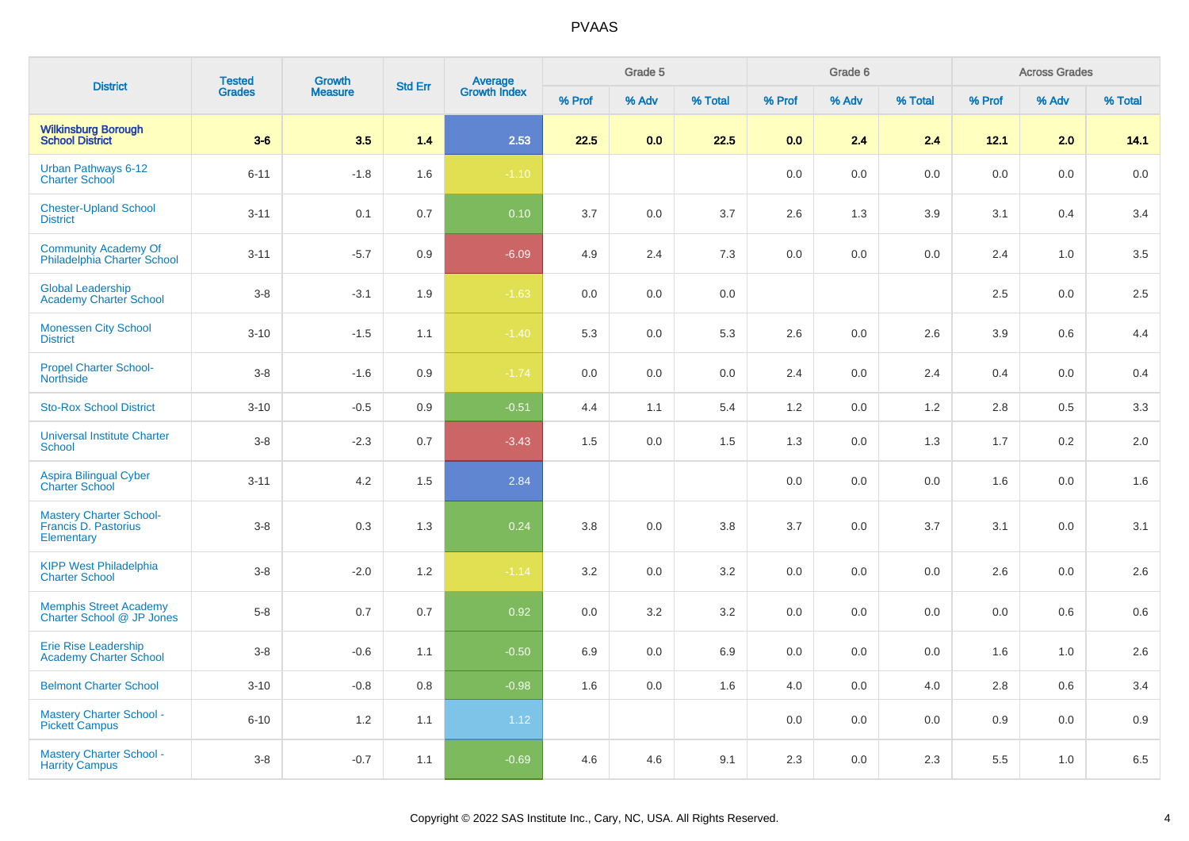| <b>District</b>                                                      | <b>Tested</b> | <b>Growth</b>  |                |                                |        | Grade 5 |         |        | Grade 6 |         |        | <b>Across Grades</b> |         |
|----------------------------------------------------------------------|---------------|----------------|----------------|--------------------------------|--------|---------|---------|--------|---------|---------|--------|----------------------|---------|
|                                                                      | <b>Grades</b> | <b>Measure</b> | <b>Std Err</b> | <b>Average</b><br>Growth Index | % Prof | % Adv   | % Total | % Prof | % Adv   | % Total | % Prof | % Adv                | % Total |
| <b>Wilkinsburg Borough<br/>School District</b>                       | $3-6$         | 3.5            | $1.4$          | 2.53                           | 22.5   | 0.0     | 22.5    | 0.0    | 2.4     | 2.4     | 12.1   | 2.0                  | 14.1    |
| Urban Pathways 6-12<br><b>Charter School</b>                         | $6 - 11$      | $-1.8$         | 1.6            | $-1.10$                        |        |         |         | 0.0    | 0.0     | 0.0     | 0.0    | 0.0                  | 0.0     |
| <b>Chester-Upland School</b><br><b>District</b>                      | $3 - 11$      | 0.1            | 0.7            | 0.10                           | 3.7    | 0.0     | 3.7     | 2.6    | 1.3     | 3.9     | 3.1    | 0.4                  | 3.4     |
| <b>Community Academy Of</b><br>Philadelphia Charter School           | $3 - 11$      | $-5.7$         | 0.9            | $-6.09$                        | 4.9    | 2.4     | 7.3     | 0.0    | 0.0     | 0.0     | 2.4    | 1.0                  | 3.5     |
| <b>Global Leadership</b><br><b>Academy Charter School</b>            | $3-8$         | $-3.1$         | 1.9            | $-1.63$                        | 0.0    | $0.0\,$ | 0.0     |        |         |         | 2.5    | $0.0\,$              | $2.5\,$ |
| <b>Monessen City School</b><br><b>District</b>                       | $3 - 10$      | $-1.5$         | 1.1            | $-1.40$                        | 5.3    | 0.0     | 5.3     | 2.6    | 0.0     | 2.6     | 3.9    | 0.6                  | 4.4     |
| <b>Propel Charter School-</b><br><b>Northside</b>                    | $3 - 8$       | $-1.6$         | 0.9            | $-1.74$                        | 0.0    | 0.0     | 0.0     | 2.4    | 0.0     | 2.4     | 0.4    | 0.0                  | 0.4     |
| <b>Sto-Rox School District</b>                                       | $3 - 10$      | $-0.5$         | 0.9            | $-0.51$                        | 4.4    | 1.1     | 5.4     | 1.2    | 0.0     | 1.2     | 2.8    | 0.5                  | 3.3     |
| <b>Universal Institute Charter</b><br>School                         | $3-8$         | $-2.3$         | 0.7            | $-3.43$                        | 1.5    | 0.0     | 1.5     | 1.3    | 0.0     | 1.3     | 1.7    | 0.2                  | 2.0     |
| Aspira Bilingual Cyber<br><b>Charter School</b>                      | $3 - 11$      | 4.2            | 1.5            | 2.84                           |        |         |         | 0.0    | 0.0     | 0.0     | 1.6    | 0.0                  | 1.6     |
| <b>Mastery Charter School-</b><br>Francis D. Pastorius<br>Elementary | $3 - 8$       | 0.3            | 1.3            | 0.24                           | 3.8    | 0.0     | 3.8     | 3.7    | 0.0     | 3.7     | 3.1    | 0.0                  | 3.1     |
| <b>KIPP West Philadelphia</b><br><b>Charter School</b>               | $3-8$         | $-2.0$         | 1.2            | $-1.14$                        | 3.2    | 0.0     | 3.2     | 0.0    | 0.0     | 0.0     | 2.6    | 0.0                  | 2.6     |
| <b>Memphis Street Academy</b><br>Charter School @ JP Jones           | $5-8$         | 0.7            | 0.7            | 0.92                           | 0.0    | 3.2     | 3.2     | 0.0    | 0.0     | 0.0     | 0.0    | 0.6                  | 0.6     |
| <b>Erie Rise Leadership</b><br><b>Academy Charter School</b>         | $3-8$         | $-0.6$         | 1.1            | $-0.50$                        | 6.9    | $0.0\,$ | 6.9     | 0.0    | 0.0     | 0.0     | 1.6    | 1.0                  | $2.6\,$ |
| <b>Belmont Charter School</b>                                        | $3 - 10$      | $-0.8$         | 0.8            | $-0.98$                        | 1.6    | 0.0     | 1.6     | 4.0    | 0.0     | 4.0     | 2.8    | 0.6                  | 3.4     |
| <b>Mastery Charter School -</b><br><b>Pickett Campus</b>             | $6 - 10$      | 1.2            | 1.1            | 1.12                           |        |         |         | 0.0    | 0.0     | 0.0     | 0.9    | 0.0                  | 0.9     |
| <b>Mastery Charter School -</b><br><b>Harrity Campus</b>             | $3-8$         | $-0.7$         | 1.1            | $-0.69$                        | 4.6    | 4.6     | 9.1     | 2.3    | 0.0     | 2.3     | 5.5    | 1.0                  | $6.5\,$ |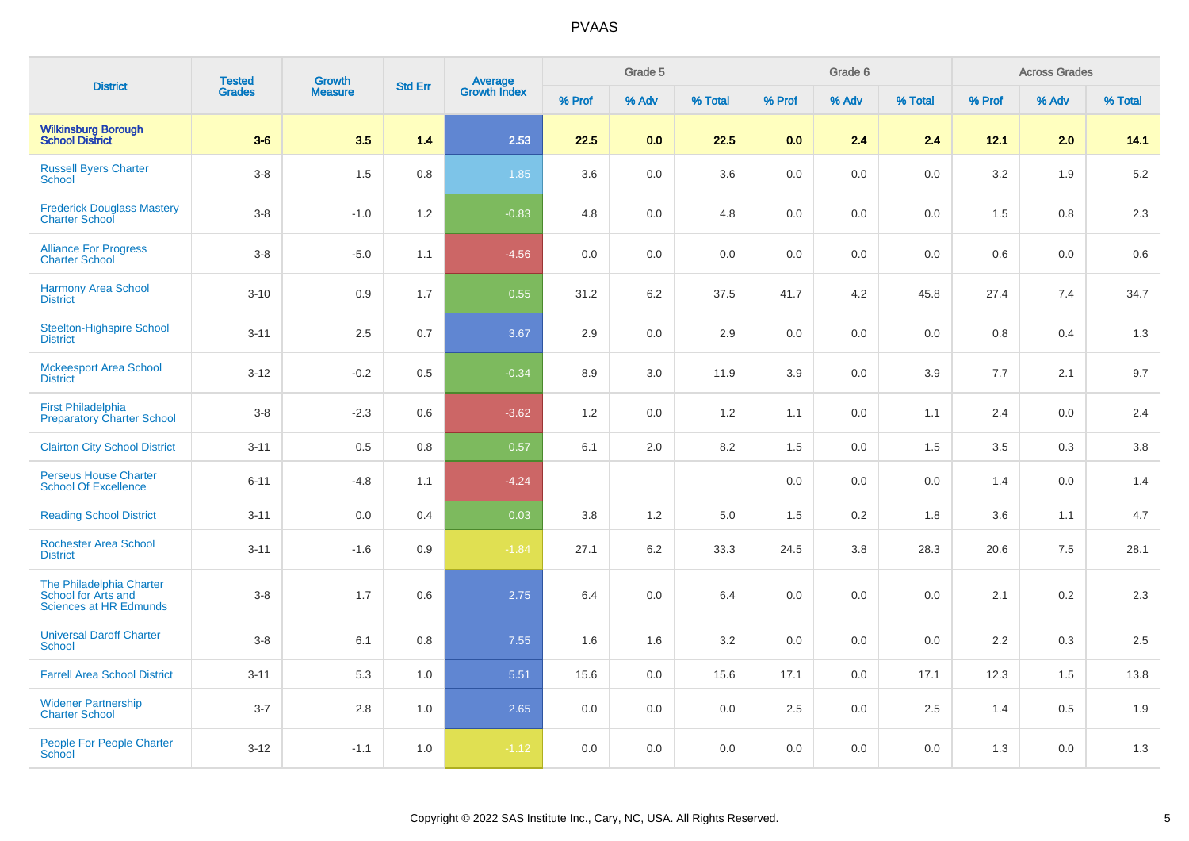| <b>District</b>                                                                  | <b>Tested</b> | <b>Growth</b>  | <b>Std Err</b> |                                |         | Grade 5 |         |         | Grade 6 |         |         | <b>Across Grades</b> |         |
|----------------------------------------------------------------------------------|---------------|----------------|----------------|--------------------------------|---------|---------|---------|---------|---------|---------|---------|----------------------|---------|
|                                                                                  | <b>Grades</b> | <b>Measure</b> |                | <b>Average</b><br>Growth Index | % Prof  | % Adv   | % Total | % Prof  | % Adv   | % Total | % Prof  | % Adv                | % Total |
| <b>Wilkinsburg Borough<br/>School District</b>                                   | $3-6$         | 3.5            | 1.4            | 2.53                           | 22.5    | 0.0     | 22.5    | 0.0     | 2.4     | 2.4     | 12.1    | 2.0                  | 14.1    |
| <b>Russell Byers Charter</b><br><b>School</b>                                    | $3-8$         | 1.5            | 0.8            | 1.85                           | 3.6     | $0.0\,$ | 3.6     | $0.0\,$ | 0.0     | $0.0\,$ | 3.2     | 1.9                  | 5.2     |
| <b>Frederick Douglass Mastery</b><br>Charter School                              | $3-8$         | $-1.0$         | 1.2            | $-0.83$                        | 4.8     | 0.0     | 4.8     | 0.0     | 0.0     | 0.0     | 1.5     | 0.8                  | 2.3     |
| <b>Alliance For Progress</b><br><b>Charter School</b>                            | $3-8$         | $-5.0$         | 1.1            | $-4.56$                        | 0.0     | 0.0     | 0.0     | 0.0     | 0.0     | 0.0     | 0.6     | 0.0                  | 0.6     |
| <b>Harmony Area School</b><br><b>District</b>                                    | $3 - 10$      | 0.9            | 1.7            | 0.55                           | 31.2    | 6.2     | 37.5    | 41.7    | 4.2     | 45.8    | 27.4    | 7.4                  | 34.7    |
| <b>Steelton-Highspire School</b><br><b>District</b>                              | $3 - 11$      | 2.5            | 0.7            | 3.67                           | 2.9     | 0.0     | 2.9     | 0.0     | 0.0     | 0.0     | $0.8\,$ | 0.4                  | 1.3     |
| <b>Mckeesport Area School</b><br><b>District</b>                                 | $3 - 12$      | $-0.2$         | 0.5            | $-0.34$                        | 8.9     | 3.0     | 11.9    | 3.9     | 0.0     | 3.9     | $7.7\,$ | 2.1                  | 9.7     |
| <b>First Philadelphia</b><br><b>Preparatory Charter School</b>                   | $3-8$         | $-2.3$         | 0.6            | $-3.62$                        | 1.2     | 0.0     | 1.2     | 1.1     | 0.0     | 1.1     | 2.4     | 0.0                  | 2.4     |
| <b>Clairton City School District</b>                                             | $3 - 11$      | 0.5            | 0.8            | 0.57                           | 6.1     | 2.0     | 8.2     | 1.5     | 0.0     | 1.5     | 3.5     | 0.3                  | 3.8     |
| <b>Perseus House Charter</b><br><b>School Of Excellence</b>                      | $6 - 11$      | $-4.8$         | 1.1            | $-4.24$                        |         |         |         | 0.0     | 0.0     | $0.0\,$ | 1.4     | $0.0\,$              | 1.4     |
| <b>Reading School District</b>                                                   | $3 - 11$      | 0.0            | 0.4            | 0.03                           | 3.8     | 1.2     | 5.0     | 1.5     | $0.2\,$ | 1.8     | 3.6     | 1.1                  | 4.7     |
| <b>Rochester Area School</b><br><b>District</b>                                  | $3 - 11$      | $-1.6$         | 0.9            | $-1.84$                        | 27.1    | 6.2     | 33.3    | 24.5    | 3.8     | 28.3    | 20.6    | 7.5                  | 28.1    |
| The Philadelphia Charter<br>School for Arts and<br><b>Sciences at HR Edmunds</b> | $3-8$         | 1.7            | 0.6            | 2.75                           | 6.4     | 0.0     | 6.4     | $0.0\,$ | 0.0     | 0.0     | 2.1     | 0.2                  | 2.3     |
| <b>Universal Daroff Charter</b><br><b>School</b>                                 | $3-8$         | 6.1            | $0.8\,$        | 7.55                           | 1.6     | 1.6     | 3.2     | 0.0     | 0.0     | 0.0     | 2.2     | 0.3                  | 2.5     |
| <b>Farrell Area School District</b>                                              | $3 - 11$      | 5.3            | 1.0            | 5.51                           | 15.6    | 0.0     | 15.6    | 17.1    | 0.0     | 17.1    | 12.3    | 1.5                  | 13.8    |
| <b>Widener Partnership</b><br><b>Charter School</b>                              | $3 - 7$       | 2.8            | 1.0            | 2.65                           | $0.0\,$ | 0.0     | $0.0\,$ | 2.5     | 0.0     | 2.5     | 1.4     | 0.5                  | 1.9     |
| <b>People For People Charter</b><br><b>School</b>                                | $3-12$        | $-1.1$         | 1.0            | $-1.12$                        | 0.0     | 0.0     | 0.0     | 0.0     | 0.0     | 0.0     | 1.3     | 0.0                  | 1.3     |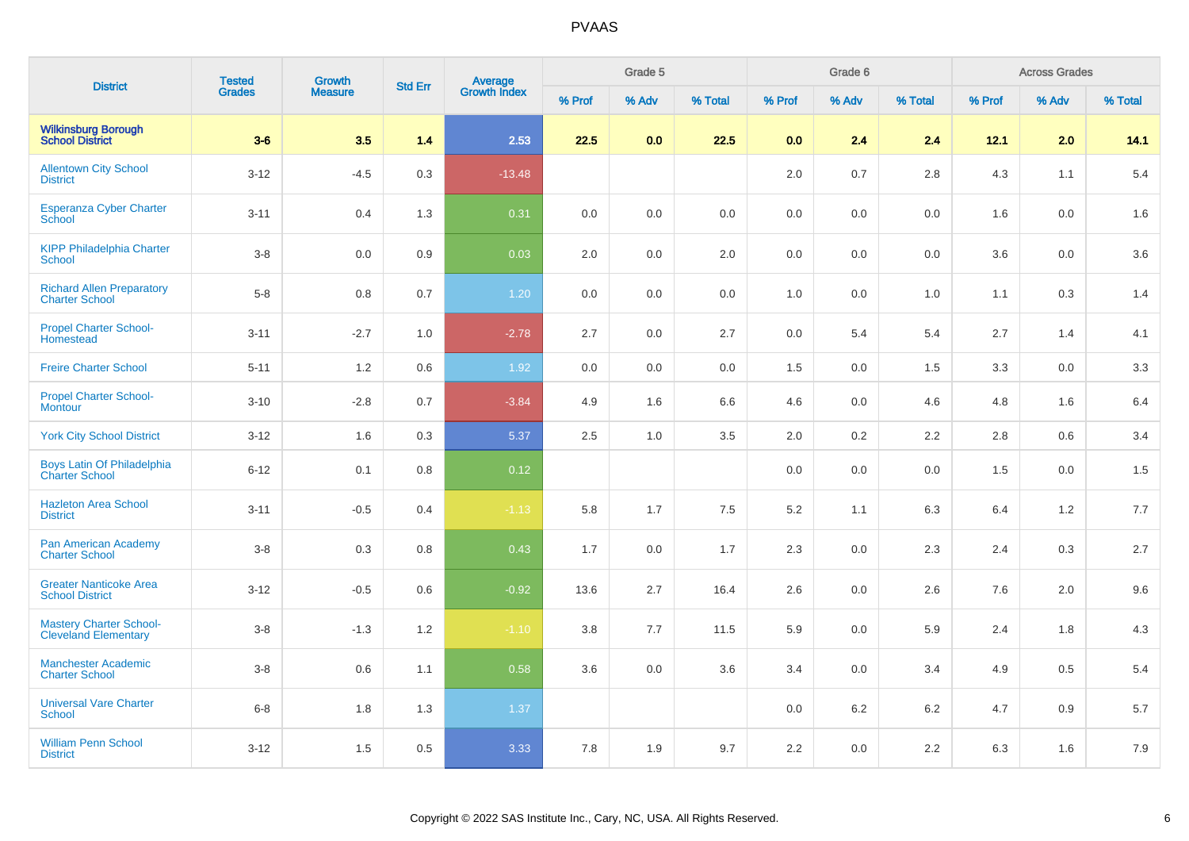| <b>District</b>                                               | <b>Tested</b> | <b>Growth</b>  | <b>Std Err</b> |                                |        | Grade 5 |         |         | Grade 6 |         |        | <b>Across Grades</b> |         |
|---------------------------------------------------------------|---------------|----------------|----------------|--------------------------------|--------|---------|---------|---------|---------|---------|--------|----------------------|---------|
|                                                               | <b>Grades</b> | <b>Measure</b> |                | <b>Average</b><br>Growth Index | % Prof | % Adv   | % Total | % Prof  | % Adv   | % Total | % Prof | % Adv                | % Total |
| <b>Wilkinsburg Borough</b><br><b>School District</b>          | $3-6$         | 3.5            | 1.4            | 2.53                           | 22.5   | 0.0     | 22.5    | 0.0     | 2.4     | 2.4     | 12.1   | 2.0                  | 14.1    |
| <b>Allentown City School</b><br><b>District</b>               | $3 - 12$      | $-4.5$         | 0.3            | $-13.48$                       |        |         |         | 2.0     | 0.7     | 2.8     | 4.3    | 1.1                  | 5.4     |
| <b>Esperanza Cyber Charter</b><br>School                      | $3 - 11$      | 0.4            | 1.3            | 0.31                           | 0.0    | $0.0\,$ | 0.0     | $0.0\,$ | 0.0     | 0.0     | 1.6    | 0.0                  | 1.6     |
| <b>KIPP Philadelphia Charter</b><br>School                    | $3-8$         | $0.0\,$        | 0.9            | 0.03                           | 2.0    | 0.0     | 2.0     | 0.0     | 0.0     | 0.0     | 3.6    | 0.0                  | $3.6\,$ |
| <b>Richard Allen Preparatory</b><br><b>Charter School</b>     | $5-8$         | 0.8            | 0.7            | 1.20                           | 0.0    | 0.0     | 0.0     | 1.0     | 0.0     | 1.0     | 1.1    | 0.3                  | 1.4     |
| <b>Propel Charter School-</b><br>Homestead                    | $3 - 11$      | $-2.7$         | 1.0            | $-2.78$                        | 2.7    | 0.0     | 2.7     | 0.0     | 5.4     | 5.4     | 2.7    | 1.4                  | 4.1     |
| <b>Freire Charter School</b>                                  | $5 - 11$      | 1.2            | 0.6            | 1.92                           | 0.0    | 0.0     | 0.0     | 1.5     | 0.0     | 1.5     | 3.3    | 0.0                  | $3.3\,$ |
| <b>Propel Charter School-</b><br><b>Montour</b>               | $3 - 10$      | $-2.8$         | 0.7            | $-3.84$                        | 4.9    | 1.6     | 6.6     | 4.6     | 0.0     | 4.6     | 4.8    | 1.6                  | 6.4     |
| <b>York City School District</b>                              | $3 - 12$      | 1.6            | 0.3            | 5.37                           | 2.5    | 1.0     | 3.5     | 2.0     | 0.2     | 2.2     | 2.8    | 0.6                  | 3.4     |
| <b>Boys Latin Of Philadelphia</b><br><b>Charter School</b>    | $6 - 12$      | 0.1            | 0.8            | 0.12                           |        |         |         | 0.0     | 0.0     | 0.0     | 1.5    | 0.0                  | 1.5     |
| <b>Hazleton Area School</b><br><b>District</b>                | $3 - 11$      | $-0.5$         | 0.4            | $-1.13$                        | 5.8    | 1.7     | 7.5     | $5.2\,$ | 1.1     | 6.3     | 6.4    | 1.2                  | $7.7\,$ |
| Pan American Academy<br>Charter School                        | $3 - 8$       | $0.3\,$        | 0.8            | 0.43                           | 1.7    | 0.0     | 1.7     | 2.3     | 0.0     | 2.3     | 2.4    | 0.3                  | 2.7     |
| <b>Greater Nanticoke Area</b><br><b>School District</b>       | $3 - 12$      | $-0.5$         | 0.6            | $-0.92$                        | 13.6   | 2.7     | 16.4    | 2.6     | 0.0     | 2.6     | 7.6    | 2.0                  | 9.6     |
| <b>Mastery Charter School-</b><br><b>Cleveland Elementary</b> | $3-8$         | $-1.3$         | 1.2            | $-1.10$                        | 3.8    | 7.7     | 11.5    | 5.9     | 0.0     | 5.9     | 2.4    | 1.8                  | 4.3     |
| <b>Manchester Academic</b><br><b>Charter School</b>           | $3 - 8$       | 0.6            | 1.1            | 0.58                           | 3.6    | 0.0     | 3.6     | 3.4     | 0.0     | 3.4     | 4.9    | 0.5                  | 5.4     |
| <b>Universal Vare Charter</b><br><b>School</b>                | $6 - 8$       | 1.8            | 1.3            | 1.37                           |        |         |         | 0.0     | 6.2     | 6.2     | 4.7    | 0.9                  | 5.7     |
| <b>William Penn School</b><br><b>District</b>                 | $3 - 12$      | 1.5            | 0.5            | 3.33                           | 7.8    | 1.9     | 9.7     | 2.2     | 0.0     | 2.2     | 6.3    | 1.6                  | 7.9     |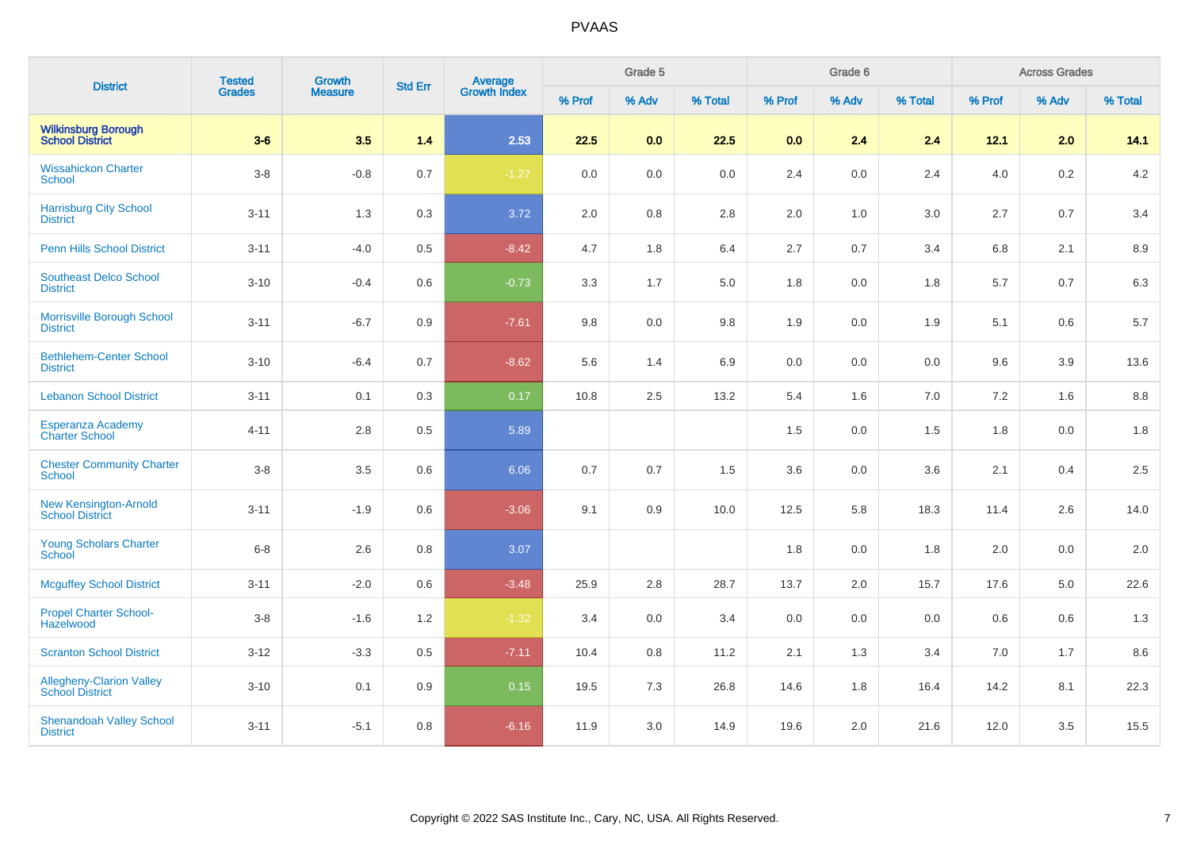| <b>District</b>                                           | <b>Tested</b> | <b>Growth</b>  | <b>Std Err</b> |                         |        | Grade 5 |         |         | Grade 6 |         |        | <b>Across Grades</b> |         |
|-----------------------------------------------------------|---------------|----------------|----------------|-------------------------|--------|---------|---------|---------|---------|---------|--------|----------------------|---------|
|                                                           | <b>Grades</b> | <b>Measure</b> |                | Average<br>Growth Index | % Prof | % Adv   | % Total | % Prof  | % Adv   | % Total | % Prof | % Adv                | % Total |
| <b>Wilkinsburg Borough</b><br><b>School District</b>      | $3-6$         | 3.5            | 1.4            | 2.53                    | 22.5   | 0.0     | 22.5    | 0.0     | 2.4     | 2.4     | 12.1   | 2.0                  | 14.1    |
| <b>Wissahickon Charter</b><br><b>School</b>               | $3-8$         | $-0.8$         | 0.7            | $-1.27$                 | 0.0    | 0.0     | 0.0     | $2.4\,$ | 0.0     | 2.4     | 4.0    | 0.2                  | 4.2     |
| <b>Harrisburg City School</b><br><b>District</b>          | $3 - 11$      | 1.3            | 0.3            | 3.72                    | 2.0    | 0.8     | 2.8     | 2.0     | 1.0     | 3.0     | 2.7    | 0.7                  | 3.4     |
| <b>Penn Hills School District</b>                         | $3 - 11$      | $-4.0$         | 0.5            | $-8.42$                 | 4.7    | 1.8     | 6.4     | 2.7     | 0.7     | 3.4     | 6.8    | 2.1                  | 8.9     |
| <b>Southeast Delco School</b><br><b>District</b>          | $3 - 10$      | $-0.4$         | 0.6            | $-0.73$                 | 3.3    | 1.7     | 5.0     | 1.8     | 0.0     | 1.8     | 5.7    | 0.7                  | 6.3     |
| <b>Morrisville Borough School</b><br><b>District</b>      | $3 - 11$      | $-6.7$         | 0.9            | $-7.61$                 | 9.8    | 0.0     | 9.8     | 1.9     | 0.0     | 1.9     | 5.1    | 0.6                  | 5.7     |
| <b>Bethlehem-Center School</b><br><b>District</b>         | $3 - 10$      | $-6.4$         | 0.7            | $-8.62$                 | 5.6    | 1.4     | 6.9     | 0.0     | 0.0     | 0.0     | 9.6    | 3.9                  | 13.6    |
| <b>Lebanon School District</b>                            | $3 - 11$      | 0.1            | 0.3            | 0.17                    | 10.8   | 2.5     | 13.2    | 5.4     | 1.6     | 7.0     | 7.2    | 1.6                  | 8.8     |
| Esperanza Academy<br>Charter School                       | $4 - 11$      | 2.8            | 0.5            | 5.89                    |        |         |         | 1.5     | 0.0     | 1.5     | 1.8    | 0.0                  | 1.8     |
| <b>Chester Community Charter</b><br><b>School</b>         | $3-8$         | 3.5            | 0.6            | 6.06                    | 0.7    | 0.7     | 1.5     | 3.6     | 0.0     | 3.6     | 2.1    | 0.4                  | 2.5     |
| <b>New Kensington-Arnold</b><br><b>School District</b>    | $3 - 11$      | $-1.9$         | 0.6            | $-3.06$                 | 9.1    | 0.9     | 10.0    | 12.5    | 5.8     | 18.3    | 11.4   | 2.6                  | 14.0    |
| Young Scholars Charter<br>School                          | $6 - 8$       | 2.6            | 0.8            | 3.07                    |        |         |         | 1.8     | 0.0     | 1.8     | 2.0    | 0.0                  | 2.0     |
| <b>Mcguffey School District</b>                           | $3 - 11$      | $-2.0$         | 0.6            | $-3.48$                 | 25.9   | 2.8     | 28.7    | 13.7    | 2.0     | 15.7    | 17.6   | 5.0                  | 22.6    |
| <b>Propel Charter School-</b><br>Hazelwood                | $3-8$         | $-1.6$         | 1.2            | $-1.32$                 | 3.4    | 0.0     | 3.4     | 0.0     | 0.0     | 0.0     | 0.6    | 0.6                  | 1.3     |
| <b>Scranton School District</b>                           | $3 - 12$      | $-3.3$         | 0.5            | $-7.11$                 | 10.4   | 0.8     | 11.2    | 2.1     | 1.3     | 3.4     | 7.0    | 1.7                  | 8.6     |
| <b>Allegheny-Clarion Valley</b><br><b>School District</b> | $3 - 10$      | 0.1            | 0.9            | 0.15                    | 19.5   | 7.3     | 26.8    | 14.6    | 1.8     | 16.4    | 14.2   | 8.1                  | 22.3    |
| <b>Shenandoah Valley School</b><br><b>District</b>        | $3 - 11$      | $-5.1$         | 0.8            | $-6.16$                 | 11.9   | 3.0     | 14.9    | 19.6    | 2.0     | 21.6    | 12.0   | 3.5                  | 15.5    |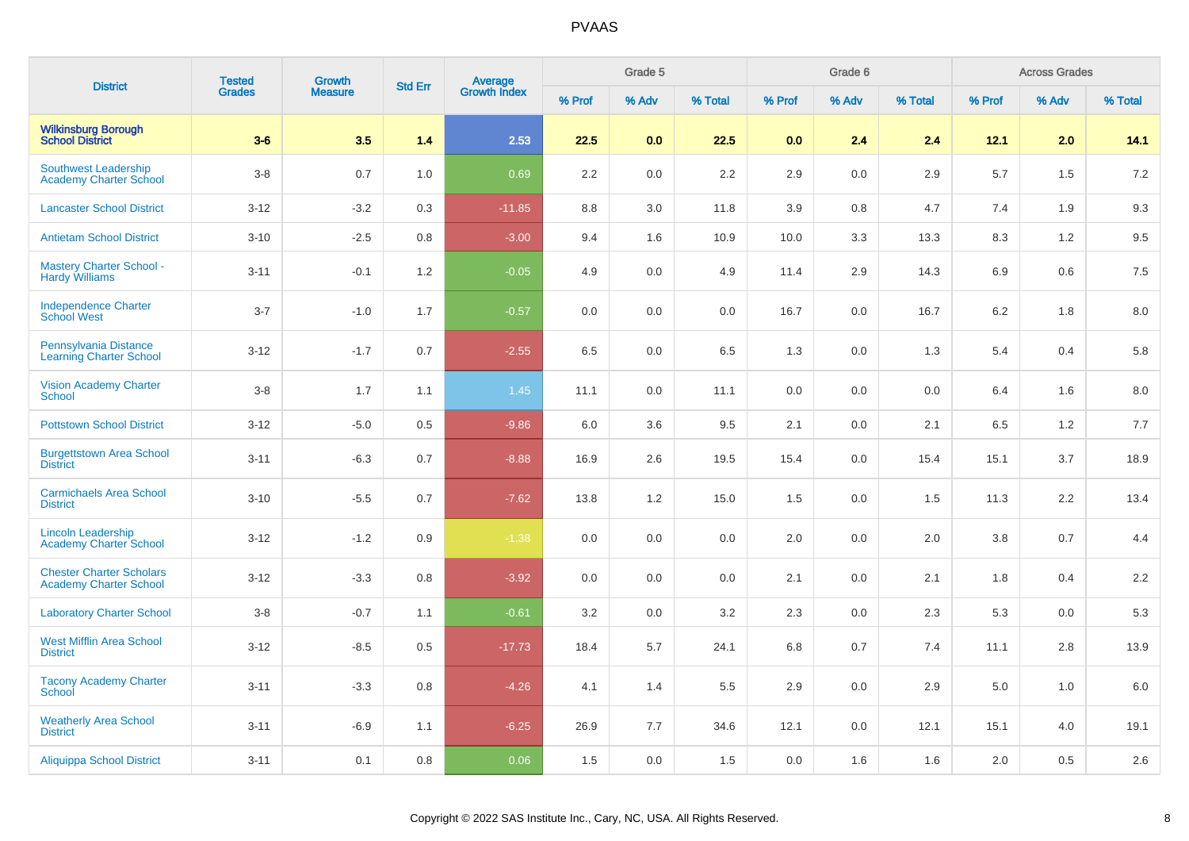| <b>District</b>                                                  | <b>Tested</b> | Growth         |                |                         |         | Grade 5 |         |        | Grade 6 |         |         | <b>Across Grades</b> |         |
|------------------------------------------------------------------|---------------|----------------|----------------|-------------------------|---------|---------|---------|--------|---------|---------|---------|----------------------|---------|
|                                                                  | <b>Grades</b> | <b>Measure</b> | <b>Std Err</b> | Average<br>Growth Index | % Prof  | % Adv   | % Total | % Prof | % Adv   | % Total | % Prof  | % Adv                | % Total |
| <b>Wilkinsburg Borough</b><br><b>School District</b>             | $3-6$         | 3.5            | 1.4            | 2.53                    | 22.5    | 0.0     | 22.5    | 0.0    | 2.4     | 2.4     | 12.1    | 2.0                  | 14.1    |
| <b>Southwest Leadership</b><br><b>Academy Charter School</b>     | $3-8$         | 0.7            | 1.0            | 0.69                    | 2.2     | 0.0     | 2.2     | 2.9    | 0.0     | 2.9     | 5.7     | 1.5                  | 7.2     |
| <b>Lancaster School District</b>                                 | $3 - 12$      | $-3.2$         | 0.3            | $-11.85$                | $8.8\,$ | 3.0     | 11.8    | 3.9    | 0.8     | 4.7     | 7.4     | 1.9                  | 9.3     |
| <b>Antietam School District</b>                                  | $3 - 10$      | $-2.5$         | 0.8            | $-3.00$                 | 9.4     | 1.6     | 10.9    | 10.0   | 3.3     | 13.3    | 8.3     | 1.2                  | $9.5\,$ |
| <b>Mastery Charter School -</b><br><b>Hardy Williams</b>         | $3 - 11$      | $-0.1$         | 1.2            | $-0.05$                 | 4.9     | 0.0     | 4.9     | 11.4   | 2.9     | 14.3    | 6.9     | 0.6                  | 7.5     |
| <b>Independence Charter</b><br><b>School West</b>                | $3 - 7$       | $-1.0$         | 1.7            | $-0.57$                 | 0.0     | 0.0     | 0.0     | 16.7   | 0.0     | 16.7    | $6.2\,$ | 1.8                  | $8.0\,$ |
| Pennsylvania Distance<br><b>Learning Charter School</b>          | $3 - 12$      | $-1.7$         | 0.7            | $-2.55$                 | 6.5     | 0.0     | 6.5     | 1.3    | 0.0     | 1.3     | 5.4     | 0.4                  | 5.8     |
| <b>Vision Academy Charter</b><br><b>School</b>                   | $3-8$         | 1.7            | 1.1            | 1.45                    | 11.1    | 0.0     | 11.1    | 0.0    | 0.0     | 0.0     | 6.4     | 1.6                  | 8.0     |
| <b>Pottstown School District</b>                                 | $3 - 12$      | $-5.0$         | 0.5            | $-9.86$                 | 6.0     | 3.6     | 9.5     | 2.1    | 0.0     | 2.1     | 6.5     | 1.2                  | 7.7     |
| <b>Burgettstown Area School</b><br><b>District</b>               | $3 - 11$      | $-6.3$         | 0.7            | $-8.88$                 | 16.9    | 2.6     | 19.5    | 15.4   | 0.0     | 15.4    | 15.1    | 3.7                  | 18.9    |
| <b>Carmichaels Area School</b><br><b>District</b>                | $3 - 10$      | $-5.5$         | 0.7            | $-7.62$                 | 13.8    | 1.2     | 15.0    | 1.5    | 0.0     | 1.5     | 11.3    | 2.2                  | 13.4    |
| <b>Lincoln Leadership</b><br>Academy Charter School              | $3-12$        | $-1.2$         | 0.9            | $-1.38$                 | 0.0     | 0.0     | 0.0     | 2.0    | 0.0     | 2.0     | 3.8     | 0.7                  | 4.4     |
| <b>Chester Charter Scholars</b><br><b>Academy Charter School</b> | $3-12$        | $-3.3$         | 0.8            | $-3.92$                 | 0.0     | 0.0     | 0.0     | 2.1    | 0.0     | 2.1     | 1.8     | 0.4                  | 2.2     |
| <b>Laboratory Charter School</b>                                 | $3-8$         | $-0.7$         | 1.1            | $-0.61$                 | 3.2     | 0.0     | 3.2     | 2.3    | 0.0     | 2.3     | 5.3     | 0.0                  | 5.3     |
| <b>West Mifflin Area School</b><br><b>District</b>               | $3 - 12$      | $-8.5$         | 0.5            | $-17.73$                | 18.4    | 5.7     | 24.1    | 6.8    | 0.7     | 7.4     | 11.1    | 2.8                  | 13.9    |
| <b>Tacony Academy Charter</b><br>School                          | $3 - 11$      | $-3.3$         | 0.8            | $-4.26$                 | 4.1     | 1.4     | 5.5     | 2.9    | 0.0     | 2.9     | 5.0     | 1.0                  | 6.0     |
| <b>Weatherly Area School</b><br><b>District</b>                  | $3 - 11$      | $-6.9$         | 1.1            | $-6.25$                 | 26.9    | 7.7     | 34.6    | 12.1   | 0.0     | 12.1    | 15.1    | 4.0                  | 19.1    |
| <b>Aliquippa School District</b>                                 | $3 - 11$      | 0.1            | 0.8            | 0.06                    | 1.5     | 0.0     | 1.5     | 0.0    | 1.6     | 1.6     | 2.0     | 0.5                  | 2.6     |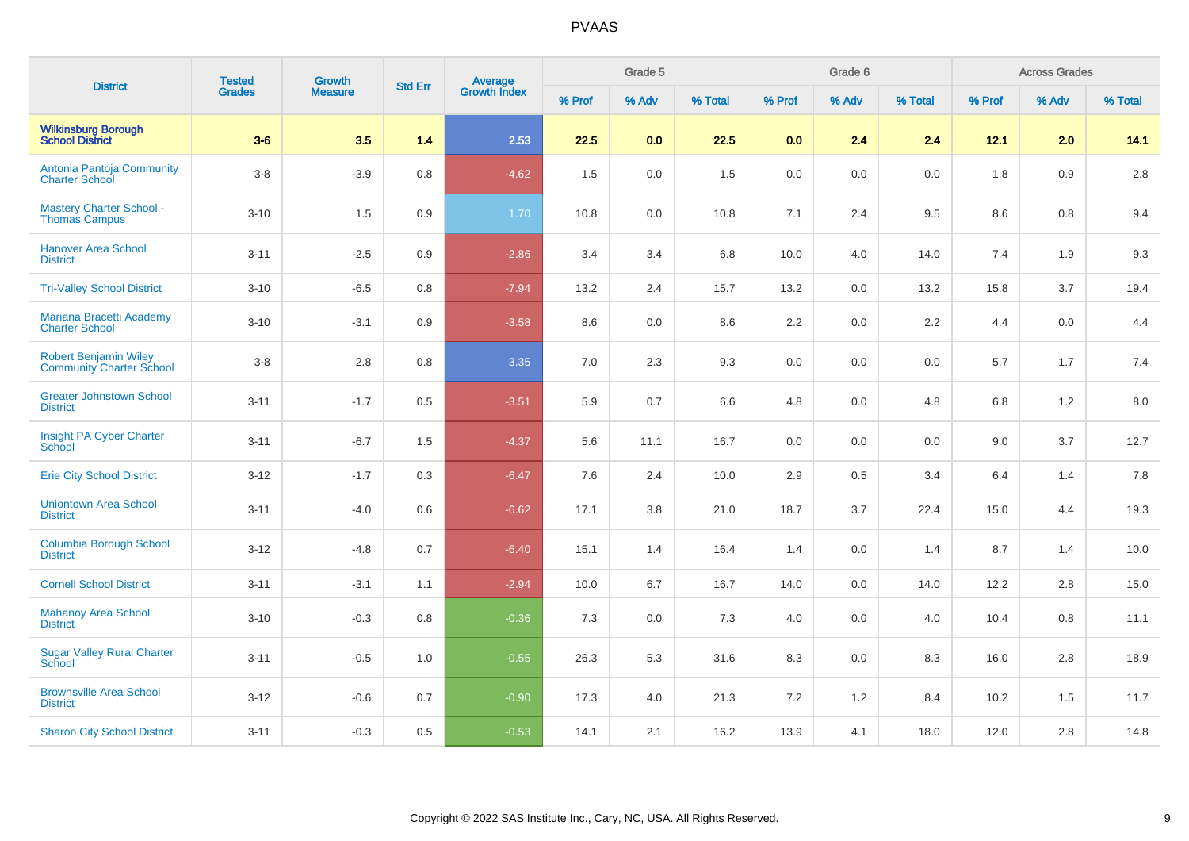| <b>District</b>                                                 | <b>Tested</b> | <b>Growth</b>  | <b>Std Err</b> |                                |        | Grade 5 |         |         | Grade 6 |         |         | <b>Across Grades</b> |         |
|-----------------------------------------------------------------|---------------|----------------|----------------|--------------------------------|--------|---------|---------|---------|---------|---------|---------|----------------------|---------|
|                                                                 | <b>Grades</b> | <b>Measure</b> |                | <b>Average</b><br>Growth Index | % Prof | % Adv   | % Total | % Prof  | % Adv   | % Total | % Prof  | % Adv                | % Total |
| <b>Wilkinsburg Borough</b><br><b>School District</b>            | $3-6$         | 3.5            | 1.4            | 2.53                           | 22.5   | 0.0     | 22.5    | 0.0     | 2.4     | 2.4     | 12.1    | 2.0                  | 14.1    |
| Antonia Pantoja Community<br><b>Charter School</b>              | $3-8$         | $-3.9$         | $0.8\,$        | $-4.62$                        | 1.5    | $0.0\,$ | 1.5     | 0.0     | 0.0     | 0.0     | 1.8     | 0.9                  | 2.8     |
| <b>Mastery Charter School -</b><br><b>Thomas Campus</b>         | $3 - 10$      | 1.5            | 0.9            | 1.70                           | 10.8   | 0.0     | 10.8    | 7.1     | 2.4     | 9.5     | 8.6     | 0.8                  | 9.4     |
| <b>Hanover Area School</b><br><b>District</b>                   | $3 - 11$      | $-2.5$         | 0.9            | $-2.86$                        | 3.4    | 3.4     | 6.8     | 10.0    | 4.0     | 14.0    | 7.4     | 1.9                  | 9.3     |
| <b>Tri-Valley School District</b>                               | $3 - 10$      | $-6.5$         | 0.8            | $-7.94$                        | 13.2   | 2.4     | 15.7    | 13.2    | 0.0     | 13.2    | 15.8    | 3.7                  | 19.4    |
| Mariana Bracetti Academy<br><b>Charter School</b>               | $3 - 10$      | $-3.1$         | 0.9            | $-3.58$                        | 8.6    | 0.0     | 8.6     | 2.2     | 0.0     | 2.2     | 4.4     | 0.0                  | 4.4     |
| <b>Robert Benjamin Wiley</b><br><b>Community Charter School</b> | $3-8$         | 2.8            | 0.8            | 3.35                           | 7.0    | 2.3     | 9.3     | $0.0\,$ | 0.0     | 0.0     | 5.7     | 1.7                  | 7.4     |
| <b>Greater Johnstown School</b><br><b>District</b>              | $3 - 11$      | $-1.7$         | 0.5            | $-3.51$                        | 5.9    | 0.7     | 6.6     | 4.8     | 0.0     | 4.8     | $6.8\,$ | 1.2                  | 8.0     |
| Insight PA Cyber Charter<br><b>School</b>                       | $3 - 11$      | $-6.7$         | 1.5            | $-4.37$                        | 5.6    | 11.1    | 16.7    | 0.0     | 0.0     | 0.0     | 9.0     | 3.7                  | 12.7    |
| <b>Erie City School District</b>                                | $3 - 12$      | $-1.7$         | 0.3            | $-6.47$                        | 7.6    | 2.4     | 10.0    | 2.9     | 0.5     | 3.4     | 6.4     | 1.4                  | 7.8     |
| <b>Uniontown Area School</b><br><b>District</b>                 | $3 - 11$      | $-4.0$         | 0.6            | $-6.62$                        | 17.1   | 3.8     | 21.0    | 18.7    | 3.7     | 22.4    | 15.0    | 4.4                  | 19.3    |
| <b>Columbia Borough School</b><br><b>District</b>               | $3 - 12$      | $-4.8$         | 0.7            | $-6.40$                        | 15.1   | 1.4     | 16.4    | 1.4     | 0.0     | 1.4     | 8.7     | 1.4                  | 10.0    |
| <b>Cornell School District</b>                                  | $3 - 11$      | $-3.1$         | 1.1            | $-2.94$                        | 10.0   | 6.7     | 16.7    | 14.0    | 0.0     | 14.0    | 12.2    | 2.8                  | 15.0    |
| <b>Mahanoy Area School</b><br><b>District</b>                   | $3 - 10$      | $-0.3$         | 0.8            | $-0.36$                        | 7.3    | $0.0\,$ | 7.3     | 4.0     | 0.0     | $4.0\,$ | 10.4    | 0.8                  | 11.1    |
| <b>Sugar Valley Rural Charter</b><br>School                     | $3 - 11$      | $-0.5$         | 1.0            | $-0.55$                        | 26.3   | 5.3     | 31.6    | 8.3     | 0.0     | 8.3     | 16.0    | 2.8                  | 18.9    |
| <b>Brownsville Area School</b><br><b>District</b>               | $3 - 12$      | $-0.6$         | 0.7            | $-0.90$                        | 17.3   | 4.0     | 21.3    | 7.2     | 1.2     | 8.4     | 10.2    | 1.5                  | 11.7    |
| <b>Sharon City School District</b>                              | $3 - 11$      | $-0.3$         | 0.5            | $-0.53$                        | 14.1   | 2.1     | 16.2    | 13.9    | 4.1     | 18.0    | 12.0    | 2.8                  | 14.8    |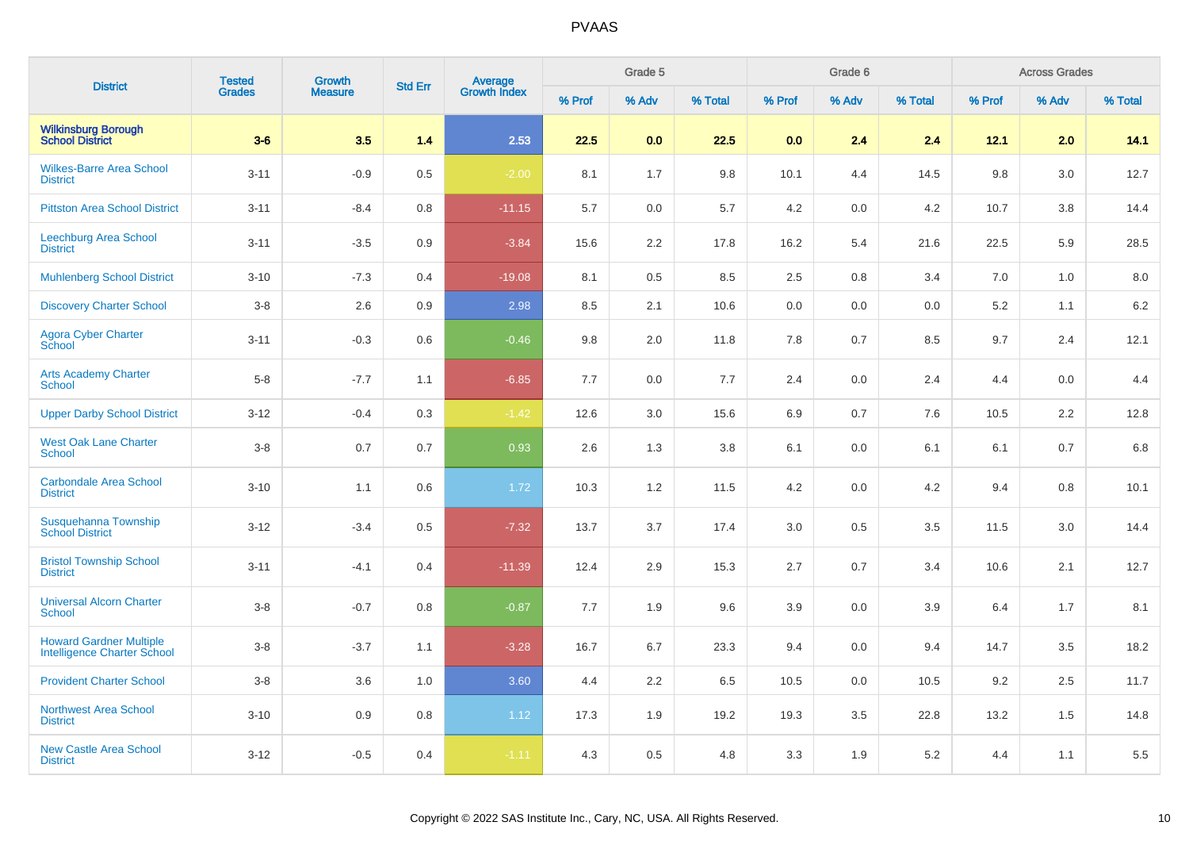| <b>District</b>                                                      | <b>Tested</b> | <b>Growth</b>  | <b>Std Err</b> | Average<br>Growth Index |        | Grade 5 |         |        | Grade 6 |         |        | <b>Across Grades</b> |         |
|----------------------------------------------------------------------|---------------|----------------|----------------|-------------------------|--------|---------|---------|--------|---------|---------|--------|----------------------|---------|
|                                                                      | <b>Grades</b> | <b>Measure</b> |                |                         | % Prof | % Adv   | % Total | % Prof | % Adv   | % Total | % Prof | % Adv                | % Total |
| <b>Wilkinsburg Borough<br/>School District</b>                       | $3-6$         | 3.5            | 1.4            | 2.53                    | 22.5   | 0.0     | 22.5    | 0.0    | 2.4     | 2.4     | 12.1   | 2.0                  | 14.1    |
| <b>Wilkes-Barre Area School</b><br><b>District</b>                   | $3 - 11$      | $-0.9$         | 0.5            | $-2.00$                 | 8.1    | 1.7     | 9.8     | 10.1   | 4.4     | 14.5    | 9.8    | 3.0                  | 12.7    |
| <b>Pittston Area School District</b>                                 | $3 - 11$      | $-8.4$         | 0.8            | $-11.15$                | 5.7    | 0.0     | 5.7     | 4.2    | 0.0     | 4.2     | 10.7   | 3.8                  | 14.4    |
| Leechburg Area School<br><b>District</b>                             | $3 - 11$      | $-3.5$         | 0.9            | $-3.84$                 | 15.6   | 2.2     | 17.8    | 16.2   | 5.4     | 21.6    | 22.5   | 5.9                  | 28.5    |
| <b>Muhlenberg School District</b>                                    | $3 - 10$      | $-7.3$         | 0.4            | $-19.08$                | 8.1    | 0.5     | 8.5     | 2.5    | 0.8     | 3.4     | 7.0    | 1.0                  | 8.0     |
| <b>Discovery Charter School</b>                                      | $3-8$         | 2.6            | 0.9            | 2.98                    | 8.5    | 2.1     | 10.6    | 0.0    | 0.0     | 0.0     | 5.2    | 1.1                  | $6.2\,$ |
| Agora Cyber Charter<br>School                                        | $3 - 11$      | $-0.3$         | 0.6            | $-0.46$                 | 9.8    | 2.0     | 11.8    | 7.8    | 0.7     | 8.5     | 9.7    | 2.4                  | 12.1    |
| <b>Arts Academy Charter</b><br>School                                | $5-8$         | $-7.7$         | 1.1            | $-6.85$                 | 7.7    | 0.0     | 7.7     | 2.4    | 0.0     | 2.4     | 4.4    | 0.0                  | 4.4     |
| <b>Upper Darby School District</b>                                   | $3 - 12$      | $-0.4$         | 0.3            | $-1.42$                 | 12.6   | 3.0     | 15.6    | 6.9    | 0.7     | 7.6     | 10.5   | 2.2                  | 12.8    |
| <b>West Oak Lane Charter</b><br><b>School</b>                        | $3-8$         | 0.7            | 0.7            | 0.93                    | 2.6    | 1.3     | 3.8     | 6.1    | 0.0     | 6.1     | 6.1    | 0.7                  | 6.8     |
| <b>Carbondale Area School</b><br><b>District</b>                     | $3 - 10$      | 1.1            | 0.6            | 1.72                    | 10.3   | 1.2     | 11.5    | 4.2    | 0.0     | 4.2     | 9.4    | 0.8                  | 10.1    |
| Susquehanna Township<br><b>School District</b>                       | $3 - 12$      | $-3.4$         | 0.5            | $-7.32$                 | 13.7   | 3.7     | 17.4    | 3.0    | 0.5     | 3.5     | 11.5   | 3.0                  | 14.4    |
| <b>Bristol Township School</b><br><b>District</b>                    | $3 - 11$      | $-4.1$         | 0.4            | $-11.39$                | 12.4   | 2.9     | 15.3    | 2.7    | 0.7     | 3.4     | 10.6   | 2.1                  | 12.7    |
| <b>Universal Alcorn Charter</b><br><b>School</b>                     | $3-8$         | $-0.7$         | 0.8            | $-0.87$                 | 7.7    | 1.9     | 9.6     | 3.9    | 0.0     | 3.9     | 6.4    | 1.7                  | 8.1     |
| <b>Howard Gardner Multiple</b><br><b>Intelligence Charter School</b> | $3 - 8$       | $-3.7$         | 1.1            | $-3.28$                 | 16.7   | 6.7     | 23.3    | 9.4    | 0.0     | 9.4     | 14.7   | 3.5                  | 18.2    |
| <b>Provident Charter School</b>                                      | $3-8$         | 3.6            | 1.0            | 3.60                    | 4.4    | 2.2     | 6.5     | 10.5   | 0.0     | 10.5    | 9.2    | 2.5                  | 11.7    |
| <b>Northwest Area School</b><br><b>District</b>                      | $3 - 10$      | 0.9            | 0.8            | 1.12                    | 17.3   | 1.9     | 19.2    | 19.3   | 3.5     | 22.8    | 13.2   | 1.5                  | 14.8    |
| <b>New Castle Area School</b><br><b>District</b>                     | $3 - 12$      | $-0.5$         | 0.4            | $-1.11$                 | 4.3    | 0.5     | 4.8     | 3.3    | 1.9     | $5.2\,$ | 4.4    | 1.1                  | 5.5     |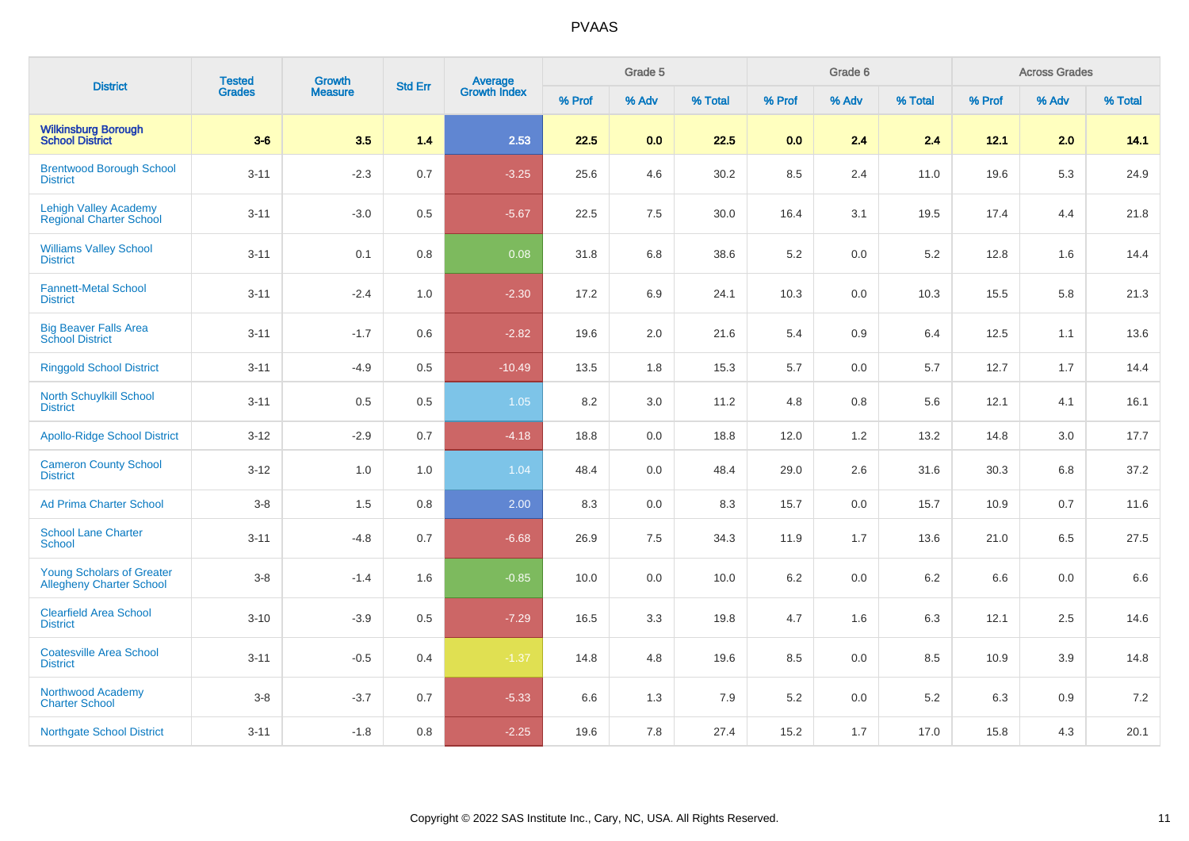| <b>District</b>                                                     | <b>Tested</b> | <b>Growth</b>  | <b>Std Err</b> |                         |        | Grade 5 |         |        | Grade 6 |         |         | <b>Across Grades</b> |         |
|---------------------------------------------------------------------|---------------|----------------|----------------|-------------------------|--------|---------|---------|--------|---------|---------|---------|----------------------|---------|
|                                                                     | <b>Grades</b> | <b>Measure</b> |                | Average<br>Growth Index | % Prof | % Adv   | % Total | % Prof | % Adv   | % Total | % Prof  | % Adv                | % Total |
| <b>Wilkinsburg Borough</b><br><b>School District</b>                | $3-6$         | 3.5            | 1.4            | 2.53                    | 22.5   | 0.0     | 22.5    | 0.0    | 2.4     | 2.4     | 12.1    | 2.0                  | 14.1    |
| <b>Brentwood Borough School</b><br><b>District</b>                  | $3 - 11$      | $-2.3$         | 0.7            | $-3.25$                 | 25.6   | 4.6     | 30.2    | 8.5    | 2.4     | 11.0    | 19.6    | $5.3\,$              | 24.9    |
| <b>Lehigh Valley Academy</b><br><b>Regional Charter School</b>      | $3 - 11$      | $-3.0$         | 0.5            | $-5.67$                 | 22.5   | $7.5\,$ | 30.0    | 16.4   | 3.1     | 19.5    | 17.4    | 4.4                  | 21.8    |
| <b>Williams Valley School</b><br><b>District</b>                    | $3 - 11$      | 0.1            | 0.8            | 0.08                    | 31.8   | 6.8     | 38.6    | 5.2    | 0.0     | 5.2     | 12.8    | 1.6                  | 14.4    |
| <b>Fannett-Metal School</b><br><b>District</b>                      | $3 - 11$      | $-2.4$         | 1.0            | $-2.30$                 | 17.2   | 6.9     | 24.1    | 10.3   | 0.0     | 10.3    | 15.5    | 5.8                  | 21.3    |
| <b>Big Beaver Falls Area</b><br><b>School District</b>              | $3 - 11$      | $-1.7$         | 0.6            | $-2.82$                 | 19.6   | 2.0     | 21.6    | 5.4    | 0.9     | 6.4     | 12.5    | 1.1                  | 13.6    |
| <b>Ringgold School District</b>                                     | $3 - 11$      | $-4.9$         | 0.5            | $-10.49$                | 13.5   | 1.8     | 15.3    | 5.7    | 0.0     | 5.7     | 12.7    | 1.7                  | 14.4    |
| <b>North Schuylkill School</b><br><b>District</b>                   | $3 - 11$      | 0.5            | 0.5            | 1.05                    | 8.2    | 3.0     | 11.2    | 4.8    | 0.8     | 5.6     | 12.1    | 4.1                  | 16.1    |
| <b>Apollo-Ridge School District</b>                                 | $3 - 12$      | $-2.9$         | 0.7            | $-4.18$                 | 18.8   | 0.0     | 18.8    | 12.0   | $1.2$   | 13.2    | 14.8    | 3.0                  | 17.7    |
| <b>Cameron County School</b><br><b>District</b>                     | $3 - 12$      | 1.0            | 1.0            | 1.04                    | 48.4   | $0.0\,$ | 48.4    | 29.0   | 2.6     | 31.6    | 30.3    | 6.8                  | 37.2    |
| <b>Ad Prima Charter School</b>                                      | $3-8$         | 1.5            | 0.8            | 2.00                    | 8.3    | 0.0     | 8.3     | 15.7   | 0.0     | 15.7    | 10.9    | 0.7                  | 11.6    |
| <b>School Lane Charter</b><br><b>School</b>                         | $3 - 11$      | $-4.8$         | 0.7            | $-6.68$                 | 26.9   | 7.5     | 34.3    | 11.9   | 1.7     | 13.6    | 21.0    | 6.5                  | 27.5    |
| <b>Young Scholars of Greater</b><br><b>Allegheny Charter School</b> | $3-8$         | $-1.4$         | 1.6            | $-0.85$                 | 10.0   | 0.0     | 10.0    | 6.2    | $0.0\,$ | $6.2\,$ | $6.6\,$ | $0.0\,$              | 6.6     |
| <b>Clearfield Area School</b><br><b>District</b>                    | $3 - 10$      | $-3.9$         | 0.5            | $-7.29$                 | 16.5   | 3.3     | 19.8    | 4.7    | 1.6     | 6.3     | 12.1    | 2.5                  | 14.6    |
| <b>Coatesville Area School</b><br><b>District</b>                   | $3 - 11$      | $-0.5$         | 0.4            | $-1.37$                 | 14.8   | 4.8     | 19.6    | 8.5    | 0.0     | 8.5     | 10.9    | 3.9                  | 14.8    |
| Northwood Academy<br><b>Charter School</b>                          | $3-8$         | $-3.7$         | 0.7            | $-5.33$                 | 6.6    | 1.3     | 7.9     | 5.2    | 0.0     | $5.2\,$ | 6.3     | 0.9                  | 7.2     |
| <b>Northgate School District</b>                                    | $3 - 11$      | $-1.8$         | 0.8            | $-2.25$                 | 19.6   | 7.8     | 27.4    | 15.2   | 1.7     | 17.0    | 15.8    | 4.3                  | 20.1    |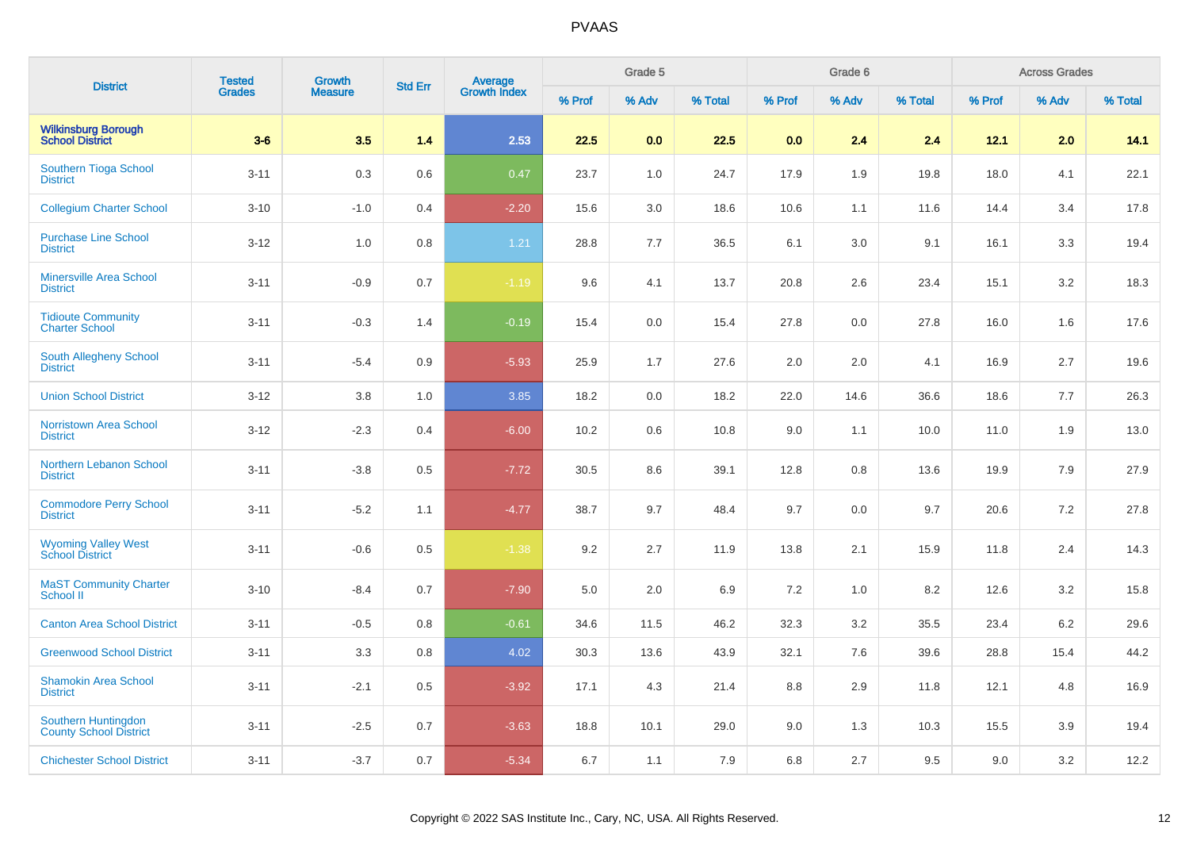| <b>District</b>                                      | <b>Tested</b> | <b>Growth</b>  | <b>Std Err</b> |                                |        | Grade 5 |         |        | Grade 6 |         |        | <b>Across Grades</b> |         |
|------------------------------------------------------|---------------|----------------|----------------|--------------------------------|--------|---------|---------|--------|---------|---------|--------|----------------------|---------|
|                                                      | <b>Grades</b> | <b>Measure</b> |                | <b>Average</b><br>Growth Index | % Prof | % Adv   | % Total | % Prof | % Adv   | % Total | % Prof | % Adv                | % Total |
| <b>Wilkinsburg Borough<br/>School District</b>       | $3-6$         | 3.5            | 1.4            | 2.53                           | 22.5   | 0.0     | 22.5    | 0.0    | 2.4     | 2.4     | 12.1   | 2.0                  | 14.1    |
| Southern Tioga School<br><b>District</b>             | $3 - 11$      | 0.3            | 0.6            | 0.47                           | 23.7   | 1.0     | 24.7    | 17.9   | 1.9     | 19.8    | 18.0   | 4.1                  | 22.1    |
| <b>Collegium Charter School</b>                      | $3 - 10$      | $-1.0$         | 0.4            | $-2.20$                        | 15.6   | 3.0     | 18.6    | 10.6   | 1.1     | 11.6    | 14.4   | 3.4                  | 17.8    |
| <b>Purchase Line School</b><br><b>District</b>       | $3-12$        | 1.0            | 0.8            | 1.21                           | 28.8   | 7.7     | 36.5    | 6.1    | 3.0     | 9.1     | 16.1   | 3.3                  | 19.4    |
| <b>Minersville Area School</b><br><b>District</b>    | $3 - 11$      | $-0.9$         | 0.7            | $-1.19$                        | 9.6    | 4.1     | 13.7    | 20.8   | 2.6     | 23.4    | 15.1   | 3.2                  | 18.3    |
| <b>Tidioute Community</b><br><b>Charter School</b>   | $3 - 11$      | $-0.3$         | 1.4            | $-0.19$                        | 15.4   | 0.0     | 15.4    | 27.8   | 0.0     | 27.8    | 16.0   | 1.6                  | 17.6    |
| South Allegheny School<br><b>District</b>            | $3 - 11$      | $-5.4$         | 0.9            | $-5.93$                        | 25.9   | 1.7     | 27.6    | 2.0    | 2.0     | 4.1     | 16.9   | 2.7                  | 19.6    |
| <b>Union School District</b>                         | $3 - 12$      | 3.8            | 1.0            | 3.85                           | 18.2   | 0.0     | 18.2    | 22.0   | 14.6    | 36.6    | 18.6   | 7.7                  | 26.3    |
| <b>Norristown Area School</b><br><b>District</b>     | $3-12$        | $-2.3$         | 0.4            | $-6.00$                        | 10.2   | 0.6     | 10.8    | 9.0    | 1.1     | 10.0    | 11.0   | 1.9                  | 13.0    |
| <b>Northern Lebanon School</b><br><b>District</b>    | $3 - 11$      | $-3.8$         | 0.5            | $-7.72$                        | 30.5   | 8.6     | 39.1    | 12.8   | 0.8     | 13.6    | 19.9   | 7.9                  | 27.9    |
| <b>Commodore Perry School</b><br><b>District</b>     | $3 - 11$      | $-5.2$         | 1.1            | $-4.77$                        | 38.7   | 9.7     | 48.4    | 9.7    | 0.0     | 9.7     | 20.6   | 7.2                  | 27.8    |
| <b>Wyoming Valley West</b><br><b>School District</b> | $3 - 11$      | $-0.6$         | 0.5            | $-1.38$                        | 9.2    | 2.7     | 11.9    | 13.8   | 2.1     | 15.9    | 11.8   | 2.4                  | 14.3    |
| <b>MaST Community Charter</b><br>School II           | $3 - 10$      | $-8.4$         | 0.7            | $-7.90$                        | 5.0    | 2.0     | 6.9     | 7.2    | 1.0     | 8.2     | 12.6   | 3.2                  | 15.8    |
| <b>Canton Area School District</b>                   | $3 - 11$      | $-0.5$         | 0.8            | $-0.61$                        | 34.6   | 11.5    | 46.2    | 32.3   | 3.2     | 35.5    | 23.4   | 6.2                  | 29.6    |
| <b>Greenwood School District</b>                     | $3 - 11$      | 3.3            | 0.8            | 4.02                           | 30.3   | 13.6    | 43.9    | 32.1   | 7.6     | 39.6    | 28.8   | 15.4                 | 44.2    |
| <b>Shamokin Area School</b><br><b>District</b>       | $3 - 11$      | $-2.1$         | 0.5            | $-3.92$                        | 17.1   | 4.3     | 21.4    | 8.8    | 2.9     | 11.8    | 12.1   | 4.8                  | 16.9    |
| Southern Huntingdon<br><b>County School District</b> | $3 - 11$      | $-2.5$         | 0.7            | $-3.63$                        | 18.8   | 10.1    | 29.0    | 9.0    | 1.3     | 10.3    | 15.5   | 3.9                  | 19.4    |
| <b>Chichester School District</b>                    | $3 - 11$      | $-3.7$         | 0.7            | $-5.34$                        | 6.7    | 1.1     | 7.9     | 6.8    | 2.7     | 9.5     | 9.0    | 3.2                  | 12.2    |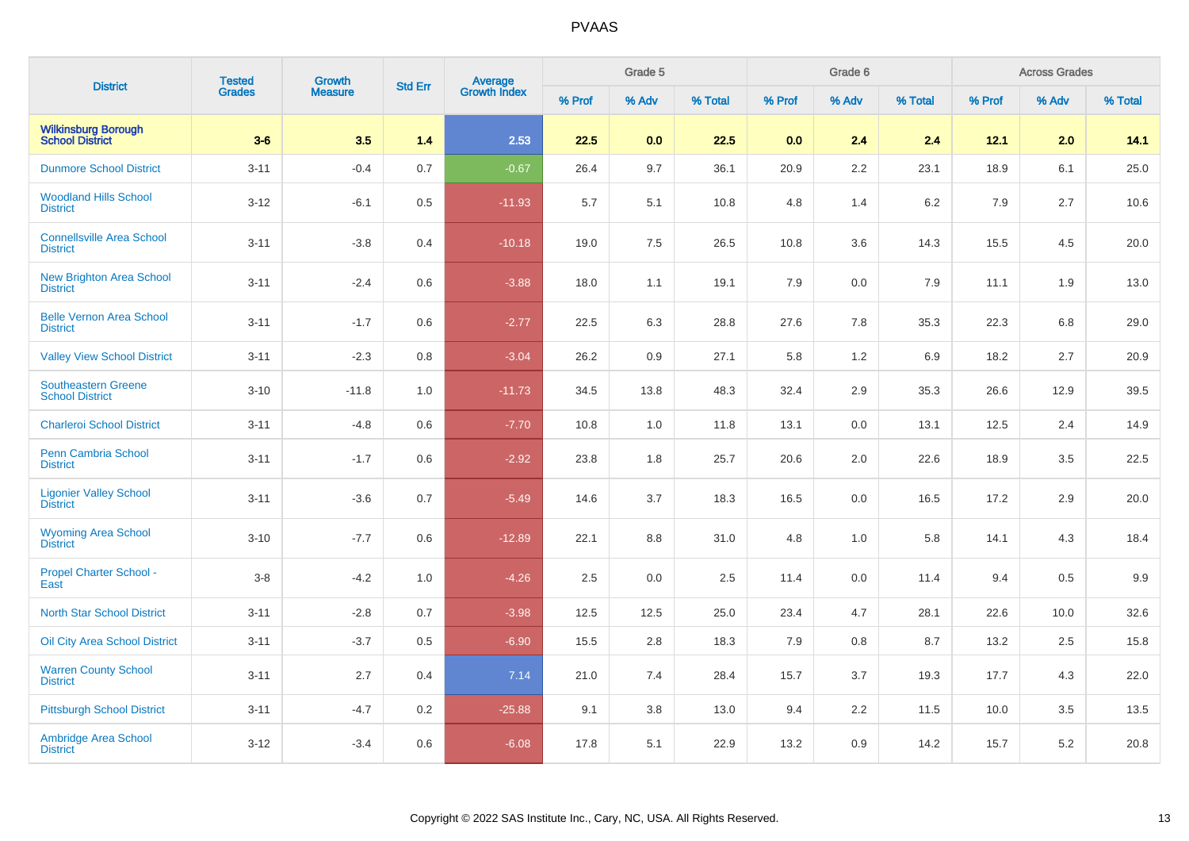| <b>District</b>                                      | <b>Tested</b> |                   | <b>Std Err</b> |                                |        | Grade 5 |         |        | Grade 6 |         |        | <b>Across Grades</b> |         |
|------------------------------------------------------|---------------|-------------------|----------------|--------------------------------|--------|---------|---------|--------|---------|---------|--------|----------------------|---------|
|                                                      | Grades        | Growth<br>Measure |                | <b>Average</b><br>Growth Index | % Prof | % Adv   | % Total | % Prof | % Adv   | % Total | % Prof | % Adv                | % Total |
| <b>Wilkinsburg Borough</b><br><b>School District</b> | $3-6$         | 3.5               | 1.4            | 2.53                           | 22.5   | 0.0     | 22.5    | 0.0    | 2.4     | 2.4     | 12.1   | 2.0                  | 14.1    |
| <b>Dunmore School District</b>                       | $3 - 11$      | $-0.4$            | 0.7            | $-0.67$                        | 26.4   | 9.7     | 36.1    | 20.9   | 2.2     | 23.1    | 18.9   | 6.1                  | 25.0    |
| <b>Woodland Hills School</b><br><b>District</b>      | $3 - 12$      | $-6.1$            | 0.5            | $-11.93$                       | 5.7    | 5.1     | 10.8    | 4.8    | 1.4     | 6.2     | 7.9    | 2.7                  | 10.6    |
| <b>Connellsville Area School</b><br><b>District</b>  | $3 - 11$      | $-3.8$            | 0.4            | $-10.18$                       | 19.0   | 7.5     | 26.5    | 10.8   | 3.6     | 14.3    | 15.5   | 4.5                  | 20.0    |
| <b>New Brighton Area School</b><br><b>District</b>   | $3 - 11$      | $-2.4$            | 0.6            | $-3.88$                        | 18.0   | 1.1     | 19.1    | 7.9    | 0.0     | 7.9     | 11.1   | 1.9                  | 13.0    |
| <b>Belle Vernon Area School</b><br><b>District</b>   | $3 - 11$      | $-1.7$            | 0.6            | $-2.77$                        | 22.5   | 6.3     | 28.8    | 27.6   | 7.8     | 35.3    | 22.3   | 6.8                  | 29.0    |
| <b>Valley View School District</b>                   | $3 - 11$      | $-2.3$            | 0.8            | $-3.04$                        | 26.2   | 0.9     | 27.1    | 5.8    | $1.2$   | 6.9     | 18.2   | 2.7                  | 20.9    |
| <b>Southeastern Greene</b><br><b>School District</b> | $3 - 10$      | $-11.8$           | 1.0            | $-11.73$                       | 34.5   | 13.8    | 48.3    | 32.4   | 2.9     | 35.3    | 26.6   | 12.9                 | 39.5    |
| <b>Charleroi School District</b>                     | $3 - 11$      | $-4.8$            | 0.6            | $-7.70$                        | 10.8   | 1.0     | 11.8    | 13.1   | 0.0     | 13.1    | 12.5   | 2.4                  | 14.9    |
| Penn Cambria School<br><b>District</b>               | $3 - 11$      | $-1.7$            | 0.6            | $-2.92$                        | 23.8   | 1.8     | 25.7    | 20.6   | 2.0     | 22.6    | 18.9   | 3.5                  | 22.5    |
| <b>Ligonier Valley School</b><br><b>District</b>     | $3 - 11$      | $-3.6$            | 0.7            | $-5.49$                        | 14.6   | 3.7     | 18.3    | 16.5   | 0.0     | 16.5    | 17.2   | 2.9                  | 20.0    |
| <b>Wyoming Area School</b><br><b>District</b>        | $3 - 10$      | $-7.7$            | 0.6            | $-12.89$                       | 22.1   | 8.8     | 31.0    | 4.8    | 1.0     | 5.8     | 14.1   | 4.3                  | 18.4    |
| <b>Propel Charter School -</b><br>East               | $3 - 8$       | $-4.2$            | 1.0            | $-4.26$                        | 2.5    | 0.0     | 2.5     | 11.4   | 0.0     | 11.4    | 9.4    | 0.5                  | 9.9     |
| <b>North Star School District</b>                    | $3 - 11$      | $-2.8$            | 0.7            | $-3.98$                        | 12.5   | 12.5    | 25.0    | 23.4   | 4.7     | 28.1    | 22.6   | 10.0                 | 32.6    |
| <b>Oil City Area School District</b>                 | $3 - 11$      | $-3.7$            | 0.5            | $-6.90$                        | 15.5   | 2.8     | 18.3    | 7.9    | 0.8     | 8.7     | 13.2   | 2.5                  | 15.8    |
| <b>Warren County School</b><br><b>District</b>       | $3 - 11$      | 2.7               | 0.4            | 7.14                           | 21.0   | 7.4     | 28.4    | 15.7   | 3.7     | 19.3    | 17.7   | 4.3                  | 22.0    |
| <b>Pittsburgh School District</b>                    | $3 - 11$      | $-4.7$            | 0.2            | $-25.88$                       | 9.1    | 3.8     | 13.0    | 9.4    | 2.2     | 11.5    | 10.0   | 3.5                  | 13.5    |
| Ambridge Area School<br><b>District</b>              | $3 - 12$      | $-3.4$            | 0.6            | $-6.08$                        | 17.8   | 5.1     | 22.9    | 13.2   | 0.9     | 14.2    | 15.7   | 5.2                  | 20.8    |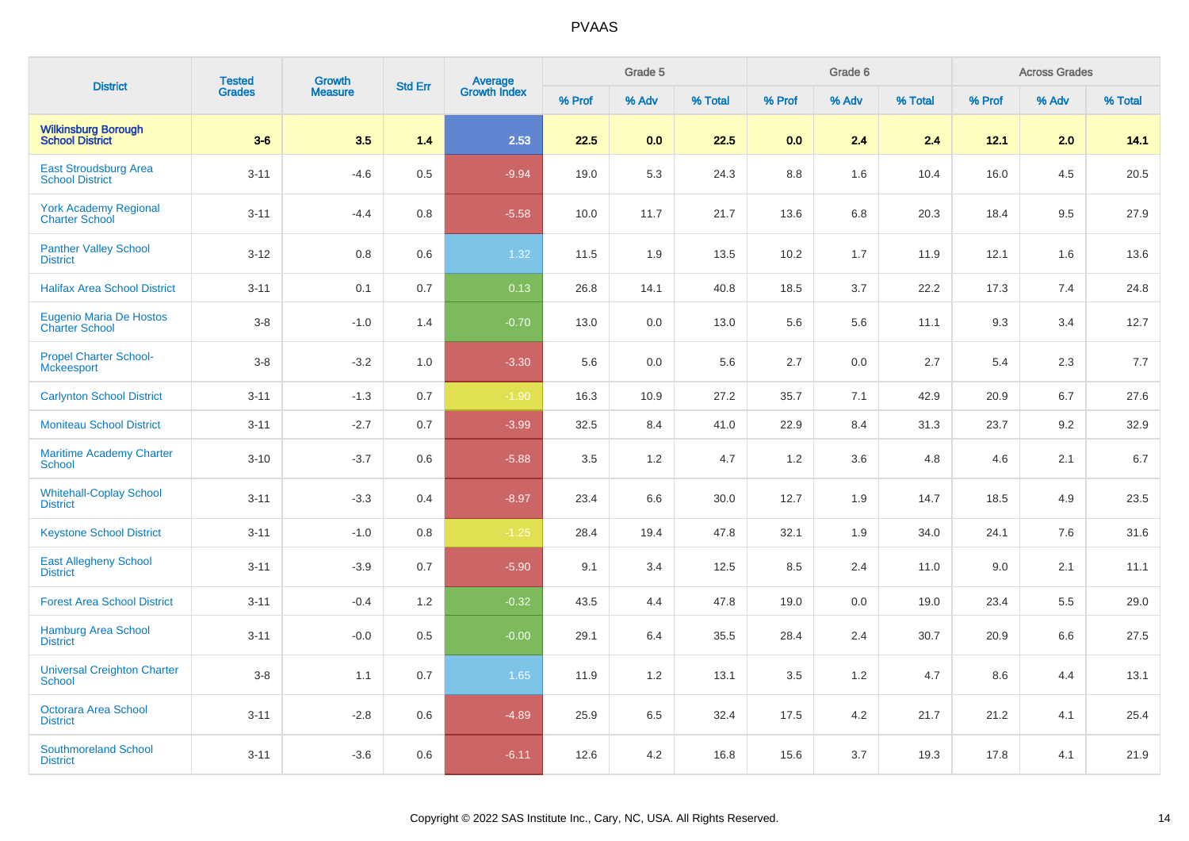| <b>District</b>                                         | <b>Tested</b> | <b>Growth</b>  | <b>Std Err</b> | Average<br>Growth Index |        | Grade 5 |         |        | Grade 6 |         |        | <b>Across Grades</b> |         |
|---------------------------------------------------------|---------------|----------------|----------------|-------------------------|--------|---------|---------|--------|---------|---------|--------|----------------------|---------|
|                                                         | <b>Grades</b> | <b>Measure</b> |                |                         | % Prof | % Adv   | % Total | % Prof | % Adv   | % Total | % Prof | % Adv                | % Total |
| <b>Wilkinsburg Borough</b><br><b>School District</b>    | $3-6$         | 3.5            | 1.4            | 2.53                    | 22.5   | 0.0     | 22.5    | 0.0    | 2.4     | 2.4     | 12.1   | 2.0                  | 14.1    |
| East Stroudsburg Area<br><b>School District</b>         | $3 - 11$      | $-4.6$         | 0.5            | $-9.94$                 | 19.0   | 5.3     | 24.3    | 8.8    | 1.6     | 10.4    | 16.0   | 4.5                  | 20.5    |
| <b>York Academy Regional</b><br><b>Charter School</b>   | $3 - 11$      | $-4.4$         | 0.8            | $-5.58$                 | 10.0   | 11.7    | 21.7    | 13.6   | 6.8     | 20.3    | 18.4   | 9.5                  | 27.9    |
| <b>Panther Valley School</b><br><b>District</b>         | $3 - 12$      | 0.8            | 0.6            | 1.32                    | 11.5   | 1.9     | 13.5    | 10.2   | 1.7     | 11.9    | 12.1   | 1.6                  | 13.6    |
| <b>Halifax Area School District</b>                     | $3 - 11$      | 0.1            | 0.7            | 0.13                    | 26.8   | 14.1    | 40.8    | 18.5   | 3.7     | 22.2    | 17.3   | 7.4                  | 24.8    |
| <b>Eugenio Maria De Hostos</b><br><b>Charter School</b> | $3-8$         | $-1.0$         | 1.4            | $-0.70$                 | 13.0   | 0.0     | 13.0    | 5.6    | 5.6     | 11.1    | 9.3    | 3.4                  | 12.7    |
| <b>Propel Charter School-</b><br><b>Mckeesport</b>      | $3 - 8$       | $-3.2$         | 1.0            | $-3.30$                 | 5.6    | 0.0     | 5.6     | 2.7    | 0.0     | 2.7     | 5.4    | 2.3                  | 7.7     |
| <b>Carlynton School District</b>                        | $3 - 11$      | $-1.3$         | 0.7            | $-1.90$                 | 16.3   | 10.9    | 27.2    | 35.7   | 7.1     | 42.9    | 20.9   | 6.7                  | 27.6    |
| <b>Moniteau School District</b>                         | $3 - 11$      | $-2.7$         | 0.7            | $-3.99$                 | 32.5   | 8.4     | 41.0    | 22.9   | 8.4     | 31.3    | 23.7   | 9.2                  | 32.9    |
| <b>Maritime Academy Charter</b><br>School               | $3 - 10$      | $-3.7$         | 0.6            | $-5.88$                 | 3.5    | 1.2     | 4.7     | 1.2    | 3.6     | 4.8     | 4.6    | 2.1                  | 6.7     |
| <b>Whitehall-Coplay School</b><br><b>District</b>       | $3 - 11$      | $-3.3$         | 0.4            | $-8.97$                 | 23.4   | 6.6     | 30.0    | 12.7   | 1.9     | 14.7    | 18.5   | 4.9                  | 23.5    |
| <b>Keystone School District</b>                         | $3 - 11$      | $-1.0$         | 0.8            | $-1.25$                 | 28.4   | 19.4    | 47.8    | 32.1   | 1.9     | 34.0    | 24.1   | 7.6                  | 31.6    |
| <b>East Allegheny School</b><br><b>District</b>         | $3 - 11$      | $-3.9$         | 0.7            | $-5.90$                 | 9.1    | 3.4     | 12.5    | 8.5    | 2.4     | 11.0    | 9.0    | 2.1                  | 11.1    |
| <b>Forest Area School District</b>                      | $3 - 11$      | $-0.4$         | 1.2            | $-0.32$                 | 43.5   | 4.4     | 47.8    | 19.0   | 0.0     | 19.0    | 23.4   | 5.5                  | 29.0    |
| <b>Hamburg Area School</b><br><b>District</b>           | $3 - 11$      | $-0.0$         | 0.5            | $-0.00$                 | 29.1   | 6.4     | 35.5    | 28.4   | 2.4     | 30.7    | 20.9   | 6.6                  | 27.5    |
| <b>Universal Creighton Charter</b><br><b>School</b>     | $3 - 8$       | 1.1            | 0.7            | 1.65                    | 11.9   | 1.2     | 13.1    | 3.5    | 1.2     | 4.7     | 8.6    | 4.4                  | 13.1    |
| <b>Octorara Area School</b><br><b>District</b>          | $3 - 11$      | $-2.8$         | 0.6            | $-4.89$                 | 25.9   | 6.5     | 32.4    | 17.5   | 4.2     | 21.7    | 21.2   | 4.1                  | 25.4    |
| <b>Southmoreland School</b><br><b>District</b>          | $3 - 11$      | $-3.6$         | 0.6            | $-6.11$                 | 12.6   | 4.2     | 16.8    | 15.6   | 3.7     | 19.3    | 17.8   | 4.1                  | 21.9    |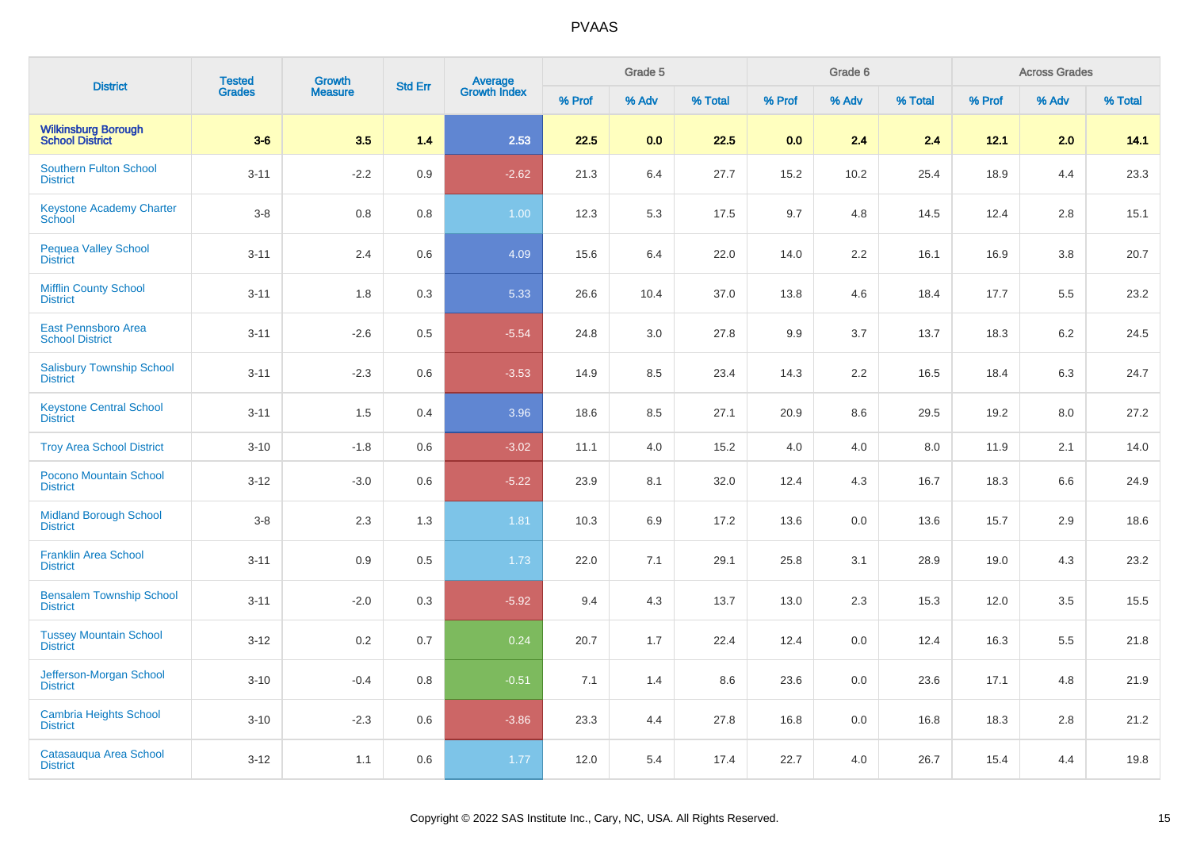| <b>District</b>                                      | <b>Tested</b> | Growth         | <b>Std Err</b> |                                |        | Grade 5 |         |        | Grade 6 |         |        | <b>Across Grades</b> |         |
|------------------------------------------------------|---------------|----------------|----------------|--------------------------------|--------|---------|---------|--------|---------|---------|--------|----------------------|---------|
|                                                      | <b>Grades</b> | <b>Measure</b> |                | <b>Average</b><br>Growth Index | % Prof | % Adv   | % Total | % Prof | % Adv   | % Total | % Prof | % Adv                | % Total |
| <b>Wilkinsburg Borough<br/>School District</b>       | $3-6$         | 3.5            | 1.4            | 2.53                           | 22.5   | 0.0     | 22.5    | 0.0    | 2.4     | 2.4     | 12.1   | 2.0                  | 14.1    |
| <b>Southern Fulton School</b><br><b>District</b>     | $3 - 11$      | $-2.2$         | 0.9            | $-2.62$                        | 21.3   | 6.4     | 27.7    | 15.2   | 10.2    | 25.4    | 18.9   | 4.4                  | 23.3    |
| <b>Keystone Academy Charter</b><br>School            | $3-8$         | 0.8            | 0.8            | 1.00                           | 12.3   | 5.3     | 17.5    | 9.7    | 4.8     | 14.5    | 12.4   | 2.8                  | 15.1    |
| Pequea Valley School<br><b>District</b>              | $3 - 11$      | 2.4            | 0.6            | 4.09                           | 15.6   | 6.4     | 22.0    | 14.0   | 2.2     | 16.1    | 16.9   | 3.8                  | 20.7    |
| <b>Mifflin County School</b><br><b>District</b>      | $3 - 11$      | 1.8            | 0.3            | 5.33                           | 26.6   | 10.4    | 37.0    | 13.8   | 4.6     | 18.4    | 17.7   | 5.5                  | 23.2    |
| <b>East Pennsboro Area</b><br><b>School District</b> | $3 - 11$      | $-2.6$         | 0.5            | $-5.54$                        | 24.8   | 3.0     | 27.8    | 9.9    | 3.7     | 13.7    | 18.3   | 6.2                  | 24.5    |
| <b>Salisbury Township School</b><br><b>District</b>  | $3 - 11$      | $-2.3$         | 0.6            | $-3.53$                        | 14.9   | 8.5     | 23.4    | 14.3   | 2.2     | 16.5    | 18.4   | 6.3                  | 24.7    |
| <b>Keystone Central School</b><br><b>District</b>    | $3 - 11$      | 1.5            | 0.4            | 3.96                           | 18.6   | 8.5     | 27.1    | 20.9   | 8.6     | 29.5    | 19.2   | 8.0                  | 27.2    |
| <b>Troy Area School District</b>                     | $3 - 10$      | $-1.8$         | 0.6            | $-3.02$                        | 11.1   | 4.0     | 15.2    | 4.0    | 4.0     | 8.0     | 11.9   | 2.1                  | 14.0    |
| Pocono Mountain School<br><b>District</b>            | $3 - 12$      | $-3.0$         | 0.6            | $-5.22$                        | 23.9   | 8.1     | 32.0    | 12.4   | 4.3     | 16.7    | 18.3   | 6.6                  | 24.9    |
| <b>Midland Borough School</b><br><b>District</b>     | $3-8$         | 2.3            | 1.3            | 1.81                           | 10.3   | 6.9     | 17.2    | 13.6   | $0.0\,$ | 13.6    | 15.7   | 2.9                  | 18.6    |
| <b>Franklin Area School</b><br><b>District</b>       | $3 - 11$      | 0.9            | 0.5            | 1.73                           | 22.0   | 7.1     | 29.1    | 25.8   | 3.1     | 28.9    | 19.0   | 4.3                  | 23.2    |
| <b>Bensalem Township School</b><br><b>District</b>   | $3 - 11$      | $-2.0$         | 0.3            | $-5.92$                        | 9.4    | 4.3     | 13.7    | 13.0   | 2.3     | 15.3    | 12.0   | 3.5                  | 15.5    |
| <b>Tussey Mountain School</b><br><b>District</b>     | $3 - 12$      | 0.2            | 0.7            | 0.24                           | 20.7   | 1.7     | 22.4    | 12.4   | $0.0\,$ | 12.4    | 16.3   | 5.5                  | 21.8    |
| Jefferson-Morgan School<br><b>District</b>           | $3 - 10$      | $-0.4$         | 0.8            | $-0.51$                        | 7.1    | 1.4     | 8.6     | 23.6   | 0.0     | 23.6    | 17.1   | 4.8                  | 21.9    |
| <b>Cambria Heights School</b><br><b>District</b>     | $3 - 10$      | $-2.3$         | 0.6            | $-3.86$                        | 23.3   | 4.4     | 27.8    | 16.8   | 0.0     | 16.8    | 18.3   | 2.8                  | 21.2    |
| Catasauqua Area School<br><b>District</b>            | $3 - 12$      | 1.1            | 0.6            | 1.77                           | 12.0   | 5.4     | 17.4    | 22.7   | 4.0     | 26.7    | 15.4   | 4.4                  | 19.8    |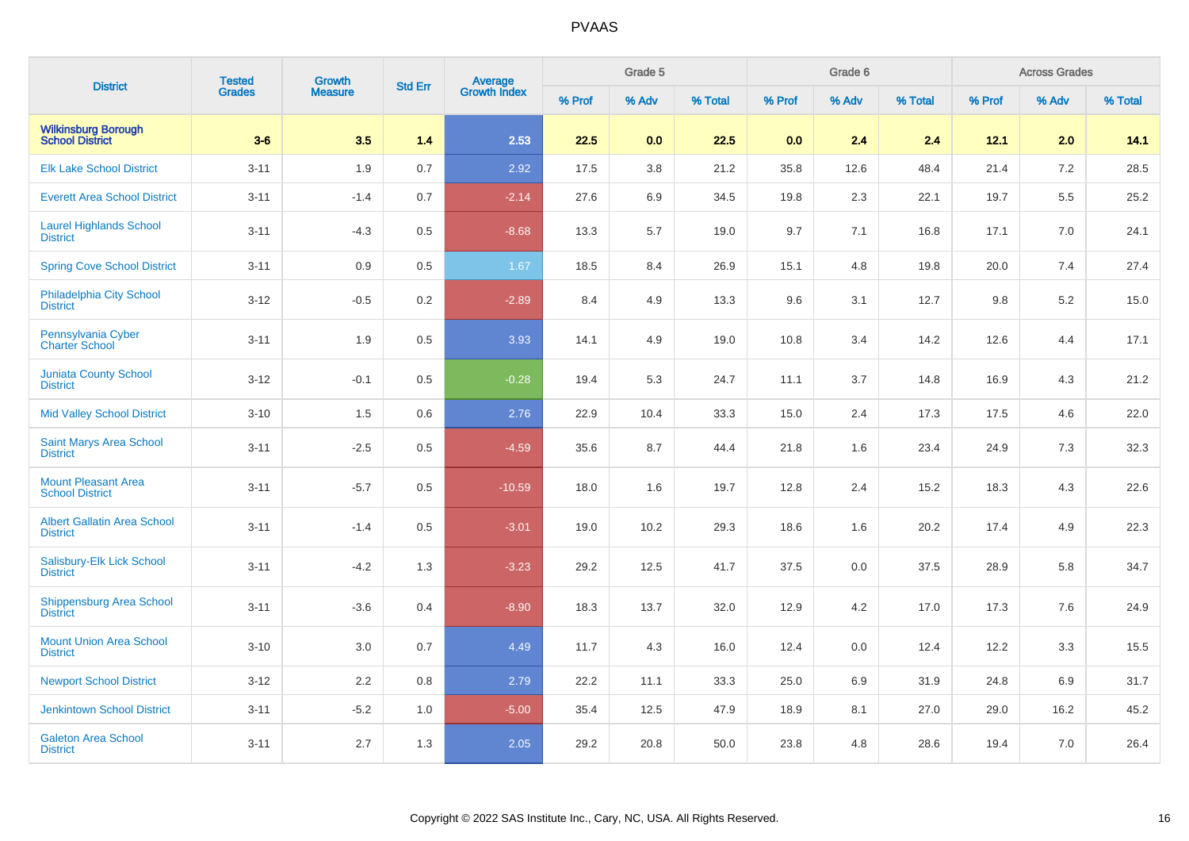| <b>District</b>                                       | <b>Tested</b> | Growth         | <b>Std Err</b> | <b>Average</b><br>Growth Index |        | Grade 5 |         |        | Grade 6 |         |        | <b>Across Grades</b> |         |
|-------------------------------------------------------|---------------|----------------|----------------|--------------------------------|--------|---------|---------|--------|---------|---------|--------|----------------------|---------|
|                                                       | <b>Grades</b> | <b>Measure</b> |                |                                | % Prof | % Adv   | % Total | % Prof | % Adv   | % Total | % Prof | % Adv                | % Total |
| <b>Wilkinsburg Borough</b><br><b>School District</b>  | $3-6$         | 3.5            | 1.4            | 2.53                           | 22.5   | 0.0     | 22.5    | 0.0    | 2.4     | 2.4     | 12.1   | 2.0                  | 14.1    |
| <b>Elk Lake School District</b>                       | $3 - 11$      | 1.9            | 0.7            | 2.92                           | 17.5   | 3.8     | 21.2    | 35.8   | 12.6    | 48.4    | 21.4   | 7.2                  | 28.5    |
| <b>Everett Area School District</b>                   | $3 - 11$      | $-1.4$         | 0.7            | $-2.14$                        | 27.6   | 6.9     | 34.5    | 19.8   | 2.3     | 22.1    | 19.7   | 5.5                  | 25.2    |
| <b>Laurel Highlands School</b><br><b>District</b>     | $3 - 11$      | $-4.3$         | 0.5            | $-8.68$                        | 13.3   | 5.7     | 19.0    | 9.7    | 7.1     | 16.8    | 17.1   | 7.0                  | 24.1    |
| <b>Spring Cove School District</b>                    | $3 - 11$      | 0.9            | 0.5            | 1.67                           | 18.5   | 8.4     | 26.9    | 15.1   | 4.8     | 19.8    | 20.0   | 7.4                  | 27.4    |
| <b>Philadelphia City School</b><br><b>District</b>    | $3 - 12$      | $-0.5$         | 0.2            | $-2.89$                        | 8.4    | 4.9     | 13.3    | 9.6    | 3.1     | 12.7    | 9.8    | 5.2                  | 15.0    |
| Pennsylvania Cyber<br><b>Charter School</b>           | $3 - 11$      | 1.9            | 0.5            | 3.93                           | 14.1   | 4.9     | 19.0    | 10.8   | 3.4     | 14.2    | 12.6   | 4.4                  | 17.1    |
| <b>Juniata County School</b><br><b>District</b>       | $3-12$        | $-0.1$         | 0.5            | $-0.28$                        | 19.4   | 5.3     | 24.7    | 11.1   | 3.7     | 14.8    | 16.9   | 4.3                  | 21.2    |
| <b>Mid Valley School District</b>                     | $3 - 10$      | 1.5            | 0.6            | 2.76                           | 22.9   | 10.4    | 33.3    | 15.0   | 2.4     | 17.3    | 17.5   | 4.6                  | 22.0    |
| <b>Saint Marys Area School</b><br><b>District</b>     | $3 - 11$      | $-2.5$         | 0.5            | $-4.59$                        | 35.6   | 8.7     | 44.4    | 21.8   | 1.6     | 23.4    | 24.9   | 7.3                  | 32.3    |
| <b>Mount Pleasant Area</b><br><b>School District</b>  | $3 - 11$      | $-5.7$         | 0.5            | $-10.59$                       | 18.0   | 1.6     | 19.7    | 12.8   | 2.4     | 15.2    | 18.3   | 4.3                  | 22.6    |
| <b>Albert Gallatin Area School</b><br><b>District</b> | $3 - 11$      | $-1.4$         | 0.5            | $-3.01$                        | 19.0   | 10.2    | 29.3    | 18.6   | 1.6     | 20.2    | 17.4   | 4.9                  | 22.3    |
| Salisbury-Elk Lick School<br><b>District</b>          | $3 - 11$      | $-4.2$         | 1.3            | $-3.23$                        | 29.2   | 12.5    | 41.7    | 37.5   | 0.0     | 37.5    | 28.9   | 5.8                  | 34.7    |
| Shippensburg Area School<br><b>District</b>           | $3 - 11$      | $-3.6$         | 0.4            | $-8.90$                        | 18.3   | 13.7    | 32.0    | 12.9   | 4.2     | 17.0    | 17.3   | 7.6                  | 24.9    |
| <b>Mount Union Area School</b><br><b>District</b>     | $3 - 10$      | 3.0            | 0.7            | 4.49                           | 11.7   | 4.3     | 16.0    | 12.4   | 0.0     | 12.4    | 12.2   | 3.3                  | 15.5    |
| <b>Newport School District</b>                        | $3 - 12$      | 2.2            | 0.8            | 2.79                           | 22.2   | 11.1    | 33.3    | 25.0   | 6.9     | 31.9    | 24.8   | 6.9                  | 31.7    |
| <b>Jenkintown School District</b>                     | $3 - 11$      | $-5.2$         | 1.0            | $-5.00$                        | 35.4   | 12.5    | 47.9    | 18.9   | 8.1     | 27.0    | 29.0   | 16.2                 | 45.2    |
| <b>Galeton Area School</b><br><b>District</b>         | $3 - 11$      | 2.7            | 1.3            | 2.05                           | 29.2   | 20.8    | 50.0    | 23.8   | 4.8     | 28.6    | 19.4   | 7.0                  | 26.4    |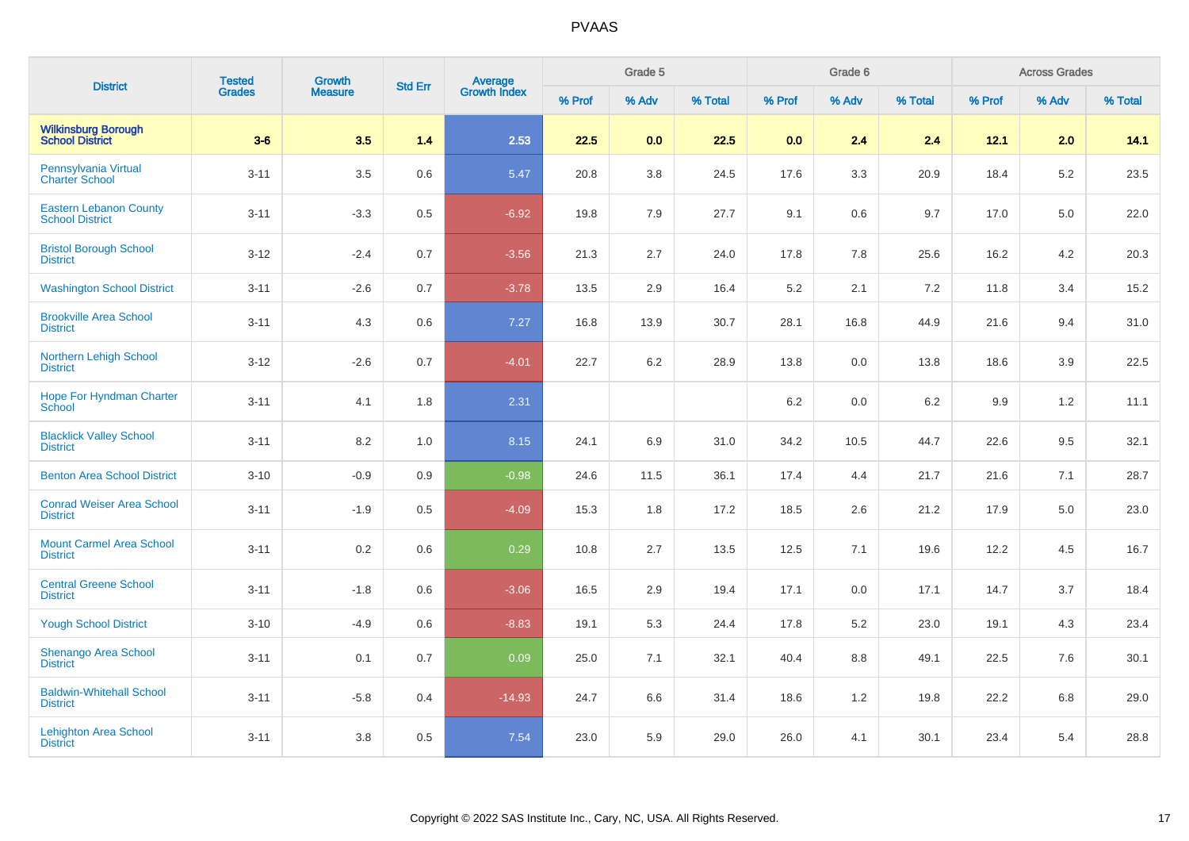| <b>District</b>                                         | <b>Tested</b> | Growth         | <b>Std Err</b> | Average<br>Growth Index |        | Grade 5 |         |         | Grade 6 |         |        | <b>Across Grades</b> |         |
|---------------------------------------------------------|---------------|----------------|----------------|-------------------------|--------|---------|---------|---------|---------|---------|--------|----------------------|---------|
|                                                         | Grades        | <b>Measure</b> |                |                         | % Prof | % Adv   | % Total | % Prof  | % Adv   | % Total | % Prof | % Adv                | % Total |
| <b>Wilkinsburg Borough</b><br><b>School District</b>    | $3-6$         | 3.5            | 1.4            | 2.53                    | 22.5   | 0.0     | 22.5    | 0.0     | 2.4     | 2.4     | 12.1   | 2.0                  | 14.1    |
| Pennsylvania Virtual<br><b>Charter School</b>           | $3 - 11$      | 3.5            | 0.6            | 5.47                    | 20.8   | 3.8     | 24.5    | 17.6    | 3.3     | 20.9    | 18.4   | 5.2                  | 23.5    |
| <b>Eastern Lebanon County</b><br><b>School District</b> | $3 - 11$      | $-3.3$         | 0.5            | $-6.92$                 | 19.8   | 7.9     | 27.7    | 9.1     | 0.6     | 9.7     | 17.0   | 5.0                  | 22.0    |
| <b>Bristol Borough School</b><br><b>District</b>        | $3 - 12$      | $-2.4$         | 0.7            | $-3.56$                 | 21.3   | 2.7     | 24.0    | 17.8    | 7.8     | 25.6    | 16.2   | 4.2                  | 20.3    |
| <b>Washington School District</b>                       | $3 - 11$      | $-2.6$         | 0.7            | $-3.78$                 | 13.5   | 2.9     | 16.4    | $5.2\,$ | 2.1     | 7.2     | 11.8   | 3.4                  | 15.2    |
| <b>Brookville Area School</b><br><b>District</b>        | $3 - 11$      | 4.3            | 0.6            | 7.27                    | 16.8   | 13.9    | 30.7    | 28.1    | 16.8    | 44.9    | 21.6   | 9.4                  | 31.0    |
| <b>Northern Lehigh School</b><br><b>District</b>        | $3-12$        | $-2.6$         | 0.7            | $-4.01$                 | 22.7   | $6.2\,$ | 28.9    | 13.8    | 0.0     | 13.8    | 18.6   | 3.9                  | 22.5    |
| <b>Hope For Hyndman Charter</b><br>School               | $3 - 11$      | 4.1            | 1.8            | 2.31                    |        |         |         | 6.2     | 0.0     | 6.2     | 9.9    | 1.2                  | 11.1    |
| <b>Blacklick Valley School</b><br><b>District</b>       | $3 - 11$      | 8.2            | 1.0            | 8.15                    | 24.1   | 6.9     | 31.0    | 34.2    | 10.5    | 44.7    | 22.6   | 9.5                  | 32.1    |
| <b>Benton Area School District</b>                      | $3 - 10$      | $-0.9$         | 0.9            | $-0.98$                 | 24.6   | 11.5    | 36.1    | 17.4    | 4.4     | 21.7    | 21.6   | 7.1                  | 28.7    |
| <b>Conrad Weiser Area School</b><br><b>District</b>     | $3 - 11$      | $-1.9$         | 0.5            | $-4.09$                 | 15.3   | 1.8     | 17.2    | 18.5    | 2.6     | 21.2    | 17.9   | 5.0                  | 23.0    |
| <b>Mount Carmel Area School</b><br><b>District</b>      | $3 - 11$      | 0.2            | 0.6            | 0.29                    | 10.8   | 2.7     | 13.5    | 12.5    | 7.1     | 19.6    | 12.2   | 4.5                  | 16.7    |
| <b>Central Greene School</b><br><b>District</b>         | $3 - 11$      | $-1.8$         | 0.6            | $-3.06$                 | 16.5   | 2.9     | 19.4    | 17.1    | 0.0     | 17.1    | 14.7   | 3.7                  | 18.4    |
| <b>Yough School District</b>                            | $3 - 10$      | $-4.9$         | 0.6            | $-8.83$                 | 19.1   | 5.3     | 24.4    | 17.8    | 5.2     | 23.0    | 19.1   | 4.3                  | 23.4    |
| Shenango Area School<br><b>District</b>                 | $3 - 11$      | 0.1            | 0.7            | 0.09                    | 25.0   | 7.1     | 32.1    | 40.4    | 8.8     | 49.1    | 22.5   | 7.6                  | 30.1    |
| <b>Baldwin-Whitehall School</b><br><b>District</b>      | $3 - 11$      | $-5.8$         | 0.4            | $-14.93$                | 24.7   | 6.6     | 31.4    | 18.6    | 1.2     | 19.8    | 22.2   | 6.8                  | 29.0    |
| <b>Lehighton Area School</b><br><b>District</b>         | $3 - 11$      | 3.8            | 0.5            | 7.54                    | 23.0   | 5.9     | 29.0    | 26.0    | 4.1     | 30.1    | 23.4   | 5.4                  | 28.8    |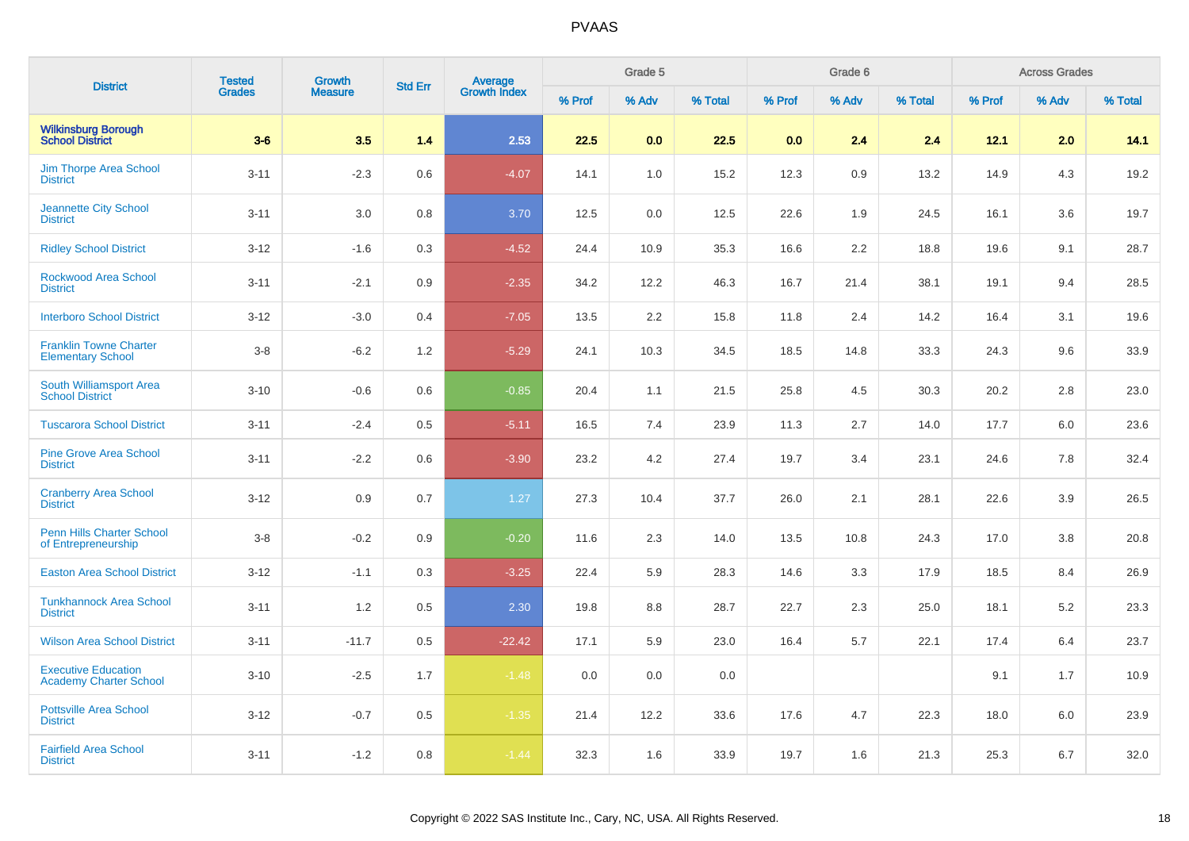| <b>District</b>                                             | <b>Tested</b> | <b>Growth</b>  | <b>Std Err</b> | Average<br>Growth Index |        | Grade 5 |         |        | Grade 6 |         |        | <b>Across Grades</b> |         |
|-------------------------------------------------------------|---------------|----------------|----------------|-------------------------|--------|---------|---------|--------|---------|---------|--------|----------------------|---------|
|                                                             | <b>Grades</b> | <b>Measure</b> |                |                         | % Prof | % Adv   | % Total | % Prof | % Adv   | % Total | % Prof | % Adv                | % Total |
| <b>Wilkinsburg Borough</b><br><b>School District</b>        | $3-6$         | 3.5            | 1.4            | 2.53                    | 22.5   | 0.0     | 22.5    | 0.0    | 2.4     | 2.4     | 12.1   | 2.0                  | 14.1    |
| <b>Jim Thorpe Area School</b><br><b>District</b>            | $3 - 11$      | $-2.3$         | 0.6            | $-4.07$                 | 14.1   | 1.0     | 15.2    | 12.3   | 0.9     | 13.2    | 14.9   | 4.3                  | 19.2    |
| <b>Jeannette City School</b><br><b>District</b>             | $3 - 11$      | $3.0\,$        | 0.8            | 3.70                    | 12.5   | 0.0     | 12.5    | 22.6   | 1.9     | 24.5    | 16.1   | 3.6                  | 19.7    |
| <b>Ridley School District</b>                               | $3 - 12$      | $-1.6$         | 0.3            | $-4.52$                 | 24.4   | 10.9    | 35.3    | 16.6   | 2.2     | 18.8    | 19.6   | 9.1                  | 28.7    |
| <b>Rockwood Area School</b><br><b>District</b>              | $3 - 11$      | $-2.1$         | 0.9            | $-2.35$                 | 34.2   | 12.2    | 46.3    | 16.7   | 21.4    | 38.1    | 19.1   | 9.4                  | 28.5    |
| <b>Interboro School District</b>                            | $3 - 12$      | $-3.0$         | 0.4            | $-7.05$                 | 13.5   | 2.2     | 15.8    | 11.8   | 2.4     | 14.2    | 16.4   | 3.1                  | 19.6    |
| <b>Franklin Towne Charter</b><br><b>Elementary School</b>   | $3 - 8$       | $-6.2$         | 1.2            | $-5.29$                 | 24.1   | 10.3    | 34.5    | 18.5   | 14.8    | 33.3    | 24.3   | 9.6                  | 33.9    |
| South Williamsport Area<br><b>School District</b>           | $3 - 10$      | $-0.6$         | 0.6            | $-0.85$                 | 20.4   | 1.1     | 21.5    | 25.8   | 4.5     | 30.3    | 20.2   | 2.8                  | 23.0    |
| <b>Tuscarora School District</b>                            | $3 - 11$      | $-2.4$         | 0.5            | $-5.11$                 | 16.5   | 7.4     | 23.9    | 11.3   | 2.7     | 14.0    | 17.7   | 6.0                  | 23.6    |
| <b>Pine Grove Area School</b><br><b>District</b>            | $3 - 11$      | $-2.2$         | 0.6            | $-3.90$                 | 23.2   | 4.2     | 27.4    | 19.7   | 3.4     | 23.1    | 24.6   | 7.8                  | 32.4    |
| <b>Cranberry Area School</b><br><b>District</b>             | $3 - 12$      | 0.9            | 0.7            | 1.27                    | 27.3   | 10.4    | 37.7    | 26.0   | 2.1     | 28.1    | 22.6   | 3.9                  | 26.5    |
| <b>Penn Hills Charter School</b><br>of Entrepreneurship     | $3 - 8$       | $-0.2$         | 0.9            | $-0.20$                 | 11.6   | 2.3     | 14.0    | 13.5   | 10.8    | 24.3    | 17.0   | 3.8                  | 20.8    |
| <b>Easton Area School District</b>                          | $3 - 12$      | $-1.1$         | 0.3            | $-3.25$                 | 22.4   | 5.9     | 28.3    | 14.6   | 3.3     | 17.9    | 18.5   | 8.4                  | 26.9    |
| <b>Tunkhannock Area School</b><br><b>District</b>           | $3 - 11$      | 1.2            | 0.5            | 2.30                    | 19.8   | 8.8     | 28.7    | 22.7   | 2.3     | 25.0    | 18.1   | 5.2                  | 23.3    |
| <b>Wilson Area School District</b>                          | $3 - 11$      | $-11.7$        | 0.5            | $-22.42$                | 17.1   | 5.9     | 23.0    | 16.4   | 5.7     | 22.1    | 17.4   | 6.4                  | 23.7    |
| <b>Executive Education</b><br><b>Academy Charter School</b> | $3 - 10$      | $-2.5$         | 1.7            | $-1.48$                 | 0.0    | 0.0     | 0.0     |        |         |         | 9.1    | 1.7                  | 10.9    |
| <b>Pottsville Area School</b><br><b>District</b>            | $3 - 12$      | $-0.7$         | 0.5            | $-1.35$                 | 21.4   | 12.2    | 33.6    | 17.6   | 4.7     | 22.3    | 18.0   | 6.0                  | 23.9    |
| <b>Fairfield Area School</b><br><b>District</b>             | $3 - 11$      | $-1.2$         | 0.8            | $-1.44$                 | 32.3   | 1.6     | 33.9    | 19.7   | 1.6     | 21.3    | 25.3   | 6.7                  | 32.0    |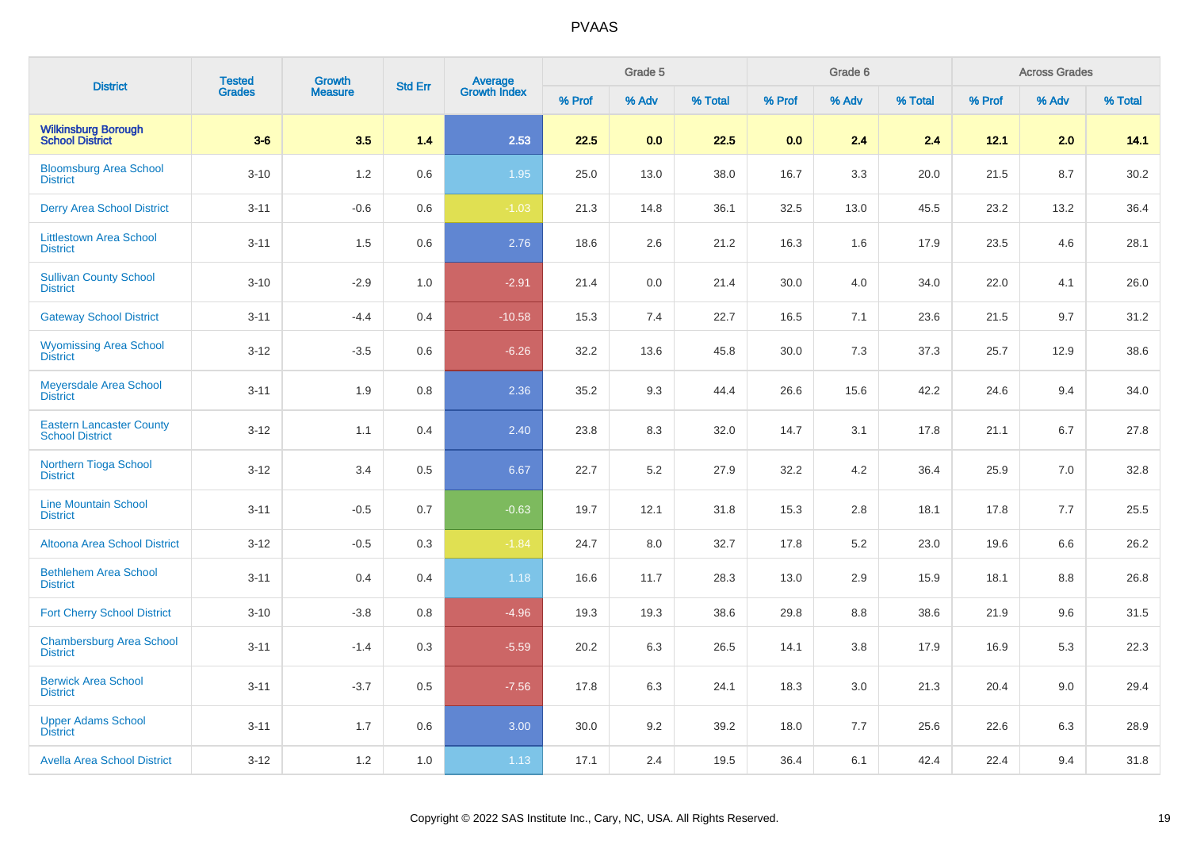| <b>District</b>                                           | <b>Tested</b> | <b>Growth</b>  | <b>Std Err</b> |                         |        | Grade 5 |         |        | Grade 6 |         |        | <b>Across Grades</b> |         |
|-----------------------------------------------------------|---------------|----------------|----------------|-------------------------|--------|---------|---------|--------|---------|---------|--------|----------------------|---------|
|                                                           | <b>Grades</b> | <b>Measure</b> |                | Average<br>Growth Index | % Prof | % Adv   | % Total | % Prof | % Adv   | % Total | % Prof | % Adv                | % Total |
| <b>Wilkinsburg Borough<br/>School District</b>            | $3-6$         | 3.5            | 1.4            | 2.53                    | 22.5   | 0.0     | 22.5    | 0.0    | 2.4     | 2.4     | 12.1   | 2.0                  | 14.1    |
| <b>Bloomsburg Area School</b><br><b>District</b>          | $3 - 10$      | 1.2            | 0.6            | 1.95                    | 25.0   | 13.0    | 38.0    | 16.7   | 3.3     | 20.0    | 21.5   | 8.7                  | 30.2    |
| <b>Derry Area School District</b>                         | $3 - 11$      | $-0.6$         | 0.6            | $-1.03$                 | 21.3   | 14.8    | 36.1    | 32.5   | 13.0    | 45.5    | 23.2   | 13.2                 | 36.4    |
| <b>Littlestown Area School</b><br><b>District</b>         | $3 - 11$      | 1.5            | 0.6            | 2.76                    | 18.6   | 2.6     | 21.2    | 16.3   | 1.6     | 17.9    | 23.5   | 4.6                  | 28.1    |
| <b>Sullivan County School</b><br><b>District</b>          | $3 - 10$      | $-2.9$         | 1.0            | $-2.91$                 | 21.4   | 0.0     | 21.4    | 30.0   | 4.0     | 34.0    | 22.0   | 4.1                  | 26.0    |
| <b>Gateway School District</b>                            | $3 - 11$      | $-4.4$         | 0.4            | $-10.58$                | 15.3   | 7.4     | 22.7    | 16.5   | 7.1     | 23.6    | 21.5   | 9.7                  | 31.2    |
| <b>Wyomissing Area School</b><br><b>District</b>          | $3 - 12$      | $-3.5$         | 0.6            | $-6.26$                 | 32.2   | 13.6    | 45.8    | 30.0   | 7.3     | 37.3    | 25.7   | 12.9                 | 38.6    |
| Meyersdale Area School<br><b>District</b>                 | $3 - 11$      | 1.9            | 0.8            | 2.36                    | 35.2   | 9.3     | 44.4    | 26.6   | 15.6    | 42.2    | 24.6   | 9.4                  | 34.0    |
| <b>Eastern Lancaster County</b><br><b>School District</b> | $3 - 12$      | 1.1            | 0.4            | 2.40                    | 23.8   | 8.3     | 32.0    | 14.7   | 3.1     | 17.8    | 21.1   | 6.7                  | 27.8    |
| Northern Tioga School<br><b>District</b>                  | $3 - 12$      | 3.4            | 0.5            | 6.67                    | 22.7   | 5.2     | 27.9    | 32.2   | 4.2     | 36.4    | 25.9   | 7.0                  | 32.8    |
| <b>Line Mountain School</b><br><b>District</b>            | $3 - 11$      | $-0.5$         | 0.7            | $-0.63$                 | 19.7   | 12.1    | 31.8    | 15.3   | 2.8     | 18.1    | 17.8   | 7.7                  | 25.5    |
| <b>Altoona Area School District</b>                       | $3 - 12$      | $-0.5$         | 0.3            | $-1.84$                 | 24.7   | 8.0     | 32.7    | 17.8   | 5.2     | 23.0    | 19.6   | 6.6                  | 26.2    |
| <b>Bethlehem Area School</b><br><b>District</b>           | $3 - 11$      | 0.4            | 0.4            | 1.18                    | 16.6   | 11.7    | 28.3    | 13.0   | 2.9     | 15.9    | 18.1   | 8.8                  | 26.8    |
| <b>Fort Cherry School District</b>                        | $3 - 10$      | $-3.8$         | 0.8            | $-4.96$                 | 19.3   | 19.3    | 38.6    | 29.8   | 8.8     | 38.6    | 21.9   | 9.6                  | 31.5    |
| <b>Chambersburg Area School</b><br><b>District</b>        | $3 - 11$      | $-1.4$         | 0.3            | $-5.59$                 | 20.2   | 6.3     | 26.5    | 14.1   | 3.8     | 17.9    | 16.9   | 5.3                  | 22.3    |
| <b>Berwick Area School</b><br><b>District</b>             | $3 - 11$      | $-3.7$         | 0.5            | $-7.56$                 | 17.8   | 6.3     | 24.1    | 18.3   | 3.0     | 21.3    | 20.4   | 9.0                  | 29.4    |
| <b>Upper Adams School</b><br><b>District</b>              | $3 - 11$      | 1.7            | 0.6            | 3.00                    | 30.0   | 9.2     | 39.2    | 18.0   | 7.7     | 25.6    | 22.6   | 6.3                  | 28.9    |
| <b>Avella Area School District</b>                        | $3 - 12$      | 1.2            | 1.0            | 1.13                    | 17.1   | 2.4     | 19.5    | 36.4   | 6.1     | 42.4    | 22.4   | 9.4                  | 31.8    |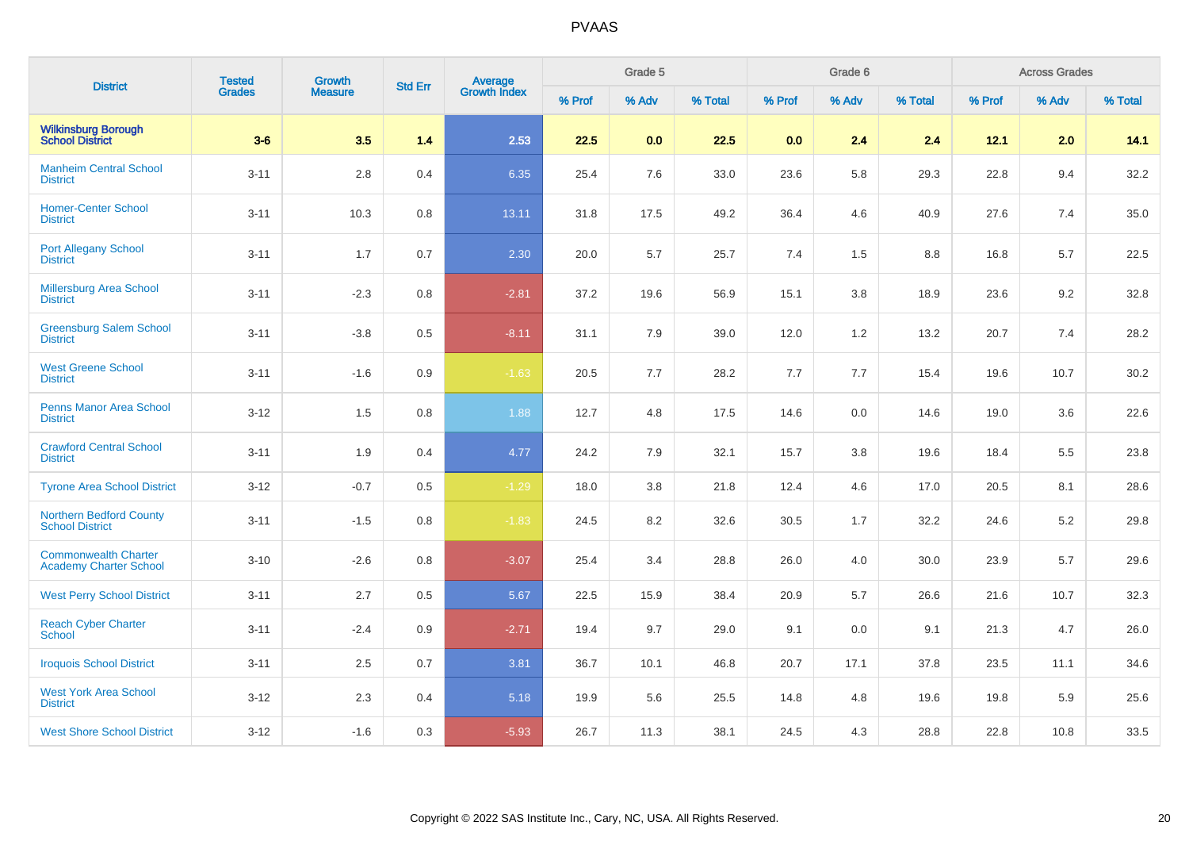| <b>District</b>                                              | <b>Tested</b> | Growth         | <b>Std Err</b> |                                |        | Grade 5 |         |        | Grade 6 |         |        | <b>Across Grades</b> |         |
|--------------------------------------------------------------|---------------|----------------|----------------|--------------------------------|--------|---------|---------|--------|---------|---------|--------|----------------------|---------|
|                                                              | Grades        | <b>Measure</b> |                | <b>Average</b><br>Growth Index | % Prof | % Adv   | % Total | % Prof | % Adv   | % Total | % Prof | % Adv                | % Total |
| <b>Wilkinsburg Borough</b><br><b>School District</b>         | $3-6$         | 3.5            | 1.4            | 2.53                           | 22.5   | 0.0     | 22.5    | 0.0    | 2.4     | 2.4     | 12.1   | 2.0                  | 14.1    |
| <b>Manheim Central School</b><br><b>District</b>             | $3 - 11$      | 2.8            | 0.4            | 6.35                           | 25.4   | 7.6     | 33.0    | 23.6   | 5.8     | 29.3    | 22.8   | 9.4                  | 32.2    |
| <b>Homer-Center School</b><br><b>District</b>                | $3 - 11$      | 10.3           | 0.8            | 13.11                          | 31.8   | 17.5    | 49.2    | 36.4   | 4.6     | 40.9    | 27.6   | 7.4                  | 35.0    |
| <b>Port Allegany School</b><br><b>District</b>               | $3 - 11$      | 1.7            | 0.7            | 2.30                           | 20.0   | 5.7     | 25.7    | 7.4    | 1.5     | 8.8     | 16.8   | 5.7                  | 22.5    |
| <b>Millersburg Area School</b><br><b>District</b>            | $3 - 11$      | $-2.3$         | $0.8\,$        | $-2.81$                        | 37.2   | 19.6    | 56.9    | 15.1   | 3.8     | 18.9    | 23.6   | 9.2                  | 32.8    |
| <b>Greensburg Salem School</b><br><b>District</b>            | $3 - 11$      | $-3.8$         | 0.5            | $-8.11$                        | 31.1   | 7.9     | 39.0    | 12.0   | 1.2     | 13.2    | 20.7   | 7.4                  | 28.2    |
| <b>West Greene School</b><br><b>District</b>                 | $3 - 11$      | $-1.6$         | 0.9            | $-1.63$                        | 20.5   | 7.7     | 28.2    | 7.7    | 7.7     | 15.4    | 19.6   | 10.7                 | 30.2    |
| <b>Penns Manor Area School</b><br><b>District</b>            | $3 - 12$      | 1.5            | $0.8\,$        | 1.88                           | 12.7   | 4.8     | 17.5    | 14.6   | 0.0     | 14.6    | 19.0   | 3.6                  | 22.6    |
| <b>Crawford Central School</b><br><b>District</b>            | $3 - 11$      | 1.9            | 0.4            | 4.77                           | 24.2   | 7.9     | 32.1    | 15.7   | 3.8     | 19.6    | 18.4   | 5.5                  | 23.8    |
| <b>Tyrone Area School District</b>                           | $3 - 12$      | $-0.7$         | 0.5            | $-1.29$                        | 18.0   | 3.8     | 21.8    | 12.4   | 4.6     | 17.0    | 20.5   | 8.1                  | 28.6    |
| <b>Northern Bedford County</b><br><b>School District</b>     | $3 - 11$      | $-1.5$         | $0.8\,$        | $-1.83$                        | 24.5   | 8.2     | 32.6    | 30.5   | 1.7     | 32.2    | 24.6   | 5.2                  | 29.8    |
| <b>Commonwealth Charter</b><br><b>Academy Charter School</b> | $3 - 10$      | $-2.6$         | 0.8            | $-3.07$                        | 25.4   | 3.4     | 28.8    | 26.0   | 4.0     | 30.0    | 23.9   | 5.7                  | 29.6    |
| <b>West Perry School District</b>                            | $3 - 11$      | 2.7            | 0.5            | 5.67                           | 22.5   | 15.9    | 38.4    | 20.9   | 5.7     | 26.6    | 21.6   | 10.7                 | 32.3    |
| <b>Reach Cyber Charter</b><br><b>School</b>                  | $3 - 11$      | $-2.4$         | 0.9            | $-2.71$                        | 19.4   | 9.7     | 29.0    | 9.1    | 0.0     | 9.1     | 21.3   | 4.7                  | 26.0    |
| <b>Iroquois School District</b>                              | $3 - 11$      | $2.5\,$        | 0.7            | 3.81                           | 36.7   | 10.1    | 46.8    | 20.7   | 17.1    | 37.8    | 23.5   | 11.1                 | 34.6    |
| <b>West York Area School</b><br><b>District</b>              | $3 - 12$      | 2.3            | 0.4            | 5.18                           | 19.9   | 5.6     | 25.5    | 14.8   | 4.8     | 19.6    | 19.8   | 5.9                  | 25.6    |
| <b>West Shore School District</b>                            | $3 - 12$      | $-1.6$         | 0.3            | $-5.93$                        | 26.7   | 11.3    | 38.1    | 24.5   | 4.3     | 28.8    | 22.8   | 10.8                 | 33.5    |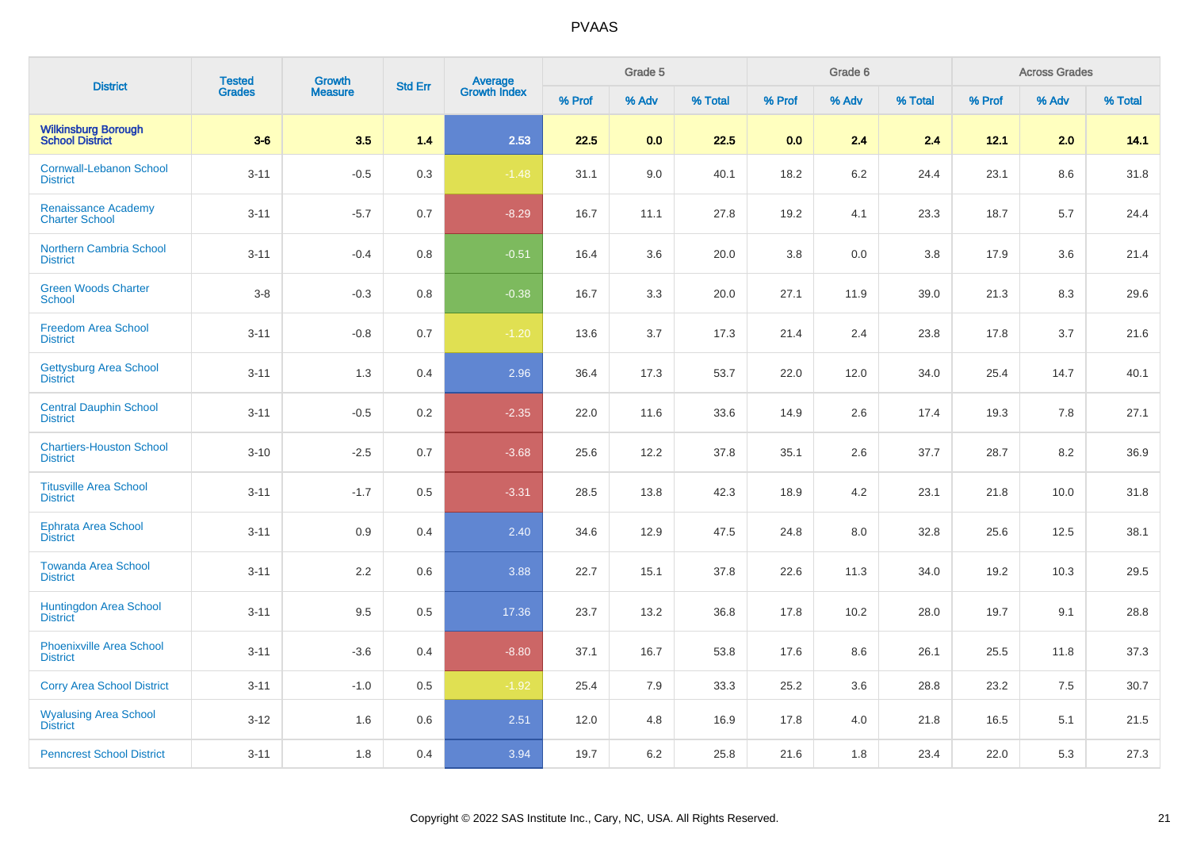| <b>District</b>                                     | <b>Tested</b> | Growth         |                |                                |        | Grade 5 |         |        | Grade 6 |         |        | <b>Across Grades</b> |         |
|-----------------------------------------------------|---------------|----------------|----------------|--------------------------------|--------|---------|---------|--------|---------|---------|--------|----------------------|---------|
|                                                     | <b>Grades</b> | <b>Measure</b> | <b>Std Err</b> | <b>Average</b><br>Growth Index | % Prof | % Adv   | % Total | % Prof | % Adv   | % Total | % Prof | % Adv                | % Total |
| <b>Wilkinsburg Borough</b><br>School District       | $3-6$         | 3.5            | 1.4            | 2.53                           | 22.5   | 0.0     | 22.5    | 0.0    | 2.4     | 2.4     | 12.1   | 2.0                  | 14.1    |
| <b>Cornwall-Lebanon School</b><br><b>District</b>   | $3 - 11$      | $-0.5$         | 0.3            | $-1.48$                        | 31.1   | 9.0     | 40.1    | 18.2   | 6.2     | 24.4    | 23.1   | 8.6                  | 31.8    |
| <b>Renaissance Academy</b><br><b>Charter School</b> | $3 - 11$      | $-5.7$         | 0.7            | $-8.29$                        | 16.7   | 11.1    | 27.8    | 19.2   | 4.1     | 23.3    | 18.7   | 5.7                  | 24.4    |
| <b>Northern Cambria School</b><br><b>District</b>   | $3 - 11$      | $-0.4$         | 0.8            | $-0.51$                        | 16.4   | 3.6     | 20.0    | 3.8    | 0.0     | 3.8     | 17.9   | $3.6\,$              | 21.4    |
| <b>Green Woods Charter</b><br>School                | $3-8$         | $-0.3$         | 0.8            | $-0.38$                        | 16.7   | 3.3     | 20.0    | 27.1   | 11.9    | 39.0    | 21.3   | 8.3                  | 29.6    |
| <b>Freedom Area School</b><br><b>District</b>       | $3 - 11$      | $-0.8$         | 0.7            | $-1.20$                        | 13.6   | 3.7     | 17.3    | 21.4   | 2.4     | 23.8    | 17.8   | 3.7                  | 21.6    |
| Gettysburg Area School<br><b>District</b>           | $3 - 11$      | 1.3            | 0.4            | 2.96                           | 36.4   | 17.3    | 53.7    | 22.0   | 12.0    | 34.0    | 25.4   | 14.7                 | 40.1    |
| <b>Central Dauphin School</b><br><b>District</b>    | $3 - 11$      | $-0.5$         | 0.2            | $-2.35$                        | 22.0   | 11.6    | 33.6    | 14.9   | 2.6     | 17.4    | 19.3   | 7.8                  | 27.1    |
| <b>Chartiers-Houston School</b><br><b>District</b>  | $3 - 10$      | $-2.5$         | 0.7            | $-3.68$                        | 25.6   | 12.2    | 37.8    | 35.1   | 2.6     | 37.7    | 28.7   | 8.2                  | 36.9    |
| <b>Titusville Area School</b><br><b>District</b>    | $3 - 11$      | $-1.7$         | 0.5            | $-3.31$                        | 28.5   | 13.8    | 42.3    | 18.9   | 4.2     | 23.1    | 21.8   | 10.0                 | 31.8    |
| Ephrata Area School<br><b>District</b>              | $3 - 11$      | 0.9            | 0.4            | 2.40                           | 34.6   | 12.9    | 47.5    | 24.8   | 8.0     | 32.8    | 25.6   | 12.5                 | 38.1    |
| <b>Towanda Area School</b><br><b>District</b>       | $3 - 11$      | 2.2            | 0.6            | 3.88                           | 22.7   | 15.1    | 37.8    | 22.6   | 11.3    | 34.0    | 19.2   | 10.3                 | 29.5    |
| <b>Huntingdon Area School</b><br><b>District</b>    | $3 - 11$      | 9.5            | 0.5            | 17.36                          | 23.7   | 13.2    | 36.8    | 17.8   | 10.2    | 28.0    | 19.7   | 9.1                  | 28.8    |
| <b>Phoenixville Area School</b><br><b>District</b>  | $3 - 11$      | $-3.6$         | 0.4            | $-8.80$                        | 37.1   | 16.7    | 53.8    | 17.6   | 8.6     | 26.1    | 25.5   | 11.8                 | 37.3    |
| <b>Corry Area School District</b>                   | $3 - 11$      | $-1.0$         | 0.5            | $-1.92$                        | 25.4   | 7.9     | 33.3    | 25.2   | 3.6     | 28.8    | 23.2   | 7.5                  | 30.7    |
| <b>Wyalusing Area School</b><br>District            | $3-12$        | 1.6            | 0.6            | 2.51                           | 12.0   | 4.8     | 16.9    | 17.8   | 4.0     | 21.8    | 16.5   | 5.1                  | 21.5    |
| <b>Penncrest School District</b>                    | $3 - 11$      | 1.8            | 0.4            | 3.94                           | 19.7   | 6.2     | 25.8    | 21.6   | 1.8     | 23.4    | 22.0   | 5.3                  | 27.3    |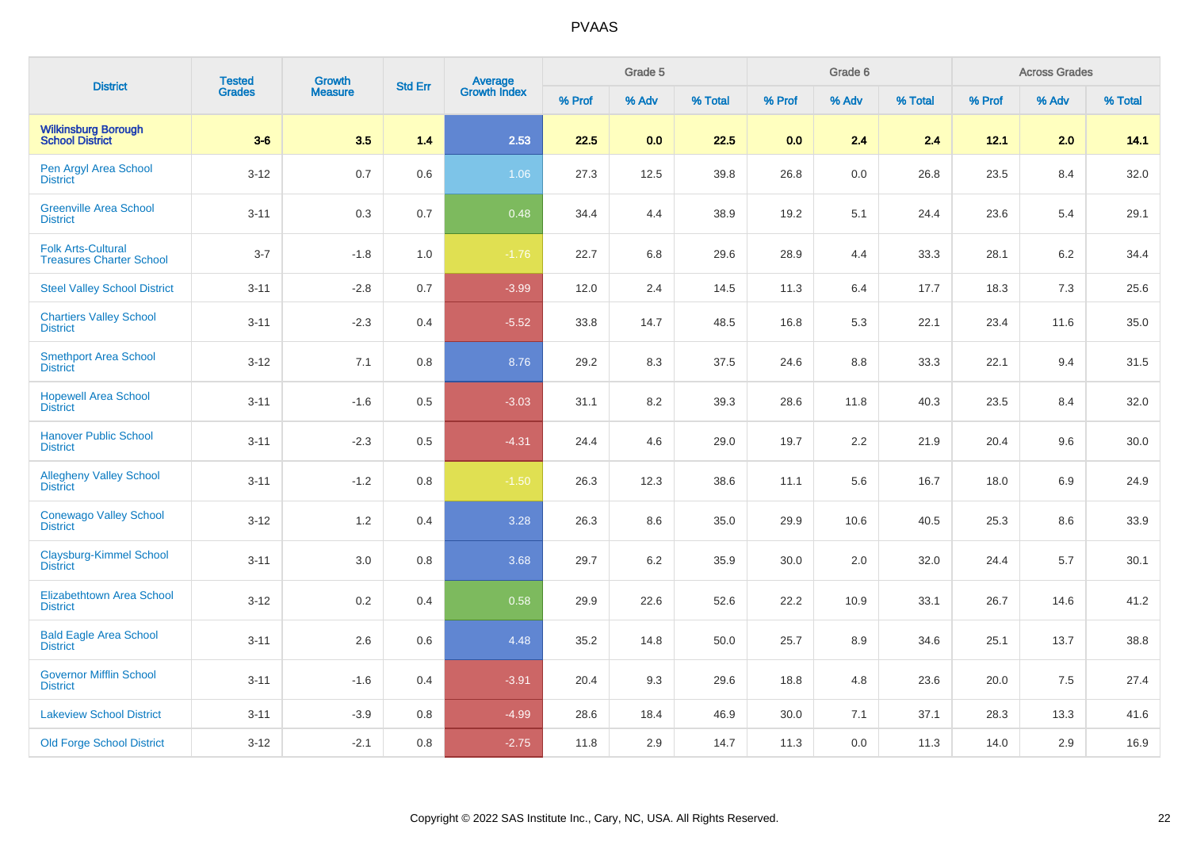| <b>District</b>                                              | <b>Tested</b> | <b>Growth</b><br><b>Measure</b> | <b>Std Err</b> | Average<br>Growth Index |        | Grade 5 |         |          | Grade 6 |         |        | <b>Across Grades</b> |         |
|--------------------------------------------------------------|---------------|---------------------------------|----------------|-------------------------|--------|---------|---------|----------|---------|---------|--------|----------------------|---------|
|                                                              | Grades        |                                 |                |                         | % Prof | % Adv   | % Total | % Prof   | % Adv   | % Total | % Prof | % Adv                | % Total |
| <b>Wilkinsburg Borough</b><br><b>School District</b>         | $3-6$         | 3.5                             | 1.4            | 2.53                    | 22.5   | 0.0     | 22.5    | 0.0      | 2.4     | 2.4     | 12.1   | 2.0                  | 14.1    |
| Pen Argyl Area School<br><b>District</b>                     | $3 - 12$      | 0.7                             | 0.6            | 1.06                    | 27.3   | 12.5    | 39.8    | 26.8     | 0.0     | 26.8    | 23.5   | 8.4                  | 32.0    |
| <b>Greenville Area School</b><br><b>District</b>             | $3 - 11$      | 0.3                             | 0.7            | 0.48                    | 34.4   | 4.4     | 38.9    | 19.2     | 5.1     | 24.4    | 23.6   | 5.4                  | 29.1    |
| <b>Folk Arts-Cultural</b><br><b>Treasures Charter School</b> | $3 - 7$       | $-1.8$                          | 1.0            | $-1.76$                 | 22.7   | 6.8     | 29.6    | 28.9     | 4.4     | 33.3    | 28.1   | 6.2                  | 34.4    |
| <b>Steel Valley School District</b>                          | $3 - 11$      | $-2.8$                          | 0.7            | $-3.99$                 | 12.0   | 2.4     | 14.5    | 11.3     | 6.4     | 17.7    | 18.3   | 7.3                  | 25.6    |
| <b>Chartiers Valley School</b><br><b>District</b>            | $3 - 11$      | $-2.3$                          | 0.4            | $-5.52$                 | 33.8   | 14.7    | 48.5    | 16.8     | 5.3     | 22.1    | 23.4   | 11.6                 | 35.0    |
| <b>Smethport Area School</b><br><b>District</b>              | $3 - 12$      | 7.1                             | 0.8            | 8.76                    | 29.2   | 8.3     | 37.5    | 24.6     | 8.8     | 33.3    | 22.1   | 9.4                  | 31.5    |
| <b>Hopewell Area School</b><br><b>District</b>               | $3 - 11$      | $-1.6$                          | 0.5            | $-3.03$                 | 31.1   | 8.2     | 39.3    | 28.6     | 11.8    | 40.3    | 23.5   | 8.4                  | 32.0    |
| <b>Hanover Public School</b><br><b>District</b>              | $3 - 11$      | $-2.3$                          | 0.5            | $-4.31$                 | 24.4   | 4.6     | 29.0    | 19.7     | 2.2     | 21.9    | 20.4   | 9.6                  | 30.0    |
| <b>Allegheny Valley School</b><br><b>District</b>            | $3 - 11$      | $-1.2$                          | 0.8            | $-1.50$                 | 26.3   | 12.3    | 38.6    | 11.1     | 5.6     | 16.7    | 18.0   | 6.9                  | 24.9    |
| <b>Conewago Valley School</b><br><b>District</b>             | $3 - 12$      | 1.2                             | 0.4            | 3.28                    | 26.3   | 8.6     | 35.0    | 29.9     | 10.6    | 40.5    | 25.3   | 8.6                  | 33.9    |
| Claysburg-Kimmel School<br><b>District</b>                   | $3 - 11$      | $3.0\,$                         | 0.8            | 3.68                    | 29.7   | 6.2     | 35.9    | 30.0     | 2.0     | 32.0    | 24.4   | 5.7                  | 30.1    |
| <b>Elizabethtown Area School</b><br><b>District</b>          | $3 - 12$      | 0.2                             | 0.4            | 0.58                    | 29.9   | 22.6    | 52.6    | 22.2     | 10.9    | 33.1    | 26.7   | 14.6                 | 41.2    |
| <b>Bald Eagle Area School</b><br><b>District</b>             | $3 - 11$      | 2.6                             | 0.6            | 4.48                    | 35.2   | 14.8    | 50.0    | 25.7     | 8.9     | 34.6    | 25.1   | 13.7                 | 38.8    |
| <b>Governor Mifflin School</b><br><b>District</b>            | $3 - 11$      | $-1.6$                          | 0.4            | $-3.91$                 | 20.4   | 9.3     | 29.6    | 18.8     | 4.8     | 23.6    | 20.0   | 7.5                  | 27.4    |
| <b>Lakeview School District</b>                              | $3 - 11$      | $-3.9$                          | 0.8            | $-4.99$                 | 28.6   | 18.4    | 46.9    | $30.0\,$ | 7.1     | 37.1    | 28.3   | 13.3                 | 41.6    |
| <b>Old Forge School District</b>                             | $3 - 12$      | $-2.1$                          | 0.8            | $-2.75$                 | 11.8   | 2.9     | 14.7    | 11.3     | 0.0     | 11.3    | 14.0   | 2.9                  | 16.9    |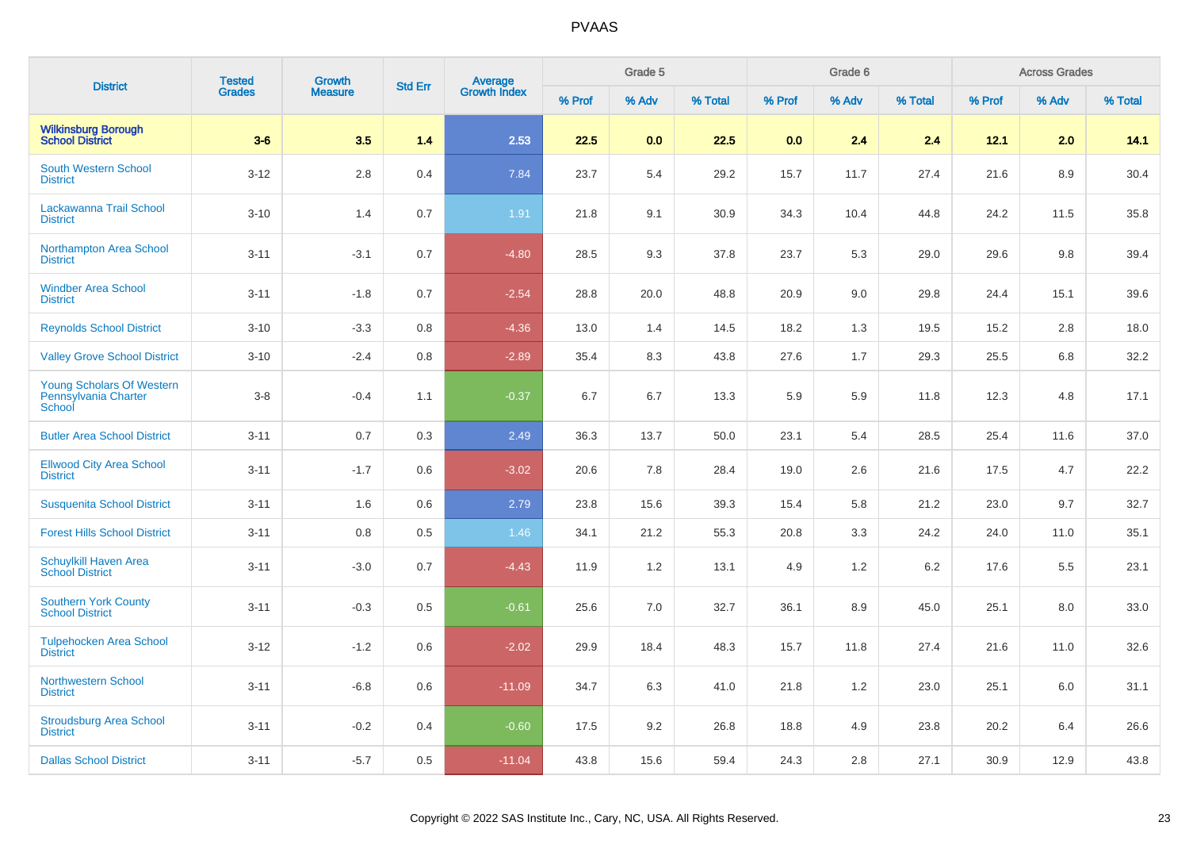| <b>District</b>                                             | <b>Tested</b> | <b>Growth</b>  | <b>Std Err</b> |                                |        | Grade 5 |         |        | Grade 6 |         |        | <b>Across Grades</b> |         |
|-------------------------------------------------------------|---------------|----------------|----------------|--------------------------------|--------|---------|---------|--------|---------|---------|--------|----------------------|---------|
|                                                             | <b>Grades</b> | <b>Measure</b> |                | <b>Average</b><br>Growth Index | % Prof | % Adv   | % Total | % Prof | % Adv   | % Total | % Prof | % Adv                | % Total |
| <b>Wilkinsburg Borough</b><br><b>School District</b>        | $3-6$         | 3.5            | 1.4            | 2.53                           | 22.5   | 0.0     | 22.5    | 0.0    | 2.4     | 2.4     | 12.1   | 2.0                  | 14.1    |
| <b>South Western School</b><br><b>District</b>              | $3 - 12$      | 2.8            | 0.4            | 7.84                           | 23.7   | 5.4     | 29.2    | 15.7   | 11.7    | 27.4    | 21.6   | 8.9                  | 30.4    |
| Lackawanna Trail School<br><b>District</b>                  | $3 - 10$      | 1.4            | 0.7            | 1.91                           | 21.8   | 9.1     | 30.9    | 34.3   | 10.4    | 44.8    | 24.2   | 11.5                 | 35.8    |
| <b>Northampton Area School</b><br><b>District</b>           | $3 - 11$      | $-3.1$         | 0.7            | $-4.80$                        | 28.5   | 9.3     | 37.8    | 23.7   | 5.3     | 29.0    | 29.6   | 9.8                  | 39.4    |
| <b>Windber Area School</b><br><b>District</b>               | $3 - 11$      | $-1.8$         | 0.7            | $-2.54$                        | 28.8   | 20.0    | 48.8    | 20.9   | 9.0     | 29.8    | 24.4   | 15.1                 | 39.6    |
| <b>Reynolds School District</b>                             | $3 - 10$      | $-3.3$         | 0.8            | $-4.36$                        | 13.0   | 1.4     | 14.5    | 18.2   | 1.3     | 19.5    | 15.2   | 2.8                  | 18.0    |
| <b>Valley Grove School District</b>                         | $3 - 10$      | $-2.4$         | 0.8            | $-2.89$                        | 35.4   | 8.3     | 43.8    | 27.6   | 1.7     | 29.3    | 25.5   | 6.8                  | 32.2    |
| Young Scholars Of Western<br>Pennsylvania Charter<br>School | $3-8$         | $-0.4$         | 1.1            | $-0.37$                        | 6.7    | 6.7     | 13.3    | 5.9    | 5.9     | 11.8    | 12.3   | 4.8                  | 17.1    |
| <b>Butler Area School District</b>                          | $3 - 11$      | 0.7            | 0.3            | 2.49                           | 36.3   | 13.7    | 50.0    | 23.1   | 5.4     | 28.5    | 25.4   | 11.6                 | 37.0    |
| <b>Ellwood City Area School</b><br><b>District</b>          | $3 - 11$      | $-1.7$         | 0.6            | $-3.02$                        | 20.6   | 7.8     | 28.4    | 19.0   | 2.6     | 21.6    | 17.5   | 4.7                  | 22.2    |
| <b>Susquenita School District</b>                           | $3 - 11$      | 1.6            | 0.6            | 2.79                           | 23.8   | 15.6    | 39.3    | 15.4   | 5.8     | 21.2    | 23.0   | 9.7                  | 32.7    |
| <b>Forest Hills School District</b>                         | $3 - 11$      | 0.8            | 0.5            | 1.46                           | 34.1   | 21.2    | 55.3    | 20.8   | 3.3     | 24.2    | 24.0   | 11.0                 | 35.1    |
| <b>Schuylkill Haven Area</b><br><b>School District</b>      | $3 - 11$      | $-3.0$         | 0.7            | $-4.43$                        | 11.9   | 1.2     | 13.1    | 4.9    | 1.2     | 6.2     | 17.6   | 5.5                  | 23.1    |
| <b>Southern York County</b><br><b>School District</b>       | $3 - 11$      | $-0.3$         | 0.5            | $-0.61$                        | 25.6   | 7.0     | 32.7    | 36.1   | 8.9     | 45.0    | 25.1   | 8.0                  | 33.0    |
| <b>Tulpehocken Area School</b><br><b>District</b>           | $3 - 12$      | $-1.2$         | 0.6            | $-2.02$                        | 29.9   | 18.4    | 48.3    | 15.7   | 11.8    | 27.4    | 21.6   | 11.0                 | 32.6    |
| <b>Northwestern School</b><br><b>District</b>               | $3 - 11$      | $-6.8$         | 0.6            | $-11.09$                       | 34.7   | 6.3     | 41.0    | 21.8   | 1.2     | 23.0    | 25.1   | 6.0                  | 31.1    |
| <b>Stroudsburg Area School</b><br><b>District</b>           | $3 - 11$      | $-0.2$         | 0.4            | $-0.60$                        | 17.5   | 9.2     | 26.8    | 18.8   | 4.9     | 23.8    | 20.2   | 6.4                  | 26.6    |
| <b>Dallas School District</b>                               | $3 - 11$      | $-5.7$         | 0.5            | $-11.04$                       | 43.8   | 15.6    | 59.4    | 24.3   | 2.8     | 27.1    | 30.9   | 12.9                 | 43.8    |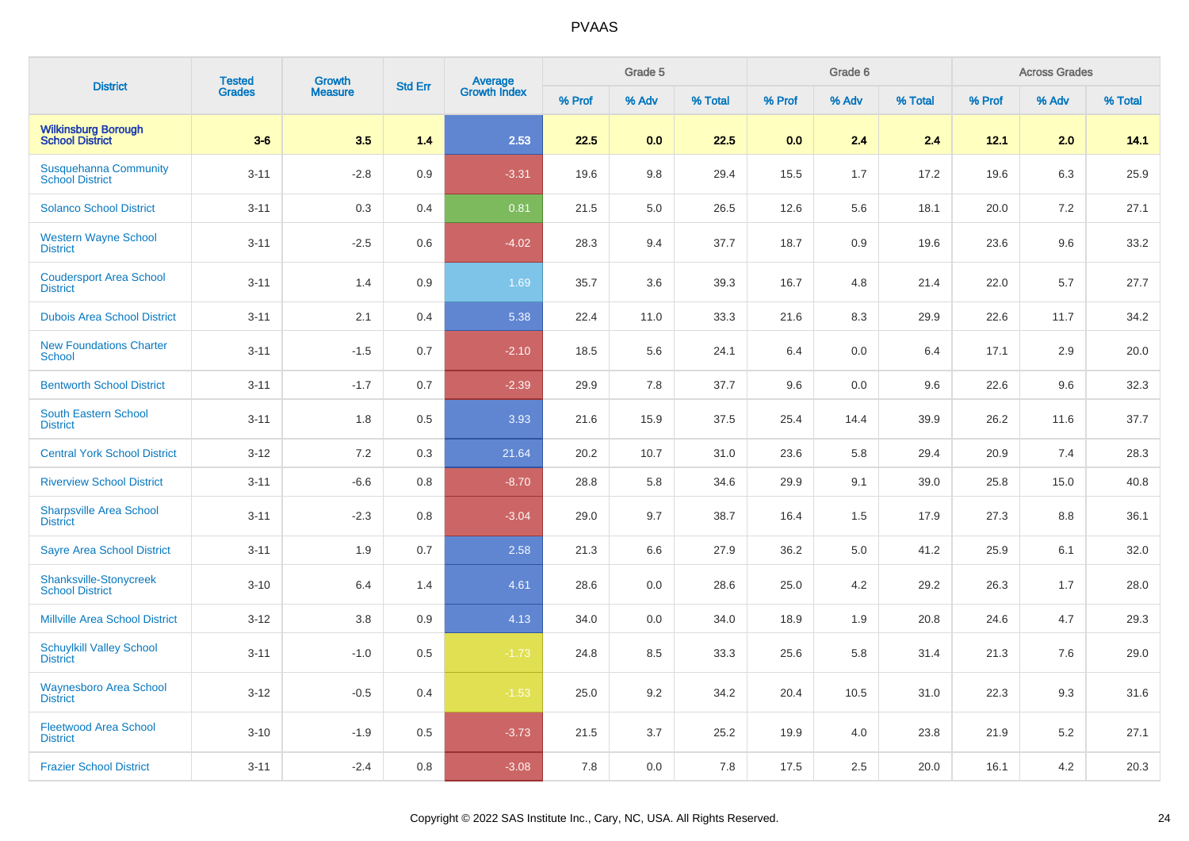| <b>District</b>                                        | <b>Tested</b> | Growth         | <b>Std Err</b> | Average<br>Growth Index |        | Grade 5 |         |        | Grade 6 |         |        | <b>Across Grades</b> |         |
|--------------------------------------------------------|---------------|----------------|----------------|-------------------------|--------|---------|---------|--------|---------|---------|--------|----------------------|---------|
|                                                        | <b>Grades</b> | <b>Measure</b> |                |                         | % Prof | % Adv   | % Total | % Prof | % Adv   | % Total | % Prof | % Adv                | % Total |
| <b>Wilkinsburg Borough</b><br><b>School District</b>   | $3-6$         | 3.5            | 1.4            | 2.53                    | 22.5   | 0.0     | 22.5    | 0.0    | 2.4     | 2.4     | 12.1   | 2.0                  | 14.1    |
| <b>Susquehanna Community</b><br><b>School District</b> | $3 - 11$      | $-2.8$         | 0.9            | $-3.31$                 | 19.6   | 9.8     | 29.4    | 15.5   | 1.7     | 17.2    | 19.6   | 6.3                  | 25.9    |
| <b>Solanco School District</b>                         | $3 - 11$      | 0.3            | 0.4            | 0.81                    | 21.5   | 5.0     | 26.5    | 12.6   | 5.6     | 18.1    | 20.0   | 7.2                  | 27.1    |
| <b>Western Wayne School</b><br><b>District</b>         | $3 - 11$      | $-2.5$         | 0.6            | $-4.02$                 | 28.3   | 9.4     | 37.7    | 18.7   | 0.9     | 19.6    | 23.6   | 9.6                  | 33.2    |
| <b>Coudersport Area School</b><br><b>District</b>      | $3 - 11$      | 1.4            | 0.9            | 1.69                    | 35.7   | 3.6     | 39.3    | 16.7   | 4.8     | 21.4    | 22.0   | 5.7                  | 27.7    |
| <b>Dubois Area School District</b>                     | $3 - 11$      | 2.1            | 0.4            | 5.38                    | 22.4   | 11.0    | 33.3    | 21.6   | 8.3     | 29.9    | 22.6   | 11.7                 | 34.2    |
| <b>New Foundations Charter</b><br><b>School</b>        | $3 - 11$      | $-1.5$         | 0.7            | $-2.10$                 | 18.5   | 5.6     | 24.1    | 6.4    | 0.0     | 6.4     | 17.1   | 2.9                  | 20.0    |
| <b>Bentworth School District</b>                       | $3 - 11$      | $-1.7$         | 0.7            | $-2.39$                 | 29.9   | 7.8     | 37.7    | 9.6    | 0.0     | 9.6     | 22.6   | 9.6                  | 32.3    |
| South Eastern School<br><b>District</b>                | $3 - 11$      | 1.8            | 0.5            | 3.93                    | 21.6   | 15.9    | 37.5    | 25.4   | 14.4    | 39.9    | 26.2   | 11.6                 | 37.7    |
| <b>Central York School District</b>                    | $3 - 12$      | 7.2            | 0.3            | 21.64                   | 20.2   | 10.7    | 31.0    | 23.6   | 5.8     | 29.4    | 20.9   | 7.4                  | 28.3    |
| <b>Riverview School District</b>                       | $3 - 11$      | $-6.6$         | 0.8            | $-8.70$                 | 28.8   | 5.8     | 34.6    | 29.9   | 9.1     | 39.0    | 25.8   | 15.0                 | 40.8    |
| <b>Sharpsville Area School</b><br><b>District</b>      | $3 - 11$      | $-2.3$         | 0.8            | $-3.04$                 | 29.0   | 9.7     | 38.7    | 16.4   | 1.5     | 17.9    | 27.3   | 8.8                  | 36.1    |
| <b>Sayre Area School District</b>                      | $3 - 11$      | 1.9            | 0.7            | 2.58                    | 21.3   | 6.6     | 27.9    | 36.2   | 5.0     | 41.2    | 25.9   | 6.1                  | 32.0    |
| Shanksville-Stonycreek<br><b>School District</b>       | $3 - 10$      | 6.4            | 1.4            | 4.61                    | 28.6   | 0.0     | 28.6    | 25.0   | 4.2     | 29.2    | 26.3   | 1.7                  | 28.0    |
| <b>Millville Area School District</b>                  | $3 - 12$      | 3.8            | 0.9            | 4.13                    | 34.0   | 0.0     | 34.0    | 18.9   | 1.9     | 20.8    | 24.6   | 4.7                  | 29.3    |
| <b>Schuylkill Valley School</b><br><b>District</b>     | $3 - 11$      | $-1.0$         | 0.5            | $-1.73$                 | 24.8   | 8.5     | 33.3    | 25.6   | 5.8     | 31.4    | 21.3   | 7.6                  | 29.0    |
| <b>Waynesboro Area School</b><br><b>District</b>       | $3 - 12$      | $-0.5$         | 0.4            | $-1.53$                 | 25.0   | 9.2     | 34.2    | 20.4   | 10.5    | 31.0    | 22.3   | 9.3                  | 31.6    |
| <b>Fleetwood Area School</b><br><b>District</b>        | $3 - 10$      | $-1.9$         | 0.5            | $-3.73$                 | 21.5   | 3.7     | 25.2    | 19.9   | 4.0     | 23.8    | 21.9   | 5.2                  | 27.1    |
| <b>Frazier School District</b>                         | $3 - 11$      | $-2.4$         | 0.8            | $-3.08$                 | 7.8    | 0.0     | 7.8     | 17.5   | 2.5     | 20.0    | 16.1   | 4.2                  | 20.3    |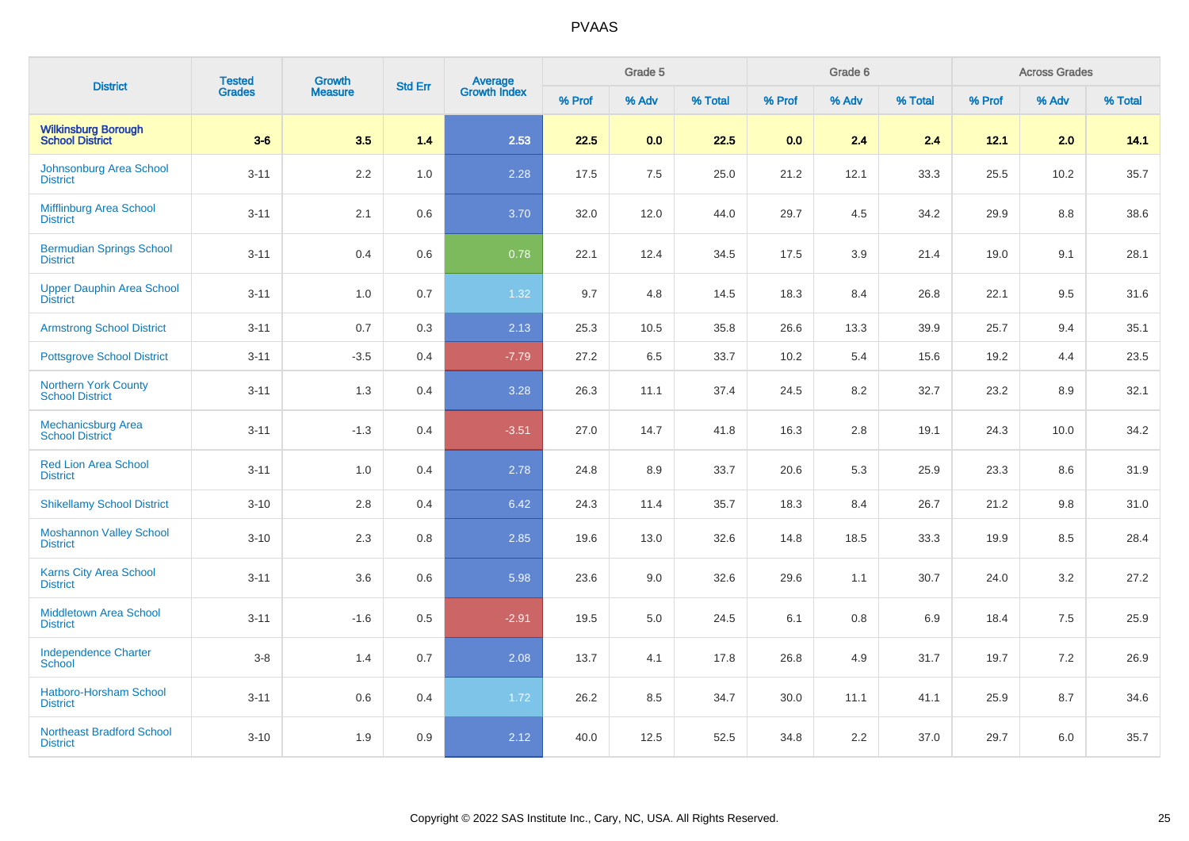| <b>District</b>                                       | <b>Tested</b> | <b>Growth</b><br><b>Measure</b> | <b>Std Err</b> | <b>Average</b><br>Growth Index |        | Grade 5 |         |        | Grade 6 |         |        | <b>Across Grades</b> |         |
|-------------------------------------------------------|---------------|---------------------------------|----------------|--------------------------------|--------|---------|---------|--------|---------|---------|--------|----------------------|---------|
|                                                       | Grades        |                                 |                |                                | % Prof | % Adv   | % Total | % Prof | % Adv   | % Total | % Prof | % Adv                | % Total |
| <b>Wilkinsburg Borough</b><br><b>School District</b>  | $3-6$         | 3.5                             | 1.4            | 2.53                           | 22.5   | 0.0     | 22.5    | 0.0    | 2.4     | 2.4     | 12.1   | 2.0                  | 14.1    |
| Johnsonburg Area School<br><b>District</b>            | $3 - 11$      | 2.2                             | 1.0            | 2.28                           | 17.5   | 7.5     | 25.0    | 21.2   | 12.1    | 33.3    | 25.5   | 10.2                 | 35.7    |
| Mifflinburg Area School<br><b>District</b>            | $3 - 11$      | 2.1                             | 0.6            | 3.70                           | 32.0   | 12.0    | 44.0    | 29.7   | 4.5     | 34.2    | 29.9   | 8.8                  | 38.6    |
| <b>Bermudian Springs School</b><br><b>District</b>    | $3 - 11$      | 0.4                             | 0.6            | 0.78                           | 22.1   | 12.4    | 34.5    | 17.5   | 3.9     | 21.4    | 19.0   | 9.1                  | 28.1    |
| <b>Upper Dauphin Area School</b><br><b>District</b>   | $3 - 11$      | 1.0                             | 0.7            | 1.32                           | 9.7    | 4.8     | 14.5    | 18.3   | 8.4     | 26.8    | 22.1   | 9.5                  | 31.6    |
| <b>Armstrong School District</b>                      | $3 - 11$      | 0.7                             | 0.3            | 2.13                           | 25.3   | 10.5    | 35.8    | 26.6   | 13.3    | 39.9    | 25.7   | 9.4                  | 35.1    |
| <b>Pottsgrove School District</b>                     | $3 - 11$      | $-3.5$                          | 0.4            | $-7.79$                        | 27.2   | 6.5     | 33.7    | 10.2   | 5.4     | 15.6    | 19.2   | 4.4                  | 23.5    |
| <b>Northern York County</b><br><b>School District</b> | $3 - 11$      | 1.3                             | 0.4            | 3.28                           | 26.3   | 11.1    | 37.4    | 24.5   | 8.2     | 32.7    | 23.2   | 8.9                  | 32.1    |
| <b>Mechanicsburg Area</b><br><b>School District</b>   | $3 - 11$      | $-1.3$                          | 0.4            | $-3.51$                        | 27.0   | 14.7    | 41.8    | 16.3   | $2.8\,$ | 19.1    | 24.3   | 10.0                 | 34.2    |
| <b>Red Lion Area School</b><br><b>District</b>        | $3 - 11$      | $1.0$                           | 0.4            | 2.78                           | 24.8   | 8.9     | 33.7    | 20.6   | 5.3     | 25.9    | 23.3   | 8.6                  | 31.9    |
| <b>Shikellamy School District</b>                     | $3 - 10$      | 2.8                             | 0.4            | 6.42                           | 24.3   | 11.4    | 35.7    | 18.3   | 8.4     | 26.7    | 21.2   | 9.8                  | 31.0    |
| <b>Moshannon Valley School</b><br><b>District</b>     | $3 - 10$      | 2.3                             | 0.8            | 2.85                           | 19.6   | 13.0    | 32.6    | 14.8   | 18.5    | 33.3    | 19.9   | 8.5                  | 28.4    |
| <b>Karns City Area School</b><br><b>District</b>      | $3 - 11$      | 3.6                             | 0.6            | 5.98                           | 23.6   | 9.0     | 32.6    | 29.6   | 1.1     | 30.7    | 24.0   | 3.2                  | 27.2    |
| <b>Middletown Area School</b><br><b>District</b>      | $3 - 11$      | $-1.6$                          | 0.5            | $-2.91$                        | 19.5   | 5.0     | 24.5    | 6.1    | 0.8     | 6.9     | 18.4   | 7.5                  | 25.9    |
| <b>Independence Charter</b><br><b>School</b>          | $3-8$         | 1.4                             | 0.7            | 2.08                           | 13.7   | 4.1     | 17.8    | 26.8   | 4.9     | 31.7    | 19.7   | 7.2                  | 26.9    |
| <b>Hatboro-Horsham School</b><br><b>District</b>      | $3 - 11$      | 0.6                             | 0.4            | 1.72                           | 26.2   | 8.5     | 34.7    | 30.0   | 11.1    | 41.1    | 25.9   | 8.7                  | 34.6    |
| <b>Northeast Bradford School</b><br><b>District</b>   | $3 - 10$      | 1.9                             | 0.9            | 2.12                           | 40.0   | 12.5    | 52.5    | 34.8   | 2.2     | 37.0    | 29.7   | 6.0                  | 35.7    |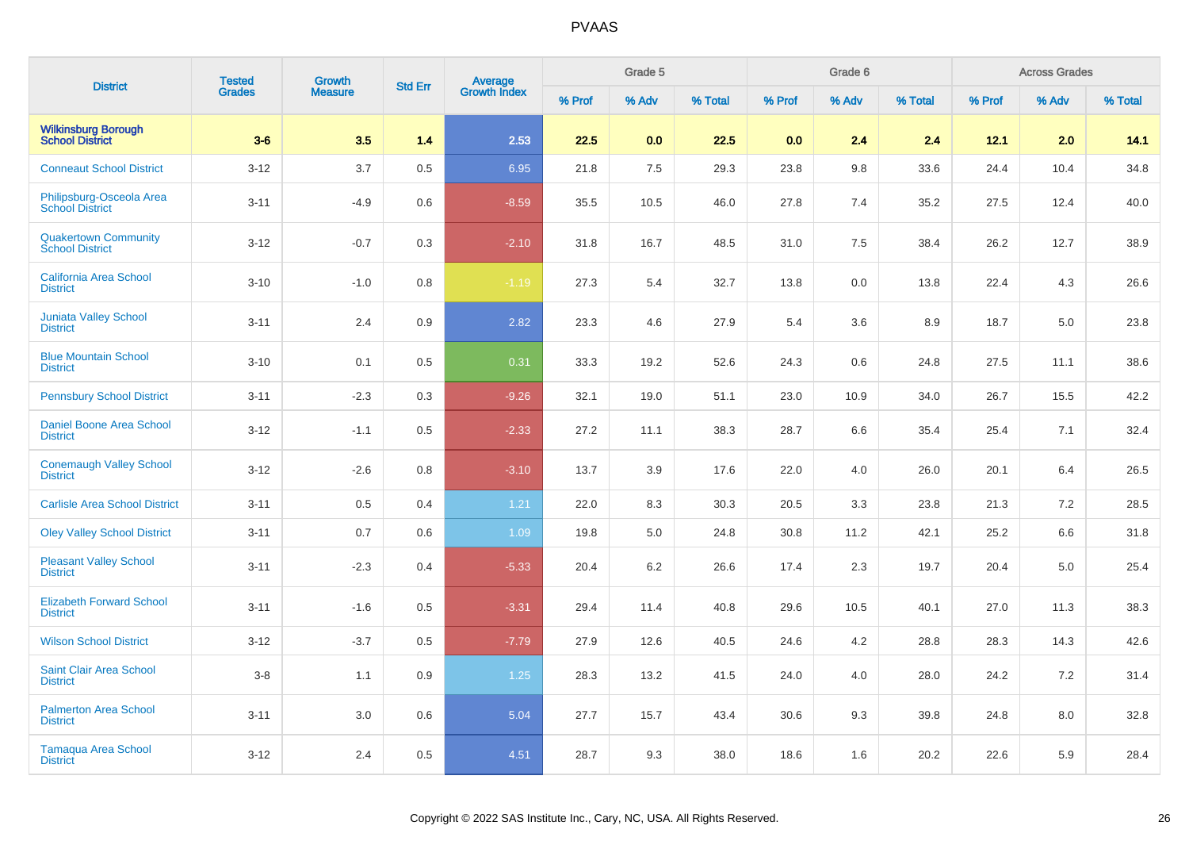| <b>District</b>                                       | <b>Tested</b> | <b>Growth</b>  | <b>Std Err</b> |                                |        | Grade 5 |         |        | Grade 6 |         |        | <b>Across Grades</b> |         |
|-------------------------------------------------------|---------------|----------------|----------------|--------------------------------|--------|---------|---------|--------|---------|---------|--------|----------------------|---------|
|                                                       | <b>Grades</b> | <b>Measure</b> |                | <b>Average</b><br>Growth Index | % Prof | % Adv   | % Total | % Prof | % Adv   | % Total | % Prof | % Adv                | % Total |
| <b>Wilkinsburg Borough<br/>School District</b>        | $3-6$         | 3.5            | 1.4            | 2.53                           | 22.5   | 0.0     | 22.5    | 0.0    | 2.4     | 2.4     | 12.1   | 2.0                  | 14.1    |
| <b>Conneaut School District</b>                       | $3 - 12$      | 3.7            | 0.5            | 6.95                           | 21.8   | 7.5     | 29.3    | 23.8   | 9.8     | 33.6    | 24.4   | 10.4                 | 34.8    |
| Philipsburg-Osceola Area<br><b>School District</b>    | $3 - 11$      | $-4.9$         | 0.6            | $-8.59$                        | 35.5   | 10.5    | 46.0    | 27.8   | 7.4     | 35.2    | 27.5   | 12.4                 | 40.0    |
| <b>Quakertown Community</b><br><b>School District</b> | $3-12$        | $-0.7$         | 0.3            | $-2.10$                        | 31.8   | 16.7    | 48.5    | 31.0   | 7.5     | 38.4    | 26.2   | 12.7                 | 38.9    |
| <b>California Area School</b><br><b>District</b>      | $3 - 10$      | $-1.0$         | 0.8            | $-1.19$                        | 27.3   | 5.4     | 32.7    | 13.8   | 0.0     | 13.8    | 22.4   | 4.3                  | 26.6    |
| <b>Juniata Valley School</b><br><b>District</b>       | $3 - 11$      | 2.4            | 0.9            | 2.82                           | 23.3   | 4.6     | 27.9    | 5.4    | 3.6     | 8.9     | 18.7   | 5.0                  | 23.8    |
| <b>Blue Mountain School</b><br><b>District</b>        | $3 - 10$      | 0.1            | 0.5            | 0.31                           | 33.3   | 19.2    | 52.6    | 24.3   | 0.6     | 24.8    | 27.5   | 11.1                 | 38.6    |
| <b>Pennsbury School District</b>                      | $3 - 11$      | $-2.3$         | 0.3            | $-9.26$                        | 32.1   | 19.0    | 51.1    | 23.0   | 10.9    | 34.0    | 26.7   | 15.5                 | 42.2    |
| Daniel Boone Area School<br><b>District</b>           | $3 - 12$      | $-1.1$         | 0.5            | $-2.33$                        | 27.2   | 11.1    | 38.3    | 28.7   | 6.6     | 35.4    | 25.4   | 7.1                  | 32.4    |
| <b>Conemaugh Valley School</b><br><b>District</b>     | $3 - 12$      | $-2.6$         | 0.8            | $-3.10$                        | 13.7   | 3.9     | 17.6    | 22.0   | 4.0     | 26.0    | 20.1   | 6.4                  | 26.5    |
| <b>Carlisle Area School District</b>                  | $3 - 11$      | 0.5            | 0.4            | 1.21                           | 22.0   | 8.3     | 30.3    | 20.5   | 3.3     | 23.8    | 21.3   | 7.2                  | 28.5    |
| <b>Oley Valley School District</b>                    | $3 - 11$      | 0.7            | 0.6            | 1.09                           | 19.8   | $5.0\,$ | 24.8    | 30.8   | 11.2    | 42.1    | 25.2   | 6.6                  | 31.8    |
| <b>Pleasant Valley School</b><br><b>District</b>      | $3 - 11$      | $-2.3$         | 0.4            | $-5.33$                        | 20.4   | 6.2     | 26.6    | 17.4   | 2.3     | 19.7    | 20.4   | 5.0                  | 25.4    |
| <b>Elizabeth Forward School</b><br><b>District</b>    | $3 - 11$      | $-1.6$         | 0.5            | $-3.31$                        | 29.4   | 11.4    | 40.8    | 29.6   | 10.5    | 40.1    | 27.0   | 11.3                 | 38.3    |
| <b>Wilson School District</b>                         | $3 - 12$      | $-3.7$         | 0.5            | $-7.79$                        | 27.9   | 12.6    | 40.5    | 24.6   | 4.2     | 28.8    | 28.3   | 14.3                 | 42.6    |
| <b>Saint Clair Area School</b><br><b>District</b>     | $3-8$         | 1.1            | 0.9            | 1.25                           | 28.3   | 13.2    | 41.5    | 24.0   | 4.0     | 28.0    | 24.2   | 7.2                  | 31.4    |
| <b>Palmerton Area School</b><br><b>District</b>       | $3 - 11$      | $3.0\,$        | 0.6            | 5.04                           | 27.7   | 15.7    | 43.4    | 30.6   | 9.3     | 39.8    | 24.8   | 8.0                  | 32.8    |
| Tamaqua Area School<br><b>District</b>                | $3 - 12$      | 2.4            | 0.5            | 4.51                           | 28.7   | 9.3     | 38.0    | 18.6   | 1.6     | 20.2    | 22.6   | 5.9                  | 28.4    |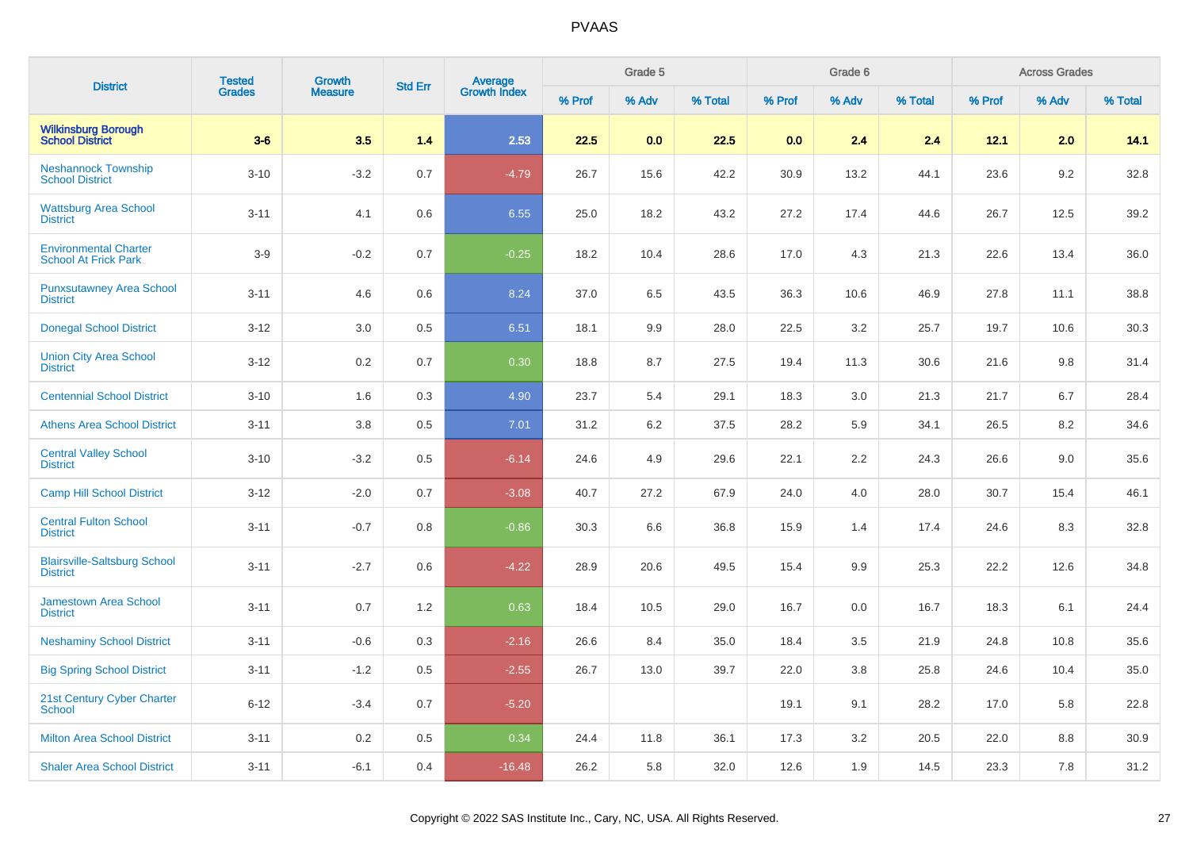| <b>District</b>                                             | <b>Tested</b> | <b>Growth</b>  | <b>Std Err</b> | <b>Average</b><br>Growth Index |        | Grade 5 |         |        | Grade 6 |         |        | <b>Across Grades</b> |         |
|-------------------------------------------------------------|---------------|----------------|----------------|--------------------------------|--------|---------|---------|--------|---------|---------|--------|----------------------|---------|
|                                                             | <b>Grades</b> | <b>Measure</b> |                |                                | % Prof | % Adv   | % Total | % Prof | % Adv   | % Total | % Prof | % Adv                | % Total |
| <b>Wilkinsburg Borough</b><br><b>School District</b>        | $3-6$         | 3.5            | 1.4            | 2.53                           | 22.5   | 0.0     | 22.5    | 0.0    | 2.4     | 2.4     | 12.1   | 2.0                  | 14.1    |
| <b>Neshannock Township</b><br><b>School District</b>        | $3 - 10$      | $-3.2$         | 0.7            | $-4.79$                        | 26.7   | 15.6    | 42.2    | 30.9   | 13.2    | 44.1    | 23.6   | 9.2                  | 32.8    |
| <b>Wattsburg Area School</b><br><b>District</b>             | $3 - 11$      | 4.1            | 0.6            | 6.55                           | 25.0   | 18.2    | 43.2    | 27.2   | 17.4    | 44.6    | 26.7   | 12.5                 | 39.2    |
| <b>Environmental Charter</b><br><b>School At Frick Park</b> | $3-9$         | $-0.2$         | 0.7            | $-0.25$                        | 18.2   | 10.4    | 28.6    | 17.0   | 4.3     | 21.3    | 22.6   | 13.4                 | 36.0    |
| <b>Punxsutawney Area School</b><br><b>District</b>          | $3 - 11$      | 4.6            | 0.6            | 8.24                           | 37.0   | 6.5     | 43.5    | 36.3   | 10.6    | 46.9    | 27.8   | 11.1                 | 38.8    |
| <b>Donegal School District</b>                              | $3 - 12$      | 3.0            | 0.5            | 6.51                           | 18.1   | 9.9     | 28.0    | 22.5   | 3.2     | 25.7    | 19.7   | 10.6                 | 30.3    |
| <b>Union City Area School</b><br><b>District</b>            | $3-12$        | 0.2            | 0.7            | 0.30                           | 18.8   | 8.7     | 27.5    | 19.4   | 11.3    | 30.6    | 21.6   | 9.8                  | 31.4    |
| <b>Centennial School District</b>                           | $3 - 10$      | 1.6            | 0.3            | 4.90                           | 23.7   | 5.4     | 29.1    | 18.3   | 3.0     | 21.3    | 21.7   | 6.7                  | 28.4    |
| <b>Athens Area School District</b>                          | $3 - 11$      | 3.8            | 0.5            | 7.01                           | 31.2   | 6.2     | 37.5    | 28.2   | 5.9     | 34.1    | 26.5   | 8.2                  | 34.6    |
| <b>Central Valley School</b><br><b>District</b>             | $3 - 10$      | $-3.2$         | 0.5            | $-6.14$                        | 24.6   | 4.9     | 29.6    | 22.1   | 2.2     | 24.3    | 26.6   | 9.0                  | 35.6    |
| <b>Camp Hill School District</b>                            | $3 - 12$      | $-2.0$         | 0.7            | $-3.08$                        | 40.7   | 27.2    | 67.9    | 24.0   | 4.0     | 28.0    | 30.7   | 15.4                 | 46.1    |
| <b>Central Fulton School</b><br><b>District</b>             | $3 - 11$      | $-0.7$         | 0.8            | $-0.86$                        | 30.3   | 6.6     | 36.8    | 15.9   | 1.4     | 17.4    | 24.6   | 8.3                  | 32.8    |
| <b>Blairsville-Saltsburg School</b><br><b>District</b>      | $3 - 11$      | $-2.7$         | 0.6            | $-4.22$                        | 28.9   | 20.6    | 49.5    | 15.4   | 9.9     | 25.3    | 22.2   | 12.6                 | 34.8    |
| <b>Jamestown Area School</b><br><b>District</b>             | $3 - 11$      | 0.7            | 1.2            | 0.63                           | 18.4   | 10.5    | 29.0    | 16.7   | 0.0     | 16.7    | 18.3   | 6.1                  | 24.4    |
| <b>Neshaminy School District</b>                            | $3 - 11$      | $-0.6$         | 0.3            | $-2.16$                        | 26.6   | 8.4     | 35.0    | 18.4   | 3.5     | 21.9    | 24.8   | 10.8                 | 35.6    |
| <b>Big Spring School District</b>                           | $3 - 11$      | $-1.2$         | 0.5            | $-2.55$                        | 26.7   | 13.0    | 39.7    | 22.0   | 3.8     | 25.8    | 24.6   | 10.4                 | 35.0    |
| 21st Century Cyber Charter<br><b>School</b>                 | $6 - 12$      | $-3.4$         | 0.7            | $-5.20$                        |        |         |         | 19.1   | 9.1     | 28.2    | 17.0   | 5.8                  | 22.8    |
| <b>Milton Area School District</b>                          | $3 - 11$      | 0.2            | 0.5            | 0.34                           | 24.4   | 11.8    | 36.1    | 17.3   | 3.2     | 20.5    | 22.0   | 8.8                  | 30.9    |
| <b>Shaler Area School District</b>                          | $3 - 11$      | $-6.1$         | 0.4            | $-16.48$                       | 26.2   | 5.8     | 32.0    | 12.6   | 1.9     | 14.5    | 23.3   | 7.8                  | 31.2    |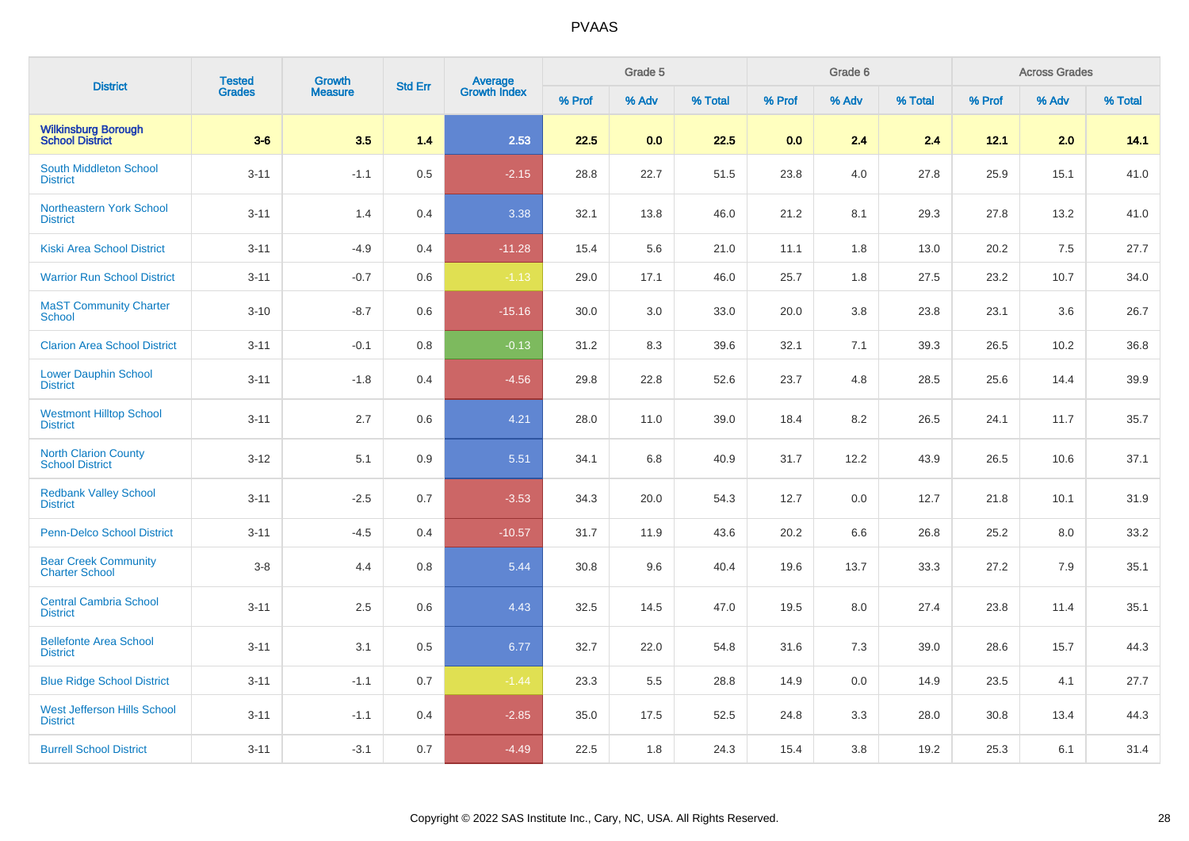| <b>District</b>                                       | <b>Tested</b> | Growth         | <b>Std Err</b> |                                |        | Grade 5 |         |        | Grade 6 |         |        | <b>Across Grades</b> |         |
|-------------------------------------------------------|---------------|----------------|----------------|--------------------------------|--------|---------|---------|--------|---------|---------|--------|----------------------|---------|
|                                                       | <b>Grades</b> | <b>Measure</b> |                | <b>Average</b><br>Growth Index | % Prof | % Adv   | % Total | % Prof | % Adv   | % Total | % Prof | % Adv                | % Total |
| <b>Wilkinsburg Borough</b><br><b>School District</b>  | $3-6$         | 3.5            | 1.4            | 2.53                           | 22.5   | 0.0     | 22.5    | 0.0    | 2.4     | 2.4     | 12.1   | 2.0                  | 14.1    |
| South Middleton School<br><b>District</b>             | $3 - 11$      | $-1.1$         | 0.5            | $-2.15$                        | 28.8   | 22.7    | 51.5    | 23.8   | 4.0     | 27.8    | 25.9   | 15.1                 | 41.0    |
| <b>Northeastern York School</b><br><b>District</b>    | $3 - 11$      | 1.4            | 0.4            | 3.38                           | 32.1   | 13.8    | 46.0    | 21.2   | 8.1     | 29.3    | 27.8   | 13.2                 | 41.0    |
| <b>Kiski Area School District</b>                     | $3 - 11$      | $-4.9$         | 0.4            | $-11.28$                       | 15.4   | 5.6     | 21.0    | 11.1   | 1.8     | 13.0    | 20.2   | 7.5                  | 27.7    |
| <b>Warrior Run School District</b>                    | $3 - 11$      | $-0.7$         | 0.6            | $-1.13$                        | 29.0   | 17.1    | 46.0    | 25.7   | 1.8     | 27.5    | 23.2   | 10.7                 | 34.0    |
| <b>MaST Community Charter</b><br>School               | $3 - 10$      | $-8.7$         | 0.6            | $-15.16$                       | 30.0   | 3.0     | 33.0    | 20.0   | 3.8     | 23.8    | 23.1   | 3.6                  | 26.7    |
| <b>Clarion Area School District</b>                   | $3 - 11$      | $-0.1$         | 0.8            | $-0.13$                        | 31.2   | 8.3     | 39.6    | 32.1   | 7.1     | 39.3    | 26.5   | 10.2                 | 36.8    |
| <b>Lower Dauphin School</b><br><b>District</b>        | $3 - 11$      | $-1.8$         | 0.4            | $-4.56$                        | 29.8   | 22.8    | 52.6    | 23.7   | 4.8     | 28.5    | 25.6   | 14.4                 | 39.9    |
| <b>Westmont Hilltop School</b><br><b>District</b>     | $3 - 11$      | 2.7            | 0.6            | 4.21                           | 28.0   | 11.0    | 39.0    | 18.4   | 8.2     | 26.5    | 24.1   | 11.7                 | 35.7    |
| <b>North Clarion County</b><br><b>School District</b> | $3 - 12$      | 5.1            | 0.9            | 5.51                           | 34.1   | 6.8     | 40.9    | 31.7   | 12.2    | 43.9    | 26.5   | 10.6                 | 37.1    |
| <b>Redbank Valley School</b><br><b>District</b>       | $3 - 11$      | $-2.5$         | 0.7            | $-3.53$                        | 34.3   | 20.0    | 54.3    | 12.7   | 0.0     | 12.7    | 21.8   | 10.1                 | 31.9    |
| Penn-Delco School District                            | $3 - 11$      | $-4.5$         | 0.4            | $-10.57$                       | 31.7   | 11.9    | 43.6    | 20.2   | 6.6     | 26.8    | 25.2   | 8.0                  | 33.2    |
| <b>Bear Creek Community</b><br><b>Charter School</b>  | $3 - 8$       | 4.4            | 0.8            | 5.44                           | 30.8   | 9.6     | 40.4    | 19.6   | 13.7    | 33.3    | 27.2   | 7.9                  | 35.1    |
| <b>Central Cambria School</b><br><b>District</b>      | $3 - 11$      | 2.5            | 0.6            | 4.43                           | 32.5   | 14.5    | 47.0    | 19.5   | 8.0     | 27.4    | 23.8   | 11.4                 | 35.1    |
| <b>Bellefonte Area School</b><br><b>District</b>      | $3 - 11$      | 3.1            | 0.5            | 6.77                           | 32.7   | 22.0    | 54.8    | 31.6   | 7.3     | 39.0    | 28.6   | 15.7                 | 44.3    |
| <b>Blue Ridge School District</b>                     | $3 - 11$      | $-1.1$         | 0.7            | $-1.44$                        | 23.3   | 5.5     | 28.8    | 14.9   | 0.0     | 14.9    | 23.5   | 4.1                  | 27.7    |
| <b>West Jefferson Hills School</b><br><b>District</b> | $3 - 11$      | $-1.1$         | 0.4            | $-2.85$                        | 35.0   | 17.5    | 52.5    | 24.8   | 3.3     | 28.0    | 30.8   | 13.4                 | 44.3    |
| <b>Burrell School District</b>                        | $3 - 11$      | $-3.1$         | 0.7            | $-4.49$                        | 22.5   | 1.8     | 24.3    | 15.4   | 3.8     | 19.2    | 25.3   | 6.1                  | 31.4    |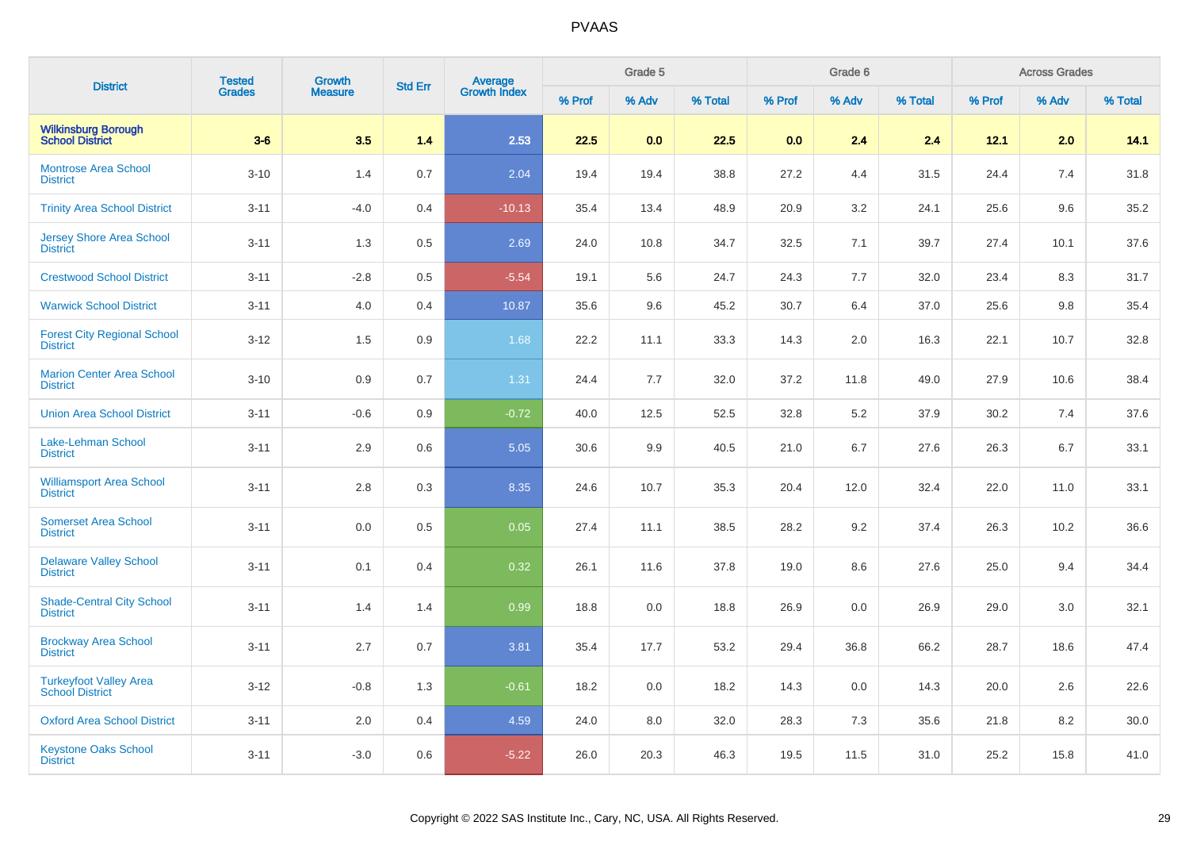| <b>District</b>                                         | <b>Tested</b> | <b>Growth</b>  |                |                         |        | Grade 5 |         |        | Grade 6 |         |        | <b>Across Grades</b> |         |
|---------------------------------------------------------|---------------|----------------|----------------|-------------------------|--------|---------|---------|--------|---------|---------|--------|----------------------|---------|
|                                                         | <b>Grades</b> | <b>Measure</b> | <b>Std Err</b> | Average<br>Growth Index | % Prof | % Adv   | % Total | % Prof | % Adv   | % Total | % Prof | % Adv                | % Total |
| <b>Wilkinsburg Borough<br/>School District</b>          | $3-6$         | 3.5            | 1.4            | 2.53                    | 22.5   | 0.0     | 22.5    | 0.0    | 2.4     | 2.4     | 12.1   | 2.0                  | 14.1    |
| <b>Montrose Area School</b><br><b>District</b>          | $3 - 10$      | 1.4            | 0.7            | 2.04                    | 19.4   | 19.4    | 38.8    | 27.2   | 4.4     | 31.5    | 24.4   | 7.4                  | 31.8    |
| <b>Trinity Area School District</b>                     | $3 - 11$      | $-4.0$         | 0.4            | $-10.13$                | 35.4   | 13.4    | 48.9    | 20.9   | 3.2     | 24.1    | 25.6   | 9.6                  | 35.2    |
| <b>Jersey Shore Area School</b><br><b>District</b>      | $3 - 11$      | 1.3            | 0.5            | 2.69                    | 24.0   | 10.8    | 34.7    | 32.5   | 7.1     | 39.7    | 27.4   | 10.1                 | 37.6    |
| <b>Crestwood School District</b>                        | $3 - 11$      | $-2.8$         | 0.5            | $-5.54$                 | 19.1   | 5.6     | 24.7    | 24.3   | 7.7     | 32.0    | 23.4   | 8.3                  | 31.7    |
| <b>Warwick School District</b>                          | $3 - 11$      | 4.0            | 0.4            | 10.87                   | 35.6   | 9.6     | 45.2    | 30.7   | 6.4     | 37.0    | 25.6   | 9.8                  | 35.4    |
| <b>Forest City Regional School</b><br><b>District</b>   | $3 - 12$      | $1.5$          | 0.9            | 1.68                    | 22.2   | 11.1    | 33.3    | 14.3   | 2.0     | 16.3    | 22.1   | 10.7                 | 32.8    |
| <b>Marion Center Area School</b><br><b>District</b>     | $3 - 10$      | 0.9            | 0.7            | 1.31                    | 24.4   | 7.7     | 32.0    | 37.2   | 11.8    | 49.0    | 27.9   | 10.6                 | 38.4    |
| <b>Union Area School District</b>                       | $3 - 11$      | $-0.6$         | 0.9            | $-0.72$                 | 40.0   | 12.5    | 52.5    | 32.8   | 5.2     | 37.9    | 30.2   | 7.4                  | 37.6    |
| Lake-Lehman School<br><b>District</b>                   | $3 - 11$      | 2.9            | 0.6            | 5.05                    | 30.6   | 9.9     | 40.5    | 21.0   | 6.7     | 27.6    | 26.3   | 6.7                  | 33.1    |
| <b>Williamsport Area School</b><br><b>District</b>      | $3 - 11$      | 2.8            | 0.3            | 8.35                    | 24.6   | 10.7    | 35.3    | 20.4   | 12.0    | 32.4    | 22.0   | 11.0                 | 33.1    |
| <b>Somerset Area School</b><br><b>District</b>          | $3 - 11$      | $0.0\,$        | 0.5            | 0.05                    | 27.4   | 11.1    | 38.5    | 28.2   | 9.2     | 37.4    | 26.3   | 10.2                 | 36.6    |
| <b>Delaware Valley School</b><br><b>District</b>        | $3 - 11$      | 0.1            | 0.4            | 0.32                    | 26.1   | 11.6    | 37.8    | 19.0   | 8.6     | 27.6    | 25.0   | 9.4                  | 34.4    |
| <b>Shade-Central City School</b><br><b>District</b>     | $3 - 11$      | 1.4            | 1.4            | 0.99                    | 18.8   | 0.0     | 18.8    | 26.9   | 0.0     | 26.9    | 29.0   | 3.0                  | 32.1    |
| <b>Brockway Area School</b><br><b>District</b>          | $3 - 11$      | 2.7            | 0.7            | 3.81                    | 35.4   | 17.7    | 53.2    | 29.4   | 36.8    | 66.2    | 28.7   | 18.6                 | 47.4    |
| <b>Turkeyfoot Valley Area</b><br><b>School District</b> | $3 - 12$      | $-0.8$         | 1.3            | $-0.61$                 | 18.2   | 0.0     | 18.2    | 14.3   | 0.0     | 14.3    | 20.0   | 2.6                  | 22.6    |
| <b>Oxford Area School District</b>                      | $3 - 11$      | 2.0            | 0.4            | 4.59                    | 24.0   | 8.0     | 32.0    | 28.3   | 7.3     | 35.6    | 21.8   | 8.2                  | 30.0    |
| <b>Keystone Oaks School</b><br><b>District</b>          | $3 - 11$      | $-3.0$         | 0.6            | $-5.22$                 | 26.0   | 20.3    | 46.3    | 19.5   | 11.5    | 31.0    | 25.2   | 15.8                 | 41.0    |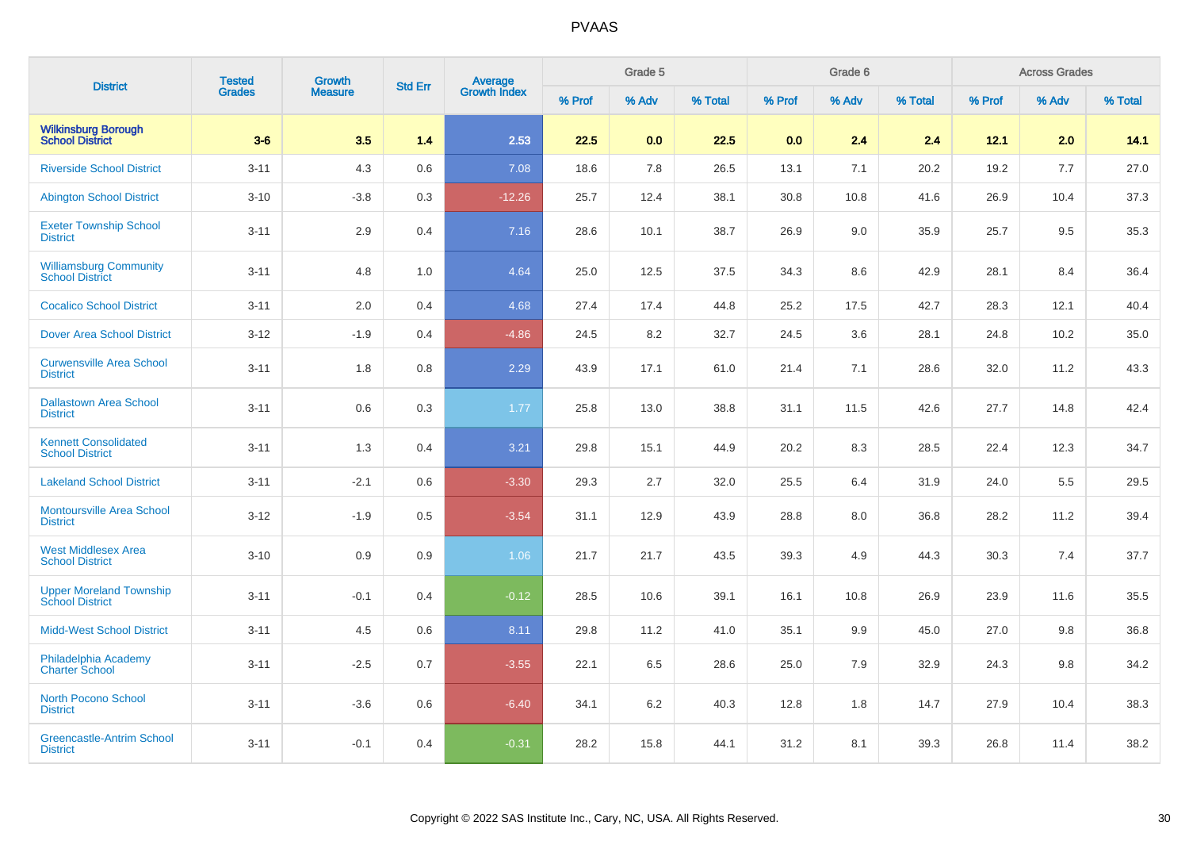| <b>District</b>                                          | <b>Tested</b> | Growth         | <b>Std Err</b> |                                |        | Grade 5 |         |        | Grade 6 |         |        | <b>Across Grades</b> |         |
|----------------------------------------------------------|---------------|----------------|----------------|--------------------------------|--------|---------|---------|--------|---------|---------|--------|----------------------|---------|
|                                                          | <b>Grades</b> | <b>Measure</b> |                | <b>Average</b><br>Growth Index | % Prof | % Adv   | % Total | % Prof | % Adv   | % Total | % Prof | % Adv                | % Total |
| <b>Wilkinsburg Borough</b><br><b>School District</b>     | $3-6$         | 3.5            | 1.4            | 2.53                           | 22.5   | 0.0     | 22.5    | 0.0    | 2.4     | 2.4     | 12.1   | 2.0                  | 14.1    |
| <b>Riverside School District</b>                         | $3 - 11$      | 4.3            | 0.6            | 7.08                           | 18.6   | 7.8     | 26.5    | 13.1   | 7.1     | 20.2    | 19.2   | 7.7                  | 27.0    |
| <b>Abington School District</b>                          | $3 - 10$      | $-3.8$         | 0.3            | $-12.26$                       | 25.7   | 12.4    | 38.1    | 30.8   | 10.8    | 41.6    | 26.9   | 10.4                 | 37.3    |
| <b>Exeter Township School</b><br><b>District</b>         | $3 - 11$      | 2.9            | 0.4            | 7.16                           | 28.6   | 10.1    | 38.7    | 26.9   | 9.0     | 35.9    | 25.7   | 9.5                  | 35.3    |
| <b>Williamsburg Community</b><br><b>School District</b>  | $3 - 11$      | 4.8            | 1.0            | 4.64                           | 25.0   | 12.5    | 37.5    | 34.3   | 8.6     | 42.9    | 28.1   | 8.4                  | 36.4    |
| <b>Cocalico School District</b>                          | $3 - 11$      | 2.0            | 0.4            | 4.68                           | 27.4   | 17.4    | 44.8    | 25.2   | 17.5    | 42.7    | 28.3   | 12.1                 | 40.4    |
| <b>Dover Area School District</b>                        | $3-12$        | $-1.9$         | 0.4            | $-4.86$                        | 24.5   | 8.2     | 32.7    | 24.5   | 3.6     | 28.1    | 24.8   | 10.2                 | 35.0    |
| <b>Curwensville Area School</b><br><b>District</b>       | $3 - 11$      | 1.8            | 0.8            | 2.29                           | 43.9   | 17.1    | 61.0    | 21.4   | 7.1     | 28.6    | 32.0   | 11.2                 | 43.3    |
| <b>Dallastown Area School</b><br><b>District</b>         | $3 - 11$      | 0.6            | 0.3            | 1.77                           | 25.8   | 13.0    | 38.8    | 31.1   | 11.5    | 42.6    | 27.7   | 14.8                 | 42.4    |
| <b>Kennett Consolidated</b><br><b>School District</b>    | $3 - 11$      | 1.3            | 0.4            | 3.21                           | 29.8   | 15.1    | 44.9    | 20.2   | 8.3     | 28.5    | 22.4   | 12.3                 | 34.7    |
| <b>Lakeland School District</b>                          | $3 - 11$      | $-2.1$         | 0.6            | $-3.30$                        | 29.3   | 2.7     | 32.0    | 25.5   | 6.4     | 31.9    | 24.0   | 5.5                  | 29.5    |
| <b>Montoursville Area School</b><br><b>District</b>      | $3 - 12$      | $-1.9$         | 0.5            | $-3.54$                        | 31.1   | 12.9    | 43.9    | 28.8   | 8.0     | 36.8    | 28.2   | 11.2                 | 39.4    |
| <b>West Middlesex Area</b><br><b>School District</b>     | $3 - 10$      | 0.9            | 0.9            | 1.06                           | 21.7   | 21.7    | 43.5    | 39.3   | 4.9     | 44.3    | 30.3   | 7.4                  | 37.7    |
| <b>Upper Moreland Township</b><br><b>School District</b> | $3 - 11$      | $-0.1$         | 0.4            | $-0.12$                        | 28.5   | 10.6    | 39.1    | 16.1   | 10.8    | 26.9    | 23.9   | 11.6                 | 35.5    |
| <b>Midd-West School District</b>                         | $3 - 11$      | 4.5            | 0.6            | 8.11                           | 29.8   | 11.2    | 41.0    | 35.1   | 9.9     | 45.0    | 27.0   | 9.8                  | 36.8    |
| Philadelphia Academy<br><b>Charter School</b>            | $3 - 11$      | $-2.5$         | 0.7            | $-3.55$                        | 22.1   | 6.5     | 28.6    | 25.0   | 7.9     | 32.9    | 24.3   | 9.8                  | 34.2    |
| <b>North Pocono School</b><br><b>District</b>            | $3 - 11$      | $-3.6$         | 0.6            | $-6.40$                        | 34.1   | $6.2\,$ | 40.3    | 12.8   | 1.8     | 14.7    | 27.9   | 10.4                 | 38.3    |
| <b>Greencastle-Antrim School</b><br><b>District</b>      | $3 - 11$      | $-0.1$         | 0.4            | $-0.31$                        | 28.2   | 15.8    | 44.1    | 31.2   | 8.1     | 39.3    | 26.8   | 11.4                 | 38.2    |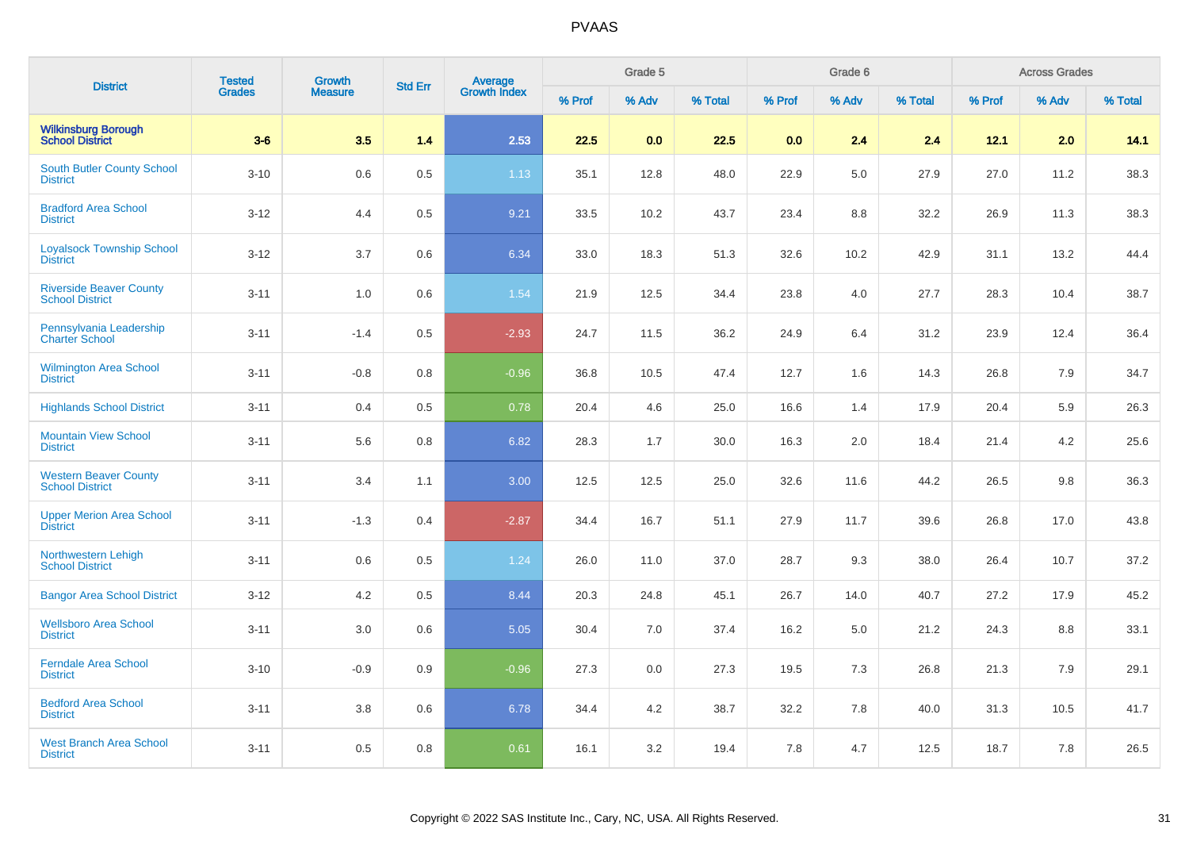| <b>District</b>                                          | <b>Tested</b> | <b>Growth</b>  | <b>Std Err</b> |                                |        | Grade 5 |         |        | Grade 6 |         |        | <b>Across Grades</b> |         |
|----------------------------------------------------------|---------------|----------------|----------------|--------------------------------|--------|---------|---------|--------|---------|---------|--------|----------------------|---------|
|                                                          | <b>Grades</b> | <b>Measure</b> |                | <b>Average</b><br>Growth Index | % Prof | % Adv   | % Total | % Prof | % Adv   | % Total | % Prof | % Adv                | % Total |
| <b>Wilkinsburg Borough<br/>School District</b>           | $3-6$         | 3.5            | 1.4            | 2.53                           | 22.5   | 0.0     | 22.5    | 0.0    | 2.4     | 2.4     | 12.1   | 2.0                  | 14.1    |
| <b>South Butler County School</b><br><b>District</b>     | $3 - 10$      | 0.6            | 0.5            | 1.13                           | 35.1   | 12.8    | 48.0    | 22.9   | 5.0     | 27.9    | 27.0   | 11.2                 | 38.3    |
| <b>Bradford Area School</b><br><b>District</b>           | $3-12$        | 4.4            | 0.5            | 9.21                           | 33.5   | 10.2    | 43.7    | 23.4   | 8.8     | 32.2    | 26.9   | 11.3                 | 38.3    |
| <b>Loyalsock Township School</b><br><b>District</b>      | $3 - 12$      | 3.7            | 0.6            | 6.34                           | 33.0   | 18.3    | 51.3    | 32.6   | 10.2    | 42.9    | 31.1   | 13.2                 | 44.4    |
| <b>Riverside Beaver County</b><br><b>School District</b> | $3 - 11$      | 1.0            | 0.6            | 1.54                           | 21.9   | 12.5    | 34.4    | 23.8   | 4.0     | 27.7    | 28.3   | 10.4                 | 38.7    |
| Pennsylvania Leadership<br><b>Charter School</b>         | $3 - 11$      | $-1.4$         | 0.5            | $-2.93$                        | 24.7   | 11.5    | 36.2    | 24.9   | 6.4     | 31.2    | 23.9   | 12.4                 | 36.4    |
| <b>Wilmington Area School</b><br><b>District</b>         | $3 - 11$      | $-0.8$         | 0.8            | $-0.96$                        | 36.8   | 10.5    | 47.4    | 12.7   | 1.6     | 14.3    | 26.8   | 7.9                  | 34.7    |
| <b>Highlands School District</b>                         | $3 - 11$      | 0.4            | 0.5            | 0.78                           | 20.4   | 4.6     | 25.0    | 16.6   | 1.4     | 17.9    | 20.4   | 5.9                  | 26.3    |
| <b>Mountain View School</b><br><b>District</b>           | $3 - 11$      | 5.6            | 0.8            | 6.82                           | 28.3   | 1.7     | 30.0    | 16.3   | 2.0     | 18.4    | 21.4   | 4.2                  | 25.6    |
| <b>Western Beaver County</b><br><b>School District</b>   | $3 - 11$      | 3.4            | 1.1            | 3.00                           | 12.5   | 12.5    | 25.0    | 32.6   | 11.6    | 44.2    | 26.5   | 9.8                  | 36.3    |
| <b>Upper Merion Area School</b><br><b>District</b>       | $3 - 11$      | $-1.3$         | 0.4            | $-2.87$                        | 34.4   | 16.7    | 51.1    | 27.9   | 11.7    | 39.6    | 26.8   | 17.0                 | 43.8    |
| Northwestern Lehigh<br><b>School District</b>            | $3 - 11$      | 0.6            | 0.5            | 1.24                           | 26.0   | 11.0    | 37.0    | 28.7   | 9.3     | 38.0    | 26.4   | 10.7                 | 37.2    |
| <b>Bangor Area School District</b>                       | $3-12$        | 4.2            | 0.5            | 8.44                           | 20.3   | 24.8    | 45.1    | 26.7   | 14.0    | 40.7    | 27.2   | 17.9                 | 45.2    |
| <b>Wellsboro Area School</b><br><b>District</b>          | $3 - 11$      | 3.0            | 0.6            | 5.05                           | 30.4   | 7.0     | 37.4    | 16.2   | 5.0     | 21.2    | 24.3   | 8.8                  | 33.1    |
| <b>Ferndale Area School</b><br><b>District</b>           | $3 - 10$      | $-0.9$         | 0.9            | $-0.96$                        | 27.3   | 0.0     | 27.3    | 19.5   | 7.3     | 26.8    | 21.3   | 7.9                  | 29.1    |
| <b>Bedford Area School</b><br><b>District</b>            | $3 - 11$      | $3.8\,$        | 0.6            | 6.78                           | 34.4   | 4.2     | 38.7    | 32.2   | 7.8     | 40.0    | 31.3   | 10.5                 | 41.7    |
| <b>West Branch Area School</b><br><b>District</b>        | $3 - 11$      | 0.5            | 0.8            | 0.61                           | 16.1   | 3.2     | 19.4    | 7.8    | 4.7     | 12.5    | 18.7   | 7.8                  | 26.5    |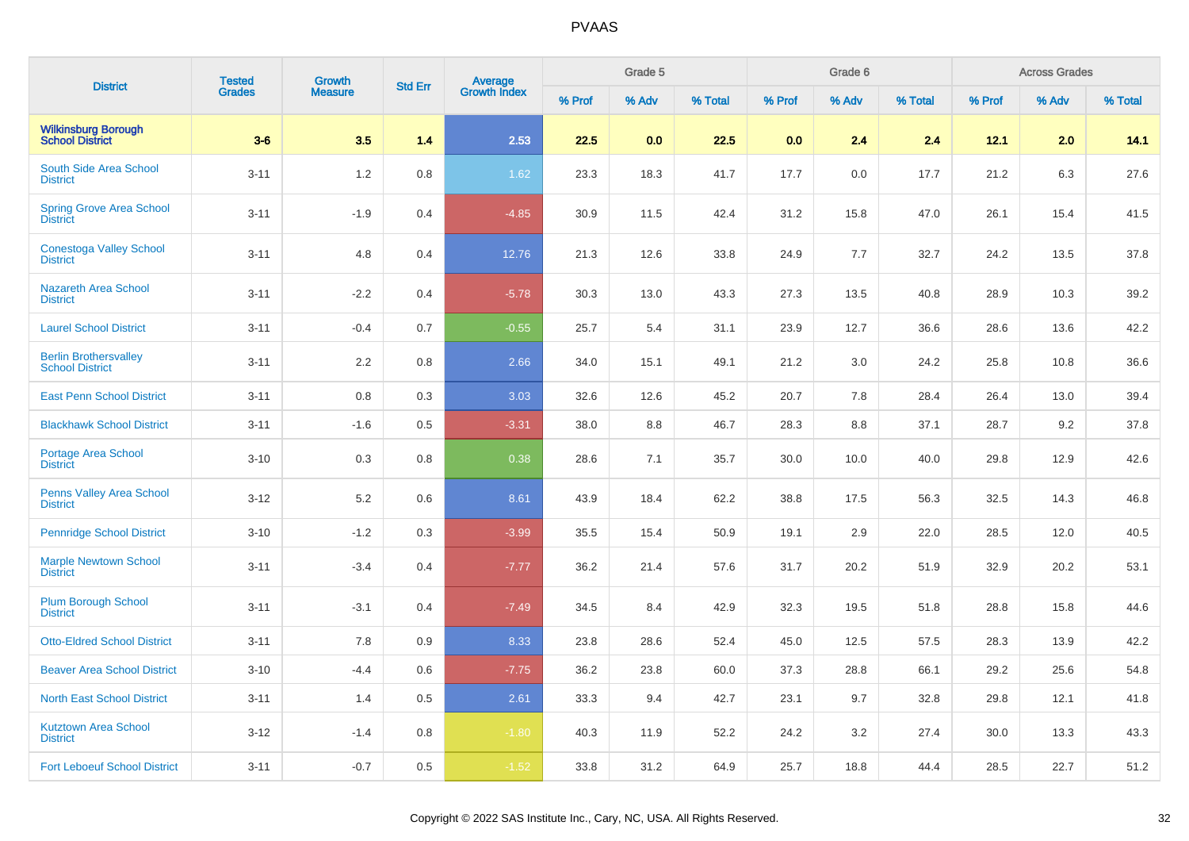| <b>District</b>                                        | <b>Tested</b> | Growth         | <b>Std Err</b> |                                |        | Grade 5 |         |        | Grade 6 |         |        | <b>Across Grades</b> |         |
|--------------------------------------------------------|---------------|----------------|----------------|--------------------------------|--------|---------|---------|--------|---------|---------|--------|----------------------|---------|
|                                                        | <b>Grades</b> | <b>Measure</b> |                | <b>Average</b><br>Growth Index | % Prof | % Adv   | % Total | % Prof | % Adv   | % Total | % Prof | % Adv                | % Total |
| <b>Wilkinsburg Borough</b><br><b>School District</b>   | $3-6$         | 3.5            | 1.4            | 2.53                           | 22.5   | 0.0     | 22.5    | 0.0    | 2.4     | 2.4     | 12.1   | 2.0                  | 14.1    |
| South Side Area School<br><b>District</b>              | $3 - 11$      | 1.2            | 0.8            | 1.62                           | 23.3   | 18.3    | 41.7    | 17.7   | 0.0     | 17.7    | 21.2   | 6.3                  | 27.6    |
| <b>Spring Grove Area School</b><br><b>District</b>     | $3 - 11$      | $-1.9$         | 0.4            | $-4.85$                        | 30.9   | 11.5    | 42.4    | 31.2   | 15.8    | 47.0    | 26.1   | 15.4                 | 41.5    |
| <b>Conestoga Valley School</b><br><b>District</b>      | $3 - 11$      | 4.8            | 0.4            | 12.76                          | 21.3   | 12.6    | 33.8    | 24.9   | 7.7     | 32.7    | 24.2   | 13.5                 | 37.8    |
| <b>Nazareth Area School</b><br><b>District</b>         | $3 - 11$      | $-2.2$         | 0.4            | $-5.78$                        | 30.3   | 13.0    | 43.3    | 27.3   | 13.5    | 40.8    | 28.9   | 10.3                 | 39.2    |
| <b>Laurel School District</b>                          | $3 - 11$      | $-0.4$         | 0.7            | $-0.55$                        | 25.7   | 5.4     | 31.1    | 23.9   | 12.7    | 36.6    | 28.6   | 13.6                 | 42.2    |
| <b>Berlin Brothersvalley</b><br><b>School District</b> | $3 - 11$      | 2.2            | 0.8            | 2.66                           | 34.0   | 15.1    | 49.1    | 21.2   | 3.0     | 24.2    | 25.8   | 10.8                 | 36.6    |
| <b>East Penn School District</b>                       | $3 - 11$      | 0.8            | 0.3            | 3.03                           | 32.6   | 12.6    | 45.2    | 20.7   | 7.8     | 28.4    | 26.4   | 13.0                 | 39.4    |
| <b>Blackhawk School District</b>                       | $3 - 11$      | $-1.6$         | 0.5            | $-3.31$                        | 38.0   | 8.8     | 46.7    | 28.3   | 8.8     | 37.1    | 28.7   | 9.2                  | 37.8    |
| <b>Portage Area School</b><br><b>District</b>          | $3 - 10$      | 0.3            | 0.8            | 0.38                           | 28.6   | 7.1     | 35.7    | 30.0   | 10.0    | 40.0    | 29.8   | 12.9                 | 42.6    |
| Penns Valley Area School<br><b>District</b>            | $3 - 12$      | 5.2            | 0.6            | 8.61                           | 43.9   | 18.4    | 62.2    | 38.8   | 17.5    | 56.3    | 32.5   | 14.3                 | 46.8    |
| <b>Pennridge School District</b>                       | $3 - 10$      | $-1.2$         | 0.3            | $-3.99$                        | 35.5   | 15.4    | 50.9    | 19.1   | 2.9     | 22.0    | 28.5   | 12.0                 | 40.5    |
| <b>Marple Newtown School</b><br><b>District</b>        | $3 - 11$      | $-3.4$         | 0.4            | $-7.77$                        | 36.2   | 21.4    | 57.6    | 31.7   | 20.2    | 51.9    | 32.9   | 20.2                 | 53.1    |
| <b>Plum Borough School</b><br><b>District</b>          | $3 - 11$      | $-3.1$         | 0.4            | $-7.49$                        | 34.5   | 8.4     | 42.9    | 32.3   | 19.5    | 51.8    | 28.8   | 15.8                 | 44.6    |
| <b>Otto-Eldred School District</b>                     | $3 - 11$      | 7.8            | 0.9            | 8.33                           | 23.8   | 28.6    | 52.4    | 45.0   | 12.5    | 57.5    | 28.3   | 13.9                 | 42.2    |
| <b>Beaver Area School District</b>                     | $3 - 10$      | $-4.4$         | 0.6            | $-7.75$                        | 36.2   | 23.8    | 60.0    | 37.3   | 28.8    | 66.1    | 29.2   | 25.6                 | 54.8    |
| <b>North East School District</b>                      | $3 - 11$      | 1.4            | 0.5            | 2.61                           | 33.3   | 9.4     | 42.7    | 23.1   | 9.7     | 32.8    | 29.8   | 12.1                 | 41.8    |
| <b>Kutztown Area School</b><br><b>District</b>         | $3-12$        | $-1.4$         | 0.8            | $-1.80$                        | 40.3   | 11.9    | 52.2    | 24.2   | 3.2     | 27.4    | 30.0   | 13.3                 | 43.3    |
| <b>Fort Leboeuf School District</b>                    | $3 - 11$      | $-0.7$         | 0.5            | $-1.52$                        | 33.8   | 31.2    | 64.9    | 25.7   | 18.8    | 44.4    | 28.5   | 22.7                 | 51.2    |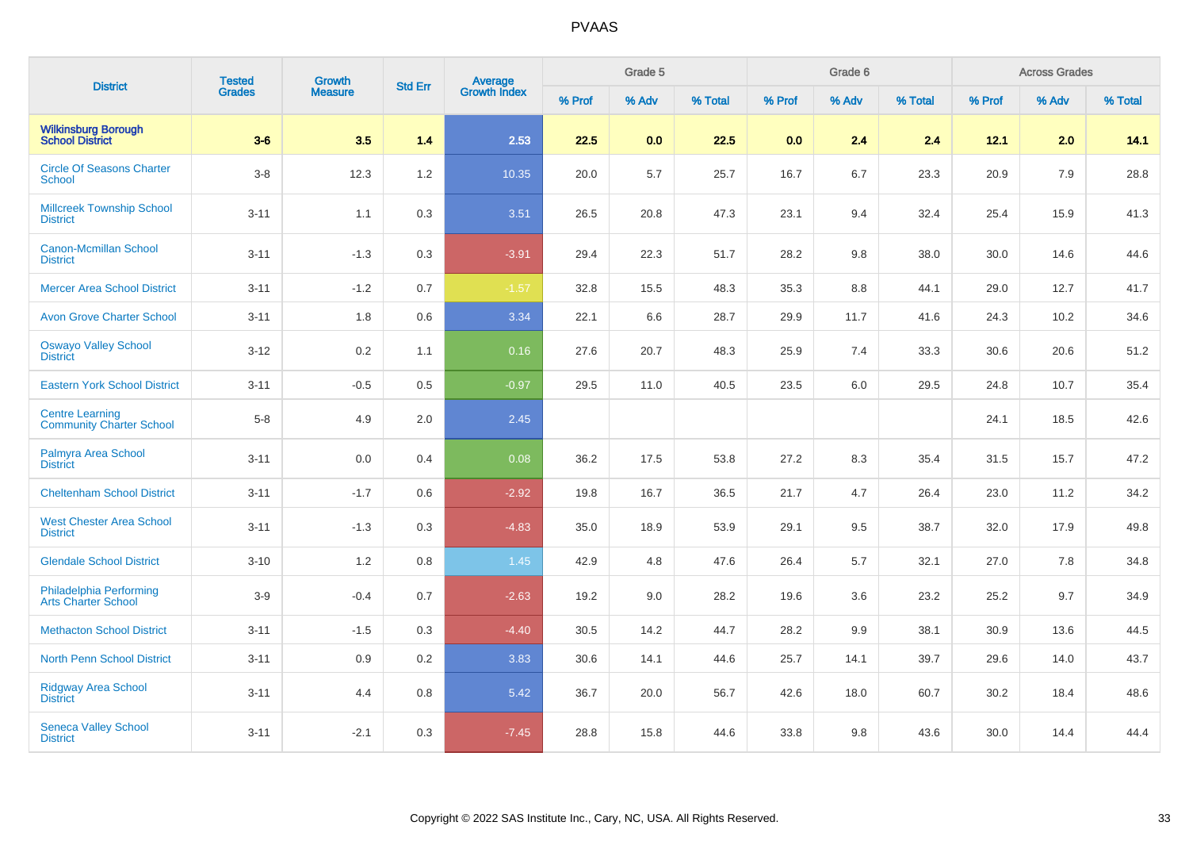| <b>District</b>                                           | <b>Tested</b> | <b>Growth</b>  | <b>Std Err</b> |                                |        | Grade 5 |         |        | Grade 6 |         |        | <b>Across Grades</b> |         |
|-----------------------------------------------------------|---------------|----------------|----------------|--------------------------------|--------|---------|---------|--------|---------|---------|--------|----------------------|---------|
|                                                           | <b>Grades</b> | <b>Measure</b> |                | <b>Average</b><br>Growth Index | % Prof | % Adv   | % Total | % Prof | % Adv   | % Total | % Prof | % Adv                | % Total |
| <b>Wilkinsburg Borough</b><br><b>School District</b>      | $3-6$         | 3.5            | 1.4            | 2.53                           | 22.5   | 0.0     | 22.5    | 0.0    | 2.4     | 2.4     | 12.1   | 2.0                  | 14.1    |
| <b>Circle Of Seasons Charter</b><br>School                | $3-8$         | 12.3           | 1.2            | 10.35                          | 20.0   | 5.7     | 25.7    | 16.7   | 6.7     | 23.3    | 20.9   | 7.9                  | 28.8    |
| <b>Millcreek Township School</b><br><b>District</b>       | $3 - 11$      | 1.1            | 0.3            | 3.51                           | 26.5   | 20.8    | 47.3    | 23.1   | 9.4     | 32.4    | 25.4   | 15.9                 | 41.3    |
| <b>Canon-Mcmillan School</b><br><b>District</b>           | $3 - 11$      | $-1.3$         | 0.3            | $-3.91$                        | 29.4   | 22.3    | 51.7    | 28.2   | 9.8     | 38.0    | 30.0   | 14.6                 | 44.6    |
| <b>Mercer Area School District</b>                        | $3 - 11$      | $-1.2$         | 0.7            | $-1.57$                        | 32.8   | 15.5    | 48.3    | 35.3   | 8.8     | 44.1    | 29.0   | 12.7                 | 41.7    |
| <b>Avon Grove Charter School</b>                          | $3 - 11$      | 1.8            | 0.6            | 3.34                           | 22.1   | 6.6     | 28.7    | 29.9   | 11.7    | 41.6    | 24.3   | 10.2                 | 34.6    |
| <b>Oswayo Valley School</b><br><b>District</b>            | $3 - 12$      | 0.2            | 1.1            | 0.16                           | 27.6   | 20.7    | 48.3    | 25.9   | 7.4     | 33.3    | 30.6   | 20.6                 | 51.2    |
| <b>Eastern York School District</b>                       | $3 - 11$      | $-0.5$         | 0.5            | $-0.97$                        | 29.5   | 11.0    | 40.5    | 23.5   | 6.0     | 29.5    | 24.8   | 10.7                 | 35.4    |
| <b>Centre Learning</b><br><b>Community Charter School</b> | $5-8$         | 4.9            | 2.0            | 2.45                           |        |         |         |        |         |         | 24.1   | 18.5                 | 42.6    |
| Palmyra Area School<br><b>District</b>                    | $3 - 11$      | 0.0            | 0.4            | 0.08                           | 36.2   | 17.5    | 53.8    | 27.2   | 8.3     | 35.4    | 31.5   | 15.7                 | 47.2    |
| <b>Cheltenham School District</b>                         | $3 - 11$      | $-1.7$         | 0.6            | $-2.92$                        | 19.8   | 16.7    | 36.5    | 21.7   | 4.7     | 26.4    | 23.0   | 11.2                 | 34.2    |
| <b>West Chester Area School</b><br><b>District</b>        | $3 - 11$      | $-1.3$         | 0.3            | $-4.83$                        | 35.0   | 18.9    | 53.9    | 29.1   | 9.5     | 38.7    | 32.0   | 17.9                 | 49.8    |
| <b>Glendale School District</b>                           | $3 - 10$      | 1.2            | 0.8            | 1.45                           | 42.9   | 4.8     | 47.6    | 26.4   | 5.7     | 32.1    | 27.0   | 7.8                  | 34.8    |
| Philadelphia Performing<br>Arts Charter School            | $3-9$         | $-0.4$         | 0.7            | $-2.63$                        | 19.2   | 9.0     | 28.2    | 19.6   | 3.6     | 23.2    | 25.2   | 9.7                  | 34.9    |
| <b>Methacton School District</b>                          | $3 - 11$      | $-1.5$         | 0.3            | $-4.40$                        | 30.5   | 14.2    | 44.7    | 28.2   | 9.9     | 38.1    | 30.9   | 13.6                 | 44.5    |
| <b>North Penn School District</b>                         | $3 - 11$      | 0.9            | 0.2            | 3.83                           | 30.6   | 14.1    | 44.6    | 25.7   | 14.1    | 39.7    | 29.6   | 14.0                 | 43.7    |
| <b>Ridgway Area School</b><br><b>District</b>             | $3 - 11$      | 4.4            | 0.8            | 5.42                           | 36.7   | 20.0    | 56.7    | 42.6   | 18.0    | 60.7    | 30.2   | 18.4                 | 48.6    |
| <b>Seneca Valley School</b><br><b>District</b>            | $3 - 11$      | $-2.1$         | 0.3            | $-7.45$                        | 28.8   | 15.8    | 44.6    | 33.8   | 9.8     | 43.6    | 30.0   | 14.4                 | 44.4    |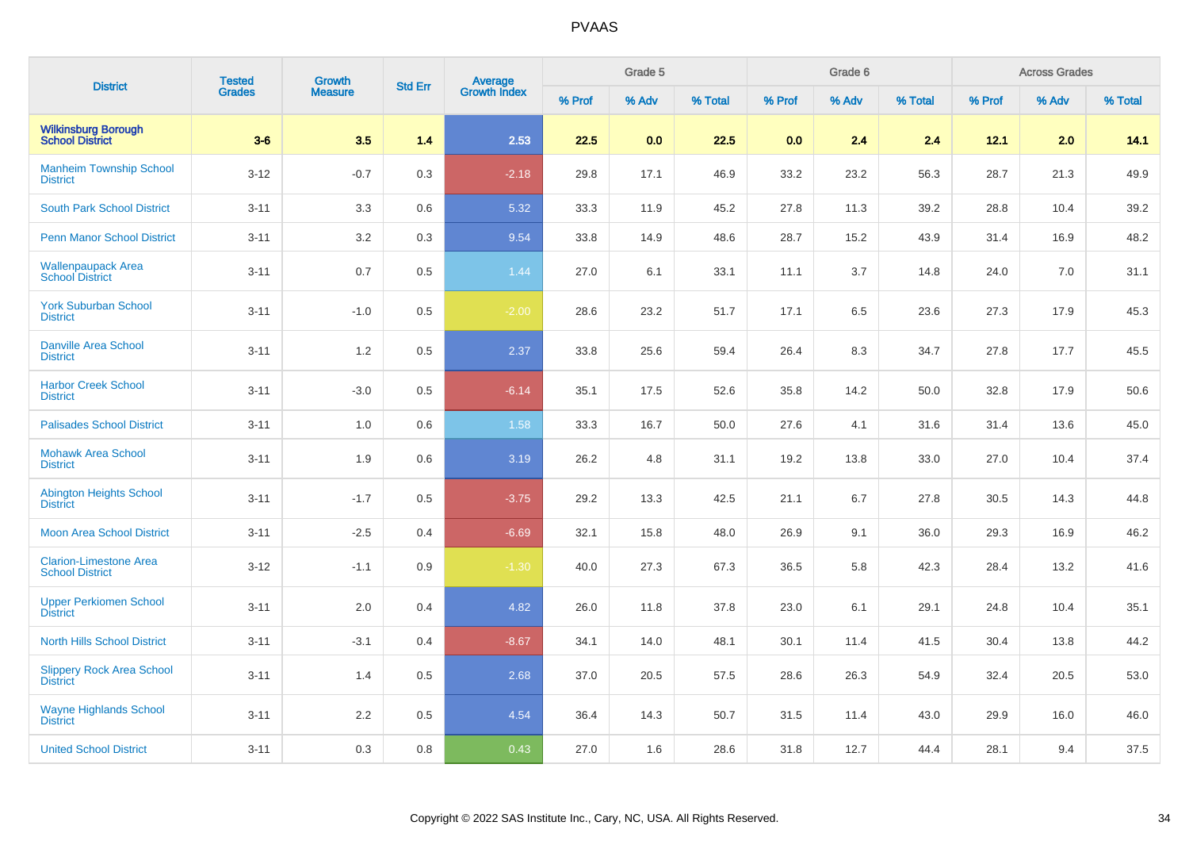| <b>District</b>                                         | <b>Tested</b> | <b>Growth</b>  | <b>Std Err</b> |                         |        | Grade 5 |         |        | Grade 6 |         |        | <b>Across Grades</b> |         |
|---------------------------------------------------------|---------------|----------------|----------------|-------------------------|--------|---------|---------|--------|---------|---------|--------|----------------------|---------|
|                                                         | <b>Grades</b> | <b>Measure</b> |                | Average<br>Growth Index | % Prof | % Adv   | % Total | % Prof | % Adv   | % Total | % Prof | % Adv                | % Total |
| <b>Wilkinsburg Borough<br/>School District</b>          | $3-6$         | 3.5            | 1.4            | 2.53                    | 22.5   | 0.0     | 22.5    | 0.0    | 2.4     | 2.4     | 12.1   | 2.0                  | 14.1    |
| <b>Manheim Township School</b><br><b>District</b>       | $3 - 12$      | $-0.7$         | 0.3            | $-2.18$                 | 29.8   | 17.1    | 46.9    | 33.2   | 23.2    | 56.3    | 28.7   | 21.3                 | 49.9    |
| <b>South Park School District</b>                       | $3 - 11$      | 3.3            | 0.6            | 5.32                    | 33.3   | 11.9    | 45.2    | 27.8   | 11.3    | 39.2    | 28.8   | 10.4                 | 39.2    |
| <b>Penn Manor School District</b>                       | $3 - 11$      | 3.2            | 0.3            | 9.54                    | 33.8   | 14.9    | 48.6    | 28.7   | 15.2    | 43.9    | 31.4   | 16.9                 | 48.2    |
| <b>Wallenpaupack Area</b><br><b>School District</b>     | $3 - 11$      | 0.7            | 0.5            | 1.44                    | 27.0   | 6.1     | 33.1    | 11.1   | 3.7     | 14.8    | 24.0   | 7.0                  | 31.1    |
| <b>York Suburban School</b><br><b>District</b>          | $3 - 11$      | $-1.0$         | 0.5            | $-2.00$                 | 28.6   | 23.2    | 51.7    | 17.1   | 6.5     | 23.6    | 27.3   | 17.9                 | 45.3    |
| <b>Danville Area School</b><br><b>District</b>          | $3 - 11$      | $1.2$          | 0.5            | 2.37                    | 33.8   | 25.6    | 59.4    | 26.4   | 8.3     | 34.7    | 27.8   | 17.7                 | 45.5    |
| <b>Harbor Creek School</b><br><b>District</b>           | $3 - 11$      | $-3.0$         | 0.5            | $-6.14$                 | 35.1   | 17.5    | 52.6    | 35.8   | 14.2    | 50.0    | 32.8   | 17.9                 | 50.6    |
| <b>Palisades School District</b>                        | $3 - 11$      | 1.0            | 0.6            | 1.58                    | 33.3   | 16.7    | 50.0    | 27.6   | 4.1     | 31.6    | 31.4   | 13.6                 | 45.0    |
| <b>Mohawk Area School</b><br><b>District</b>            | $3 - 11$      | 1.9            | 0.6            | 3.19                    | 26.2   | 4.8     | 31.1    | 19.2   | 13.8    | 33.0    | 27.0   | 10.4                 | 37.4    |
| <b>Abington Heights School</b><br><b>District</b>       | $3 - 11$      | $-1.7$         | 0.5            | $-3.75$                 | 29.2   | 13.3    | 42.5    | 21.1   | 6.7     | 27.8    | 30.5   | 14.3                 | 44.8    |
| <b>Moon Area School District</b>                        | $3 - 11$      | $-2.5$         | 0.4            | $-6.69$                 | 32.1   | 15.8    | 48.0    | 26.9   | 9.1     | 36.0    | 29.3   | 16.9                 | 46.2    |
| <b>Clarion-Limestone Area</b><br><b>School District</b> | $3 - 12$      | $-1.1$         | 0.9            | $-1.30$                 | 40.0   | 27.3    | 67.3    | 36.5   | 5.8     | 42.3    | 28.4   | 13.2                 | 41.6    |
| <b>Upper Perkiomen School</b><br><b>District</b>        | $3 - 11$      | 2.0            | 0.4            | 4.82                    | 26.0   | 11.8    | 37.8    | 23.0   | 6.1     | 29.1    | 24.8   | 10.4                 | 35.1    |
| <b>North Hills School District</b>                      | $3 - 11$      | $-3.1$         | 0.4            | $-8.67$                 | 34.1   | 14.0    | 48.1    | 30.1   | 11.4    | 41.5    | 30.4   | 13.8                 | 44.2    |
| <b>Slippery Rock Area School</b><br><b>District</b>     | $3 - 11$      | 1.4            | 0.5            | 2.68                    | 37.0   | 20.5    | 57.5    | 28.6   | 26.3    | 54.9    | 32.4   | 20.5                 | 53.0    |
| <b>Wayne Highlands School</b><br><b>District</b>        | $3 - 11$      | 2.2            | 0.5            | 4.54                    | 36.4   | 14.3    | 50.7    | 31.5   | 11.4    | 43.0    | 29.9   | 16.0                 | 46.0    |
| <b>United School District</b>                           | $3 - 11$      | 0.3            | 0.8            | 0.43                    | 27.0   | 1.6     | 28.6    | 31.8   | 12.7    | 44.4    | 28.1   | 9.4                  | 37.5    |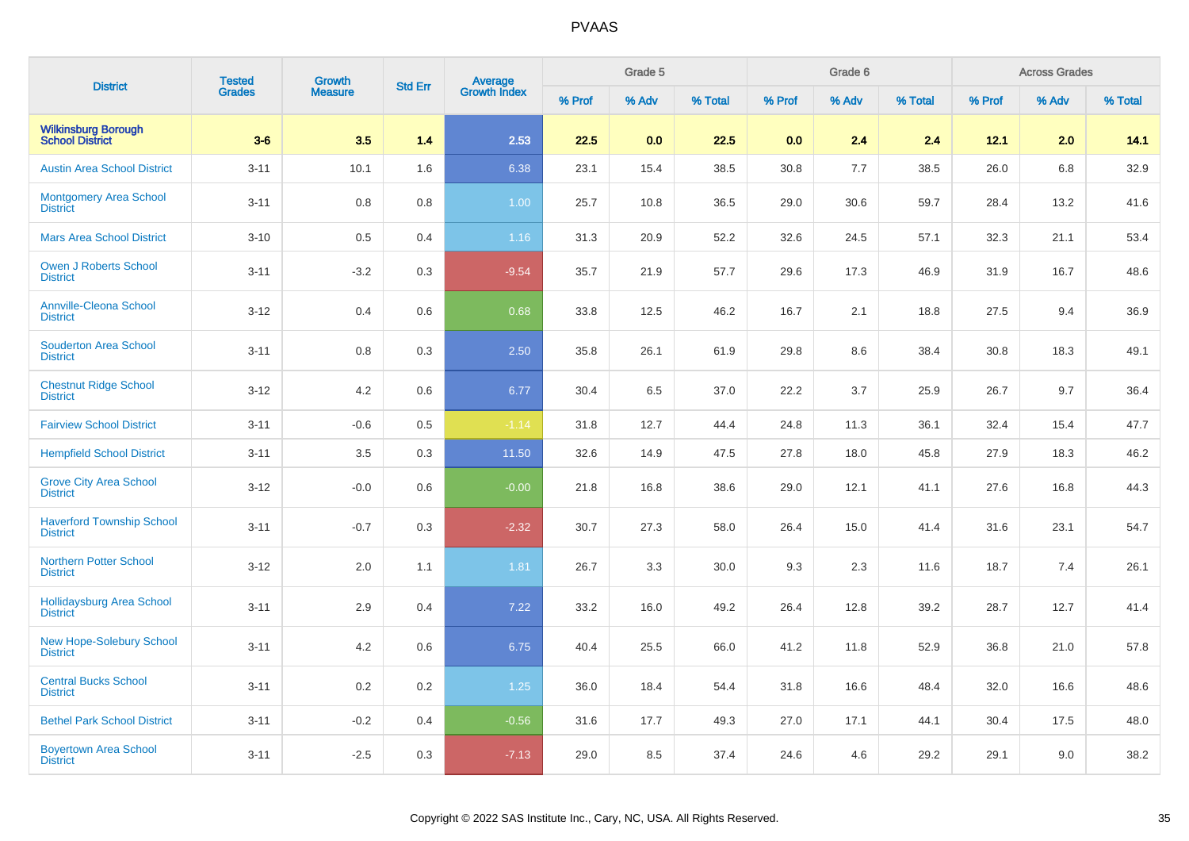| <b>District</b>                                     | <b>Tested</b> | <b>Growth</b>  | <b>Std Err</b> | <b>Average</b><br>Growth Index |        | Grade 5 |         |        | Grade 6 |         |        | <b>Across Grades</b> |         |
|-----------------------------------------------------|---------------|----------------|----------------|--------------------------------|--------|---------|---------|--------|---------|---------|--------|----------------------|---------|
|                                                     | <b>Grades</b> | <b>Measure</b> |                |                                | % Prof | % Adv   | % Total | % Prof | % Adv   | % Total | % Prof | % Adv                | % Total |
| <b>Wilkinsburg Borough</b><br>School District       | $3-6$         | 3.5            | 1.4            | 2.53                           | 22.5   | 0.0     | 22.5    | 0.0    | 2.4     | 2.4     | 12.1   | 2.0                  | 14.1    |
| <b>Austin Area School District</b>                  | $3 - 11$      | 10.1           | 1.6            | 6.38                           | 23.1   | 15.4    | 38.5    | 30.8   | 7.7     | 38.5    | 26.0   | 6.8                  | 32.9    |
| <b>Montgomery Area School</b><br><b>District</b>    | $3 - 11$      | 0.8            | 0.8            | 1.00                           | 25.7   | 10.8    | 36.5    | 29.0   | 30.6    | 59.7    | 28.4   | 13.2                 | 41.6    |
| <b>Mars Area School District</b>                    | $3 - 10$      | 0.5            | 0.4            | 1.16                           | 31.3   | 20.9    | 52.2    | 32.6   | 24.5    | 57.1    | 32.3   | 21.1                 | 53.4    |
| <b>Owen J Roberts School</b><br><b>District</b>     | $3 - 11$      | $-3.2$         | 0.3            | $-9.54$                        | 35.7   | 21.9    | 57.7    | 29.6   | 17.3    | 46.9    | 31.9   | 16.7                 | 48.6    |
| <b>Annville-Cleona School</b><br><b>District</b>    | $3 - 12$      | 0.4            | 0.6            | 0.68                           | 33.8   | 12.5    | 46.2    | 16.7   | 2.1     | 18.8    | 27.5   | 9.4                  | 36.9    |
| <b>Souderton Area School</b><br><b>District</b>     | $3 - 11$      | 0.8            | 0.3            | 2.50                           | 35.8   | 26.1    | 61.9    | 29.8   | 8.6     | 38.4    | 30.8   | 18.3                 | 49.1    |
| <b>Chestnut Ridge School</b><br><b>District</b>     | $3 - 12$      | 4.2            | 0.6            | 6.77                           | 30.4   | 6.5     | 37.0    | 22.2   | 3.7     | 25.9    | 26.7   | 9.7                  | 36.4    |
| <b>Fairview School District</b>                     | $3 - 11$      | $-0.6$         | 0.5            | $-1.14$                        | 31.8   | 12.7    | 44.4    | 24.8   | 11.3    | 36.1    | 32.4   | 15.4                 | 47.7    |
| <b>Hempfield School District</b>                    | $3 - 11$      | 3.5            | 0.3            | 11.50                          | 32.6   | 14.9    | 47.5    | 27.8   | 18.0    | 45.8    | 27.9   | 18.3                 | 46.2    |
| <b>Grove City Area School</b><br><b>District</b>    | $3 - 12$      | $-0.0$         | 0.6            | $-0.00$                        | 21.8   | 16.8    | 38.6    | 29.0   | 12.1    | 41.1    | 27.6   | 16.8                 | 44.3    |
| <b>Haverford Township School</b><br><b>District</b> | $3 - 11$      | $-0.7$         | 0.3            | $-2.32$                        | 30.7   | 27.3    | 58.0    | 26.4   | 15.0    | 41.4    | 31.6   | 23.1                 | 54.7    |
| <b>Northern Potter School</b><br><b>District</b>    | $3 - 12$      | 2.0            | 1.1            | 1.81                           | 26.7   | 3.3     | 30.0    | 9.3    | 2.3     | 11.6    | 18.7   | 7.4                  | 26.1    |
| <b>Hollidaysburg Area School</b><br><b>District</b> | $3 - 11$      | 2.9            | 0.4            | 7.22                           | 33.2   | 16.0    | 49.2    | 26.4   | 12.8    | 39.2    | 28.7   | 12.7                 | 41.4    |
| <b>New Hope-Solebury School</b><br><b>District</b>  | $3 - 11$      | 4.2            | 0.6            | 6.75                           | 40.4   | 25.5    | 66.0    | 41.2   | 11.8    | 52.9    | 36.8   | 21.0                 | 57.8    |
| <b>Central Bucks School</b><br><b>District</b>      | $3 - 11$      | 0.2            | 0.2            | $1.25$                         | 36.0   | 18.4    | 54.4    | 31.8   | 16.6    | 48.4    | 32.0   | 16.6                 | 48.6    |
| <b>Bethel Park School District</b>                  | $3 - 11$      | $-0.2$         | 0.4            | $-0.56$                        | 31.6   | 17.7    | 49.3    | 27.0   | 17.1    | 44.1    | 30.4   | 17.5                 | 48.0    |
| <b>Boyertown Area School</b><br><b>District</b>     | $3 - 11$      | $-2.5$         | 0.3            | $-7.13$                        | 29.0   | 8.5     | 37.4    | 24.6   | 4.6     | 29.2    | 29.1   | 9.0                  | 38.2    |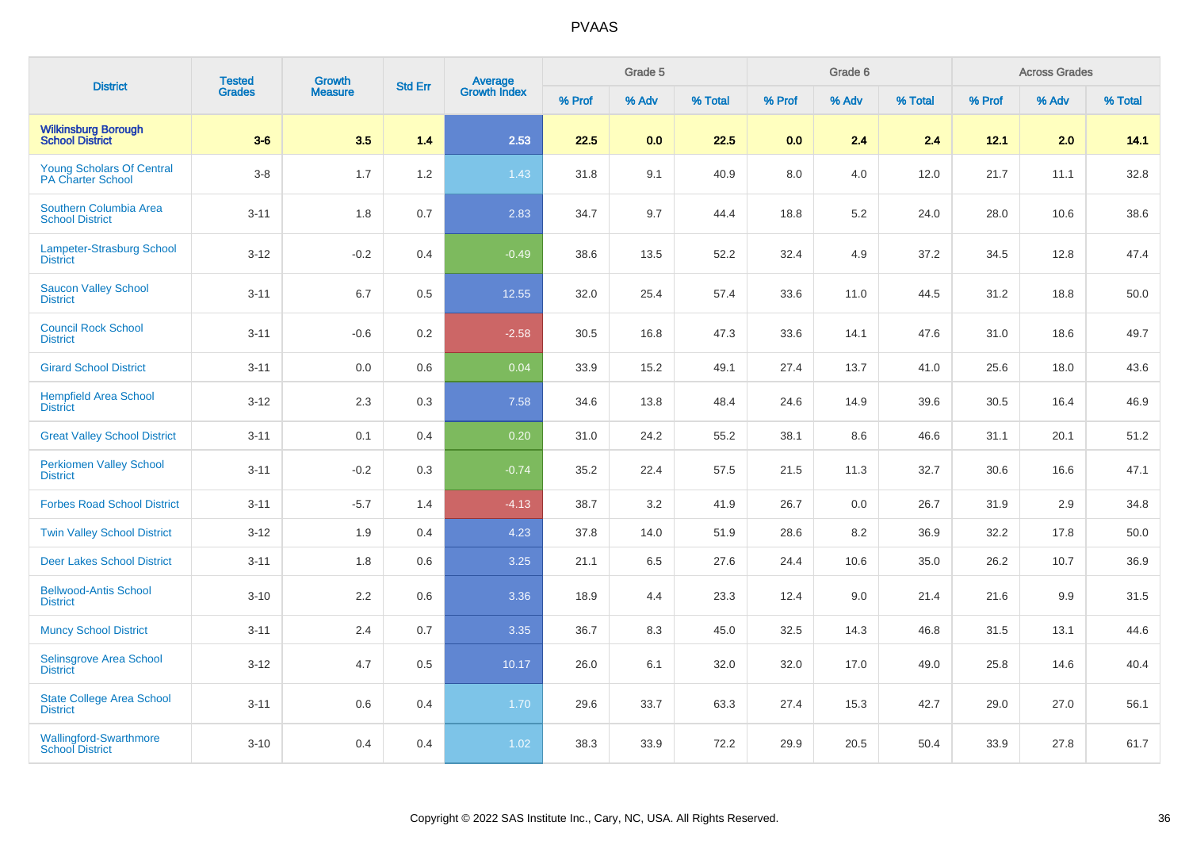| <b>District</b>                                              | <b>Tested</b> | Growth<br><b>Measure</b> | <b>Std Err</b> | <b>Average</b><br>Growth Index |        | Grade 5 |         |        | Grade 6 |         | <b>Across Grades</b> |       |         |
|--------------------------------------------------------------|---------------|--------------------------|----------------|--------------------------------|--------|---------|---------|--------|---------|---------|----------------------|-------|---------|
|                                                              | <b>Grades</b> |                          |                |                                | % Prof | % Adv   | % Total | % Prof | % Adv   | % Total | % Prof               | % Adv | % Total |
| <b>Wilkinsburg Borough</b><br><b>School District</b>         | $3-6$         | 3.5                      | 1.4            | 2.53                           | 22.5   | 0.0     | 22.5    | 0.0    | 2.4     | 2.4     | 12.1                 | 2.0   | 14.1    |
| <b>Young Scholars Of Central</b><br><b>PA Charter School</b> | $3-8$         | 1.7                      | 1.2            | 1.43                           | 31.8   | 9.1     | 40.9    | 8.0    | 4.0     | 12.0    | 21.7                 | 11.1  | 32.8    |
| Southern Columbia Area<br><b>School District</b>             | $3 - 11$      | 1.8                      | 0.7            | 2.83                           | 34.7   | 9.7     | 44.4    | 18.8   | 5.2     | 24.0    | 28.0                 | 10.6  | 38.6    |
| <b>Lampeter-Strasburg School</b><br><b>District</b>          | $3 - 12$      | $-0.2$                   | 0.4            | $-0.49$                        | 38.6   | 13.5    | 52.2    | 32.4   | 4.9     | 37.2    | 34.5                 | 12.8  | 47.4    |
| <b>Saucon Valley School</b><br><b>District</b>               | $3 - 11$      | 6.7                      | 0.5            | 12.55                          | 32.0   | 25.4    | 57.4    | 33.6   | 11.0    | 44.5    | 31.2                 | 18.8  | 50.0    |
| <b>Council Rock School</b><br><b>District</b>                | $3 - 11$      | $-0.6$                   | 0.2            | $-2.58$                        | 30.5   | 16.8    | 47.3    | 33.6   | 14.1    | 47.6    | 31.0                 | 18.6  | 49.7    |
| <b>Girard School District</b>                                | $3 - 11$      | 0.0                      | 0.6            | 0.04                           | 33.9   | 15.2    | 49.1    | 27.4   | 13.7    | 41.0    | 25.6                 | 18.0  | 43.6    |
| <b>Hempfield Area School</b><br><b>District</b>              | $3 - 12$      | 2.3                      | 0.3            | 7.58                           | 34.6   | 13.8    | 48.4    | 24.6   | 14.9    | 39.6    | 30.5                 | 16.4  | 46.9    |
| <b>Great Valley School District</b>                          | $3 - 11$      | 0.1                      | 0.4            | 0.20                           | 31.0   | 24.2    | 55.2    | 38.1   | 8.6     | 46.6    | 31.1                 | 20.1  | 51.2    |
| <b>Perkiomen Valley School</b><br><b>District</b>            | $3 - 11$      | $-0.2$                   | 0.3            | $-0.74$                        | 35.2   | 22.4    | 57.5    | 21.5   | 11.3    | 32.7    | 30.6                 | 16.6  | 47.1    |
| <b>Forbes Road School District</b>                           | $3 - 11$      | $-5.7$                   | 1.4            | $-4.13$                        | 38.7   | 3.2     | 41.9    | 26.7   | 0.0     | 26.7    | 31.9                 | 2.9   | 34.8    |
| <b>Twin Valley School District</b>                           | $3-12$        | 1.9                      | 0.4            | 4.23                           | 37.8   | 14.0    | 51.9    | 28.6   | 8.2     | 36.9    | 32.2                 | 17.8  | 50.0    |
| <b>Deer Lakes School District</b>                            | $3 - 11$      | 1.8                      | 0.6            | 3.25                           | 21.1   | 6.5     | 27.6    | 24.4   | 10.6    | 35.0    | 26.2                 | 10.7  | 36.9    |
| <b>Bellwood-Antis School</b><br><b>District</b>              | $3 - 10$      | 2.2                      | 0.6            | 3.36                           | 18.9   | 4.4     | 23.3    | 12.4   | 9.0     | 21.4    | 21.6                 | 9.9   | 31.5    |
| <b>Muncy School District</b>                                 | $3 - 11$      | 2.4                      | 0.7            | 3.35                           | 36.7   | 8.3     | 45.0    | 32.5   | 14.3    | 46.8    | 31.5                 | 13.1  | 44.6    |
| Selinsgrove Area School<br><b>District</b>                   | $3 - 12$      | 4.7                      | 0.5            | 10.17                          | 26.0   | 6.1     | 32.0    | 32.0   | 17.0    | 49.0    | 25.8                 | 14.6  | 40.4    |
| <b>State College Area School</b><br><b>District</b>          | $3 - 11$      | 0.6                      | 0.4            | 1.70                           | 29.6   | 33.7    | 63.3    | 27.4   | 15.3    | 42.7    | 29.0                 | 27.0  | 56.1    |
| <b>Wallingford-Swarthmore</b><br><b>School District</b>      | $3 - 10$      | 0.4                      | 0.4            | 1.02                           | 38.3   | 33.9    | 72.2    | 29.9   | 20.5    | 50.4    | 33.9                 | 27.8  | 61.7    |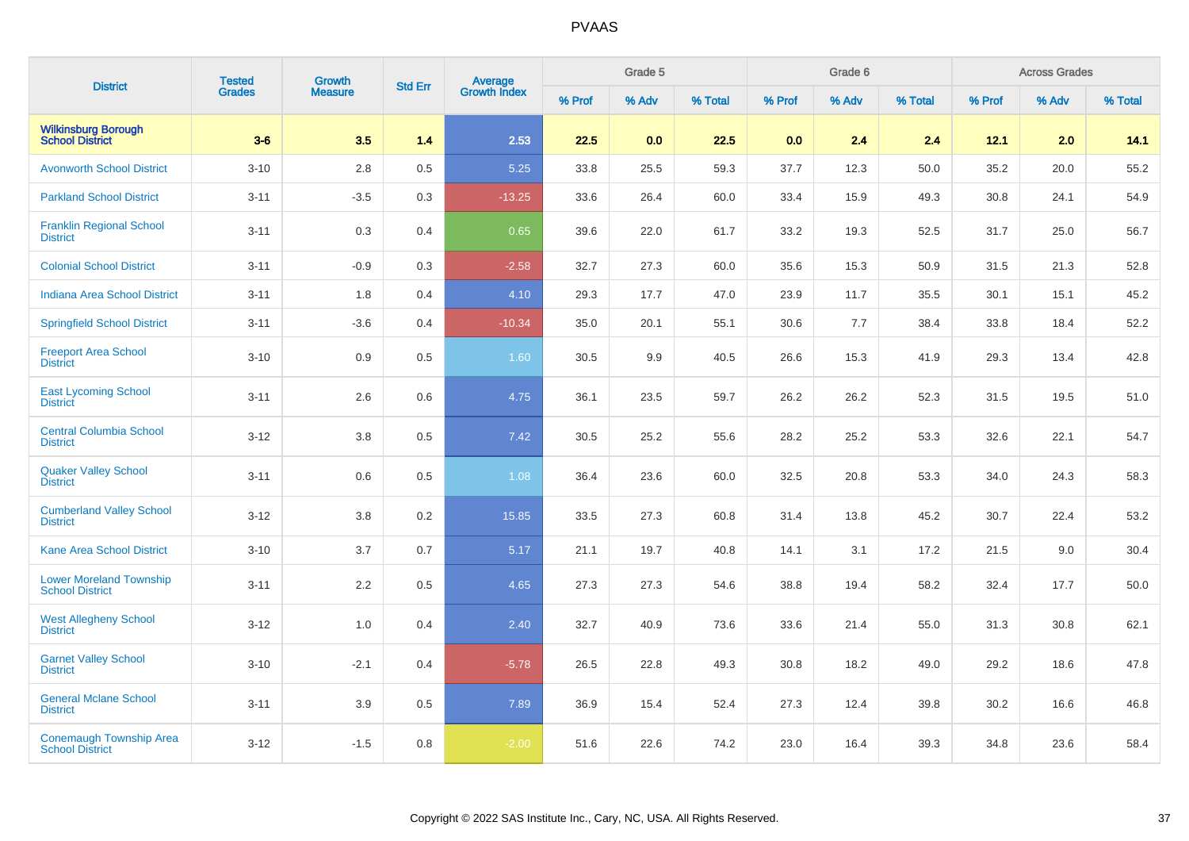| <b>District</b>                                          | <b>Tested</b> | Growth<br><b>Measure</b> | <b>Std Err</b> | <b>Average</b><br>Growth Index |        | Grade 5 |         |        | Grade 6 |         | <b>Across Grades</b> |       |         |
|----------------------------------------------------------|---------------|--------------------------|----------------|--------------------------------|--------|---------|---------|--------|---------|---------|----------------------|-------|---------|
|                                                          | <b>Grades</b> |                          |                |                                | % Prof | % Adv   | % Total | % Prof | % Adv   | % Total | % Prof               | % Adv | % Total |
| <b>Wilkinsburg Borough</b><br><b>School District</b>     | $3-6$         | 3.5                      | 1.4            | 2.53                           | 22.5   | 0.0     | 22.5    | 0.0    | 2.4     | 2.4     | 12.1                 | 2.0   | 14.1    |
| <b>Avonworth School District</b>                         | $3 - 10$      | 2.8                      | 0.5            | 5.25                           | 33.8   | 25.5    | 59.3    | 37.7   | 12.3    | 50.0    | 35.2                 | 20.0  | 55.2    |
| <b>Parkland School District</b>                          | $3 - 11$      | $-3.5$                   | 0.3            | $-13.25$                       | 33.6   | 26.4    | 60.0    | 33.4   | 15.9    | 49.3    | 30.8                 | 24.1  | 54.9    |
| <b>Franklin Regional School</b><br><b>District</b>       | $3 - 11$      | 0.3                      | 0.4            | 0.65                           | 39.6   | 22.0    | 61.7    | 33.2   | 19.3    | 52.5    | 31.7                 | 25.0  | 56.7    |
| <b>Colonial School District</b>                          | $3 - 11$      | $-0.9$                   | 0.3            | $-2.58$                        | 32.7   | 27.3    | 60.0    | 35.6   | 15.3    | 50.9    | 31.5                 | 21.3  | 52.8    |
| <b>Indiana Area School District</b>                      | $3 - 11$      | 1.8                      | 0.4            | 4.10                           | 29.3   | 17.7    | 47.0    | 23.9   | 11.7    | 35.5    | 30.1                 | 15.1  | 45.2    |
| <b>Springfield School District</b>                       | $3 - 11$      | $-3.6$                   | 0.4            | $-10.34$                       | 35.0   | 20.1    | 55.1    | 30.6   | 7.7     | 38.4    | 33.8                 | 18.4  | 52.2    |
| <b>Freeport Area School</b><br><b>District</b>           | $3 - 10$      | 0.9                      | 0.5            | 1.60                           | 30.5   | 9.9     | 40.5    | 26.6   | 15.3    | 41.9    | 29.3                 | 13.4  | 42.8    |
| <b>East Lycoming School</b><br><b>District</b>           | $3 - 11$      | 2.6                      | 0.6            | 4.75                           | 36.1   | 23.5    | 59.7    | 26.2   | 26.2    | 52.3    | 31.5                 | 19.5  | 51.0    |
| <b>Central Columbia School</b><br><b>District</b>        | $3 - 12$      | 3.8                      | 0.5            | 7.42                           | 30.5   | 25.2    | 55.6    | 28.2   | 25.2    | 53.3    | 32.6                 | 22.1  | 54.7    |
| <b>Quaker Valley School</b><br><b>District</b>           | $3 - 11$      | 0.6                      | 0.5            | 1.08                           | 36.4   | 23.6    | 60.0    | 32.5   | 20.8    | 53.3    | 34.0                 | 24.3  | 58.3    |
| <b>Cumberland Valley School</b><br><b>District</b>       | $3 - 12$      | 3.8                      | 0.2            | 15.85                          | 33.5   | 27.3    | 60.8    | 31.4   | 13.8    | 45.2    | 30.7                 | 22.4  | 53.2    |
| <b>Kane Area School District</b>                         | $3 - 10$      | 3.7                      | 0.7            | 5.17                           | 21.1   | 19.7    | 40.8    | 14.1   | 3.1     | 17.2    | 21.5                 | 9.0   | 30.4    |
| <b>Lower Moreland Township</b><br><b>School District</b> | $3 - 11$      | 2.2                      | 0.5            | 4.65                           | 27.3   | 27.3    | 54.6    | 38.8   | 19.4    | 58.2    | 32.4                 | 17.7  | 50.0    |
| <b>West Allegheny School</b><br><b>District</b>          | $3 - 12$      | 1.0                      | 0.4            | 2.40                           | 32.7   | 40.9    | 73.6    | 33.6   | 21.4    | 55.0    | 31.3                 | 30.8  | 62.1    |
| <b>Garnet Valley School</b><br><b>District</b>           | $3 - 10$      | $-2.1$                   | 0.4            | $-5.78$                        | 26.5   | 22.8    | 49.3    | 30.8   | 18.2    | 49.0    | 29.2                 | 18.6  | 47.8    |
| <b>General Mclane School</b><br><b>District</b>          | $3 - 11$      | 3.9                      | 0.5            | 7.89                           | 36.9   | 15.4    | 52.4    | 27.3   | 12.4    | 39.8    | 30.2                 | 16.6  | 46.8    |
| <b>Conemaugh Township Area</b><br><b>School District</b> | $3 - 12$      | $-1.5$                   | 0.8            | $-2.00$                        | 51.6   | 22.6    | 74.2    | 23.0   | 16.4    | 39.3    | 34.8                 | 23.6  | 58.4    |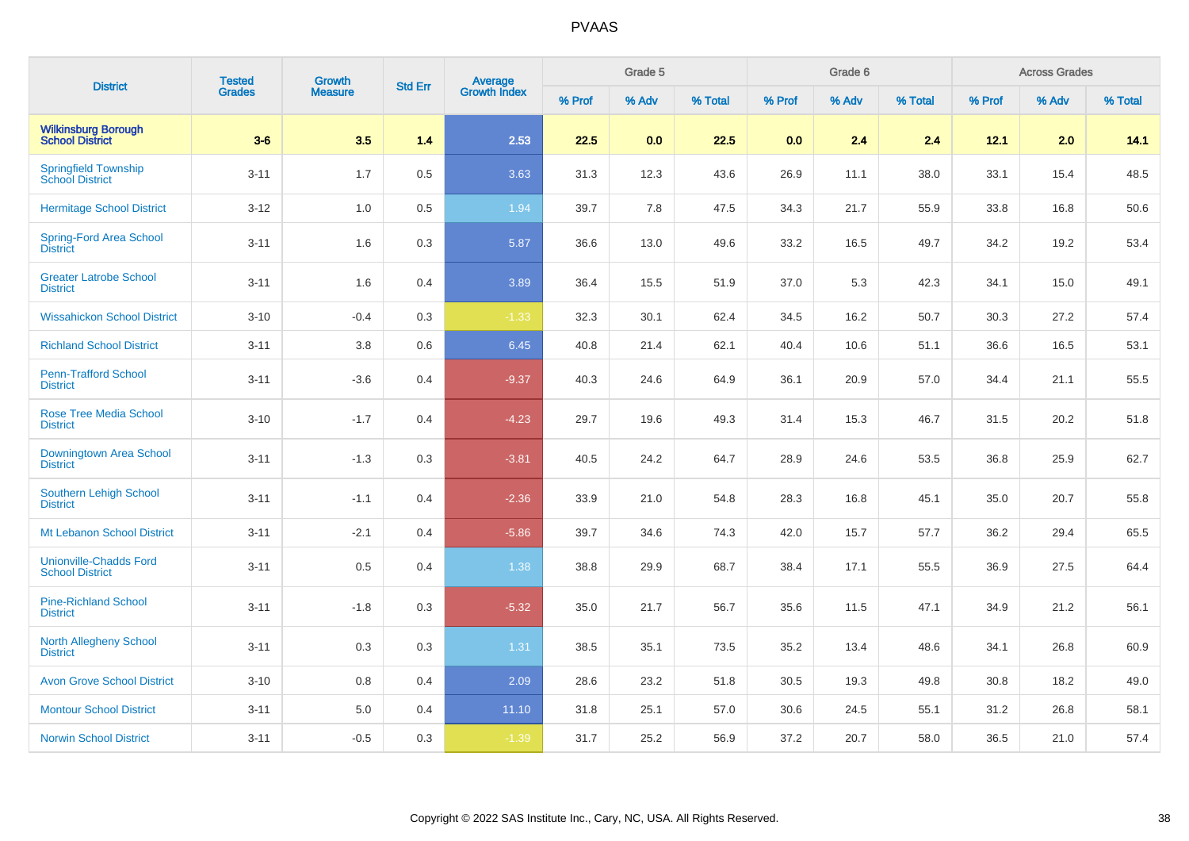| <b>District</b>                                         | <b>Tested</b> | <b>Growth</b><br><b>Measure</b> | <b>Std Err</b> | <b>Average</b><br>Growth Index |        | Grade 5 |         |        | Grade 6 |         | <b>Across Grades</b> |       |         |
|---------------------------------------------------------|---------------|---------------------------------|----------------|--------------------------------|--------|---------|---------|--------|---------|---------|----------------------|-------|---------|
|                                                         | <b>Grades</b> |                                 |                |                                | % Prof | % Adv   | % Total | % Prof | % Adv   | % Total | % Prof               | % Adv | % Total |
| <b>Wilkinsburg Borough</b><br><b>School District</b>    | $3-6$         | 3.5                             | 1.4            | 2.53                           | 22.5   | 0.0     | 22.5    | 0.0    | 2.4     | 2.4     | 12.1                 | 2.0   | 14.1    |
| <b>Springfield Township</b><br><b>School District</b>   | $3 - 11$      | 1.7                             | 0.5            | 3.63                           | 31.3   | 12.3    | 43.6    | 26.9   | 11.1    | 38.0    | 33.1                 | 15.4  | 48.5    |
| <b>Hermitage School District</b>                        | $3 - 12$      | $1.0\,$                         | 0.5            | 1.94                           | 39.7   | 7.8     | 47.5    | 34.3   | 21.7    | 55.9    | 33.8                 | 16.8  | 50.6    |
| Spring-Ford Area School<br><b>District</b>              | $3 - 11$      | 1.6                             | 0.3            | 5.87                           | 36.6   | 13.0    | 49.6    | 33.2   | 16.5    | 49.7    | 34.2                 | 19.2  | 53.4    |
| <b>Greater Latrobe School</b><br><b>District</b>        | $3 - 11$      | 1.6                             | 0.4            | 3.89                           | 36.4   | 15.5    | 51.9    | 37.0   | 5.3     | 42.3    | 34.1                 | 15.0  | 49.1    |
| <b>Wissahickon School District</b>                      | $3 - 10$      | $-0.4$                          | 0.3            | $-1.33$                        | 32.3   | 30.1    | 62.4    | 34.5   | 16.2    | 50.7    | 30.3                 | 27.2  | 57.4    |
| <b>Richland School District</b>                         | $3 - 11$      | 3.8                             | 0.6            | 6.45                           | 40.8   | 21.4    | 62.1    | 40.4   | 10.6    | 51.1    | 36.6                 | 16.5  | 53.1    |
| <b>Penn-Trafford School</b><br><b>District</b>          | $3 - 11$      | $-3.6$                          | 0.4            | $-9.37$                        | 40.3   | 24.6    | 64.9    | 36.1   | 20.9    | 57.0    | 34.4                 | 21.1  | 55.5    |
| <b>Rose Tree Media School</b><br><b>District</b>        | $3 - 10$      | $-1.7$                          | 0.4            | $-4.23$                        | 29.7   | 19.6    | 49.3    | 31.4   | 15.3    | 46.7    | 31.5                 | 20.2  | 51.8    |
| Downingtown Area School<br><b>District</b>              | $3 - 11$      | $-1.3$                          | 0.3            | $-3.81$                        | 40.5   | 24.2    | 64.7    | 28.9   | 24.6    | 53.5    | 36.8                 | 25.9  | 62.7    |
| Southern Lehigh School<br><b>District</b>               | $3 - 11$      | $-1.1$                          | 0.4            | $-2.36$                        | 33.9   | 21.0    | 54.8    | 28.3   | 16.8    | 45.1    | 35.0                 | 20.7  | 55.8    |
| Mt Lebanon School District                              | $3 - 11$      | $-2.1$                          | 0.4            | $-5.86$                        | 39.7   | 34.6    | 74.3    | 42.0   | 15.7    | 57.7    | 36.2                 | 29.4  | 65.5    |
| <b>Unionville-Chadds Ford</b><br><b>School District</b> | $3 - 11$      | 0.5                             | 0.4            | 1.38                           | 38.8   | 29.9    | 68.7    | 38.4   | 17.1    | 55.5    | 36.9                 | 27.5  | 64.4    |
| <b>Pine-Richland School</b><br><b>District</b>          | $3 - 11$      | $-1.8$                          | 0.3            | $-5.32$                        | 35.0   | 21.7    | 56.7    | 35.6   | 11.5    | 47.1    | 34.9                 | 21.2  | 56.1    |
| <b>North Allegheny School</b><br><b>District</b>        | $3 - 11$      | 0.3                             | 0.3            | 1.31                           | 38.5   | 35.1    | 73.5    | 35.2   | 13.4    | 48.6    | 34.1                 | 26.8  | 60.9    |
| <b>Avon Grove School District</b>                       | $3 - 10$      | 0.8                             | 0.4            | 2.09                           | 28.6   | 23.2    | 51.8    | 30.5   | 19.3    | 49.8    | 30.8                 | 18.2  | 49.0    |
| <b>Montour School District</b>                          | $3 - 11$      | $5.0\,$                         | 0.4            | 11.10                          | 31.8   | 25.1    | 57.0    | 30.6   | 24.5    | 55.1    | 31.2                 | 26.8  | 58.1    |
| <b>Norwin School District</b>                           | $3 - 11$      | $-0.5$                          | 0.3            | $-1.39$                        | 31.7   | 25.2    | 56.9    | 37.2   | 20.7    | 58.0    | 36.5                 | 21.0  | 57.4    |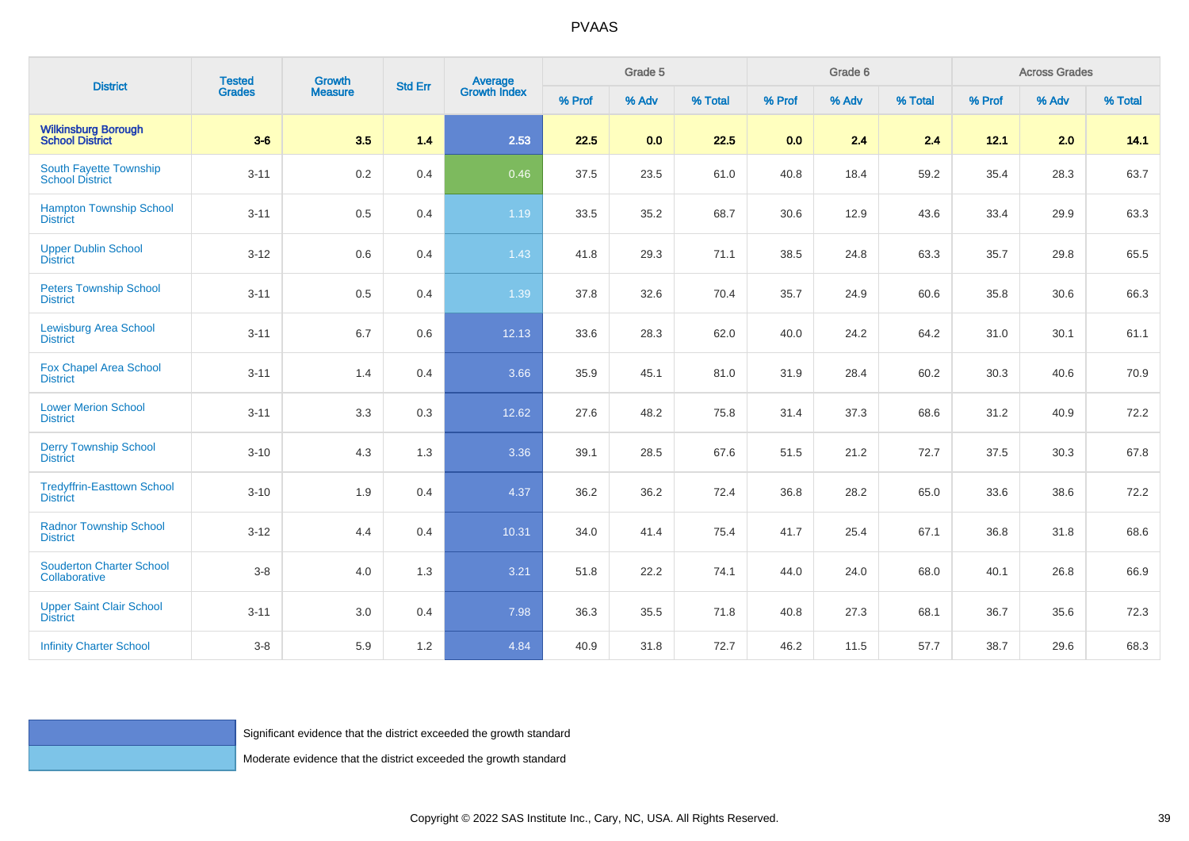| <b>District</b>                                      | <b>Tested</b> | <b>Growth</b><br><b>Measure</b>                                     | <b>Std Err</b> | <b>Average</b><br>Growth Index | Grade 5 |       |         |        | Grade 6 |         | <b>Across Grades</b> |       |         |
|------------------------------------------------------|---------------|---------------------------------------------------------------------|----------------|--------------------------------|---------|-------|---------|--------|---------|---------|----------------------|-------|---------|
|                                                      | Grades        |                                                                     |                |                                | % Prof  | % Adv | % Total | % Prof | % Adv   | % Total | % Prof               | % Adv | % Total |
| <b>Wilkinsburg Borough</b><br>School District        | $3-6$         | 3.5                                                                 | 1.4            | 2.53                           | 22.5    | 0.0   | 22.5    | 0.0    | 2.4     | 2.4     | 12.1                 | 2.0   | 14.1    |
| South Fayette Township<br><b>School District</b>     | $3 - 11$      | 0.2                                                                 | 0.4            | 0.46                           | 37.5    | 23.5  | 61.0    | 40.8   | 18.4    | 59.2    | 35.4                 | 28.3  | 63.7    |
| <b>Hampton Township School</b><br><b>District</b>    | $3 - 11$      | $0.5\,$                                                             | 0.4            | 1.19                           | 33.5    | 35.2  | 68.7    | 30.6   | 12.9    | 43.6    | 33.4                 | 29.9  | 63.3    |
| <b>Upper Dublin School</b><br><b>District</b>        | $3-12$        | 0.6                                                                 | 0.4            | 1.43                           | 41.8    | 29.3  | 71.1    | 38.5   | 24.8    | 63.3    | 35.7                 | 29.8  | 65.5    |
| <b>Peters Township School</b><br><b>District</b>     | $3 - 11$      | $0.5\,$                                                             | 0.4            | 1.39                           | 37.8    | 32.6  | 70.4    | 35.7   | 24.9    | 60.6    | 35.8                 | 30.6  | 66.3    |
| <b>Lewisburg Area School</b><br><b>District</b>      | $3 - 11$      | 6.7                                                                 | 0.6            | 12.13                          | 33.6    | 28.3  | 62.0    | 40.0   | 24.2    | 64.2    | 31.0                 | 30.1  | 61.1    |
| <b>Fox Chapel Area School</b><br><b>District</b>     | $3 - 11$      | 1.4                                                                 | 0.4            | 3.66                           | 35.9    | 45.1  | 81.0    | 31.9   | 28.4    | 60.2    | 30.3                 | 40.6  | 70.9    |
| <b>Lower Merion School</b><br><b>District</b>        | $3 - 11$      | 3.3                                                                 | 0.3            | 12.62                          | 27.6    | 48.2  | 75.8    | 31.4   | 37.3    | 68.6    | 31.2                 | 40.9  | 72.2    |
| <b>Derry Township School</b><br><b>District</b>      | $3 - 10$      | 4.3                                                                 | 1.3            | 3.36                           | 39.1    | 28.5  | 67.6    | 51.5   | 21.2    | 72.7    | 37.5                 | 30.3  | 67.8    |
| <b>Tredyffrin-Easttown School</b><br><b>District</b> | $3 - 10$      | 1.9                                                                 | 0.4            | 4.37                           | 36.2    | 36.2  | 72.4    | 36.8   | 28.2    | 65.0    | 33.6                 | 38.6  | 72.2    |
| <b>Radnor Township School</b><br><b>District</b>     | $3 - 12$      | 4.4                                                                 | 0.4            | 10.31                          | 34.0    | 41.4  | 75.4    | 41.7   | 25.4    | 67.1    | 36.8                 | 31.8  | 68.6    |
| <b>Souderton Charter School</b><br>Collaborative     | $3-8$         | 4.0                                                                 | 1.3            | 3.21                           | 51.8    | 22.2  | 74.1    | 44.0   | 24.0    | 68.0    | 40.1                 | 26.8  | 66.9    |
| <b>Upper Saint Clair School</b><br><b>District</b>   | $3 - 11$      | $3.0\,$                                                             | 0.4            | 7.98                           | 36.3    | 35.5  | 71.8    | 40.8   | 27.3    | 68.1    | 36.7                 | 35.6  | 72.3    |
| <b>Infinity Charter School</b>                       | $3-8$         | 5.9                                                                 | 1.2            | 4.84                           | 40.9    | 31.8  | 72.7    | 46.2   | 11.5    | 57.7    | 38.7                 | 29.6  | 68.3    |
|                                                      |               |                                                                     |                |                                |         |       |         |        |         |         |                      |       |         |
|                                                      |               |                                                                     |                |                                |         |       |         |        |         |         |                      |       |         |
|                                                      |               | Significant evidence that the district exceeded the growth standard |                |                                |         |       |         |        |         |         |                      |       |         |
|                                                      |               | Moderate evidence that the district exceeded the growth standard    |                |                                |         |       |         |        |         |         |                      |       |         |